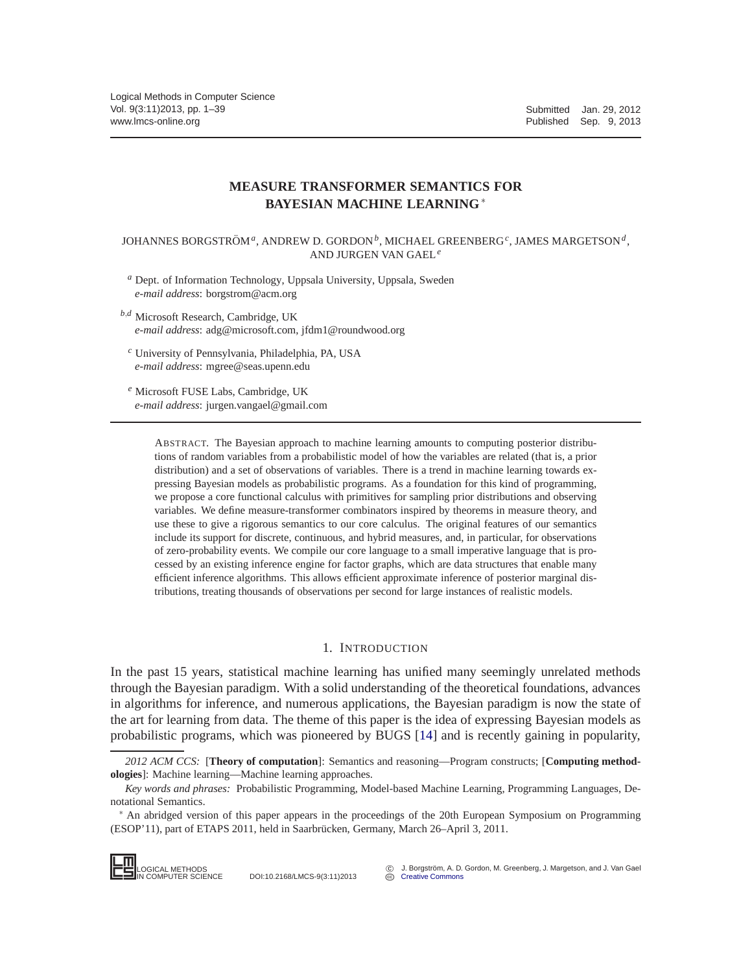# **MEASURE TRANSFORMER SEMANTICS FOR BAYESIAN MACHINE LEARNING**∗

JOHANNES BORGSTRÖM<sup>a</sup>, ANDREW D. GORDON<sup>b</sup>, MICHAEL GREENBERG<sup>c</sup>, JAMES MARGETSON<sup>d</sup>, AND JURGEN VAN GAEL*<sup>e</sup>*

*<sup>a</sup>* Dept. of Information Technology, Uppsala University, Uppsala, Sweden *e-mail address*: borgstrom@acm.org

- *<sup>b</sup>*,*<sup>d</sup>* Microsoft Research, Cambridge, UK *e-mail address*: adg@microsoft.com, jfdm1@roundwood.org
	- *<sup>c</sup>* University of Pennsylvania, Philadelphia, PA, USA *e-mail address*: mgree@seas.upenn.edu
- *<sup>e</sup>* Microsoft FUSE Labs, Cambridge, UK *e-mail address*: jurgen.vangael@gmail.com

ABSTRACT. The Bayesian approach to machine learning amounts to computing posterior distributions of random variables from a probabilistic model of how the variables are related (that is, a prior distribution) and a set of observations of variables. There is a trend in machine learning towards expressing Bayesian models as probabilistic programs. As a foundation for this kind of programming, we propose a core functional calculus with primitives for sampling prior distributions and observing variables. We define measure-transformer combinators inspired by theorems in measure theory, and use these to give a rigorous semantics to our core calculus. The original features of our semantics include its support for discrete, continuous, and hybrid measures, and, in particular, for observations of zero-probability events. We compile our core language to a small imperative language that is processed by an existing inference engine for factor graphs, which are data structures that enable many efficient inference algorithms. This allows efficient approximate inference of posterior marginal distributions, treating thousands of observations per second for large instances of realistic models.

#### 1. INTRODUCTION

In the past 15 years, statistical machine learning has unified many seemingly unrelated methods through the Bayesian paradigm. With a solid understanding of the theoretical foundations, advances in algorithms for inference, and numerous applications, the Bayesian paradigm is now the state of the art for learning from data. The theme of this paper is the idea of expressing Bayesian models as probabilistic programs, which was pioneered by BUGS [\[14\]](#page-37-0) and is recently gaining in popularity,

<sup>∗</sup> An abridged version of this paper appears in the proceedings of the 20th European Symposium on Programming (ESOP'11), part of ETAPS 2011, held in Saarbrücken, Germany, March 26–April 3, 2011.



IN COMPUTER SCIENCE DOI:10.2168/LMCS-9(3:11)2013

*<sup>2012</sup> ACM CCS:* [**Theory of computation**]: Semantics and reasoning—Program constructs; [**Computing methodologies**]: Machine learning—Machine learning approaches.

*Key words and phrases:* Probabilistic Programming, Model-based Machine Learning, Programming Languages, Denotational Semantics.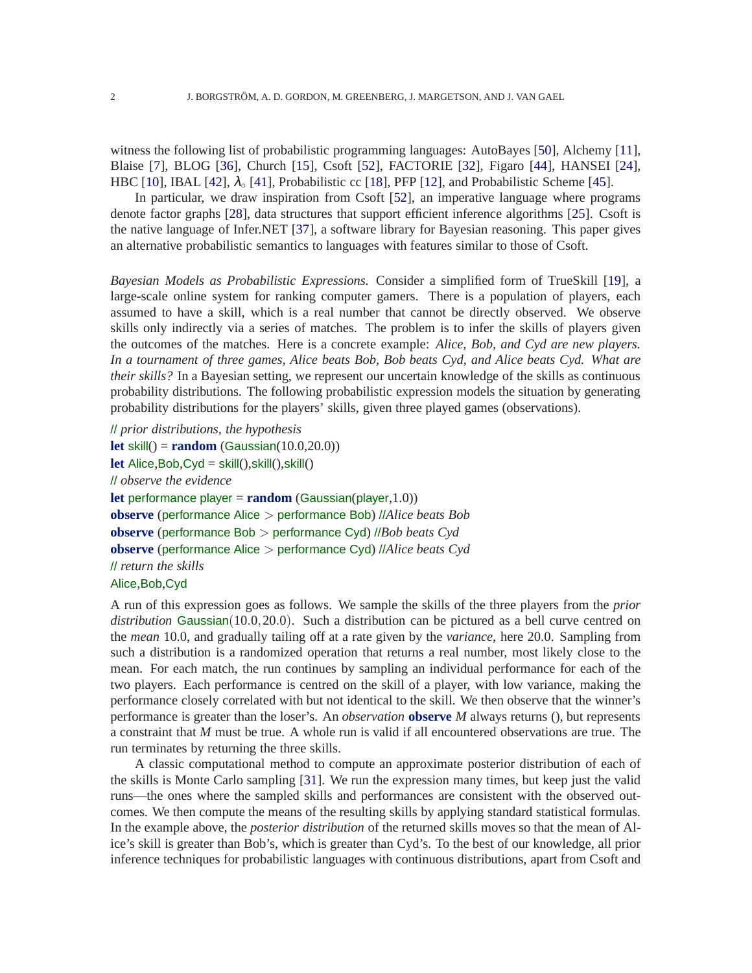witness the following list of probabilistic programming languages: AutoBayes [\[50\]](#page-38-0), Alchemy [\[11\]](#page-37-1), Blaise [\[7\]](#page-37-2), BLOG [\[36\]](#page-38-1), Church [\[15\]](#page-37-3), Csoft [\[52\]](#page-38-2), FACTORIE [\[32\]](#page-38-3), Figaro [\[44\]](#page-38-4), HANSEI [\[24\]](#page-37-4), HBC [\[10\]](#page-37-5), IBAL [\[42\]](#page-38-5),  $\lambda_{\circ}$  [\[41\]](#page-38-6), Probabilistic cc [\[18\]](#page-37-6), PFP [\[12\]](#page-37-7), and Probabilistic Scheme [\[45\]](#page-38-7).

In particular, we draw inspiration from Csoft [\[52\]](#page-38-2), an imperative language where programs denote factor graphs [\[28\]](#page-38-8), data structures that support efficient inference algorithms [\[25\]](#page-37-8). Csoft is the native language of Infer.NET [\[37\]](#page-38-9), a software library for Bayesian reasoning. This paper gives an alternative probabilistic semantics to languages with features similar to those of Csoft.

*Bayesian Models as Probabilistic Expressions.* Consider a simplified form of TrueSkill [\[19\]](#page-37-9), a large-scale online system for ranking computer gamers. There is a population of players, each assumed to have a skill, which is a real number that cannot be directly observed. We observe skills only indirectly via a series of matches. The problem is to infer the skills of players given the outcomes of the matches. Here is a concrete example: *Alice, Bob, and Cyd are new players. In a tournament of three games, Alice beats Bob, Bob beats Cyd, and Alice beats Cyd. What are their skills?* In a Bayesian setting, we represent our uncertain knowledge of the skills as continuous probability distributions. The following probabilistic expression models the situation by generating probability distributions for the players' skills, given three played games (observations).

```
// prior distributions, the hypothesis
let skill() = random (Gaussian(10.0,20.0))
let Alice,Bob,Cyd = skill(),skill(),skill()
// observe the evidence
let performance player = random (Gaussian(player,1.0))
observe (performance Alice > performance Bob) //Alice beats Bob
observe (performance Bob > performance Cyd) //Bob beats Cyd
observe (performance Alice > performance Cyd) //Alice beats Cyd
// return the skills
Alice,Bob,Cyd
```
A run of this expression goes as follows. We sample the skills of the three players from the *prior distribution* Gaussian(10.0,20.0). Such a distribution can be pictured as a bell curve centred on the *mean* 10.0, and gradually tailing off at a rate given by the *variance*, here 20.0. Sampling from such a distribution is a randomized operation that returns a real number, most likely close to the mean. For each match, the run continues by sampling an individual performance for each of the two players. Each performance is centred on the skill of a player, with low variance, making the performance closely correlated with but not identical to the skill. We then observe that the winner's performance is greater than the loser's. An *observation* **observe** *M* always returns (), but represents a constraint that *M* must be true. A whole run is valid if all encountered observations are true. The run terminates by returning the three skills.

A classic computational method to compute an approximate posterior distribution of each of the skills is Monte Carlo sampling [\[31\]](#page-38-10). We run the expression many times, but keep just the valid runs—the ones where the sampled skills and performances are consistent with the observed outcomes. We then compute the means of the resulting skills by applying standard statistical formulas. In the example above, the *posterior distribution* of the returned skills moves so that the mean of Alice's skill is greater than Bob's, which is greater than Cyd's. To the best of our knowledge, all prior inference techniques for probabilistic languages with continuous distributions, apart from Csoft and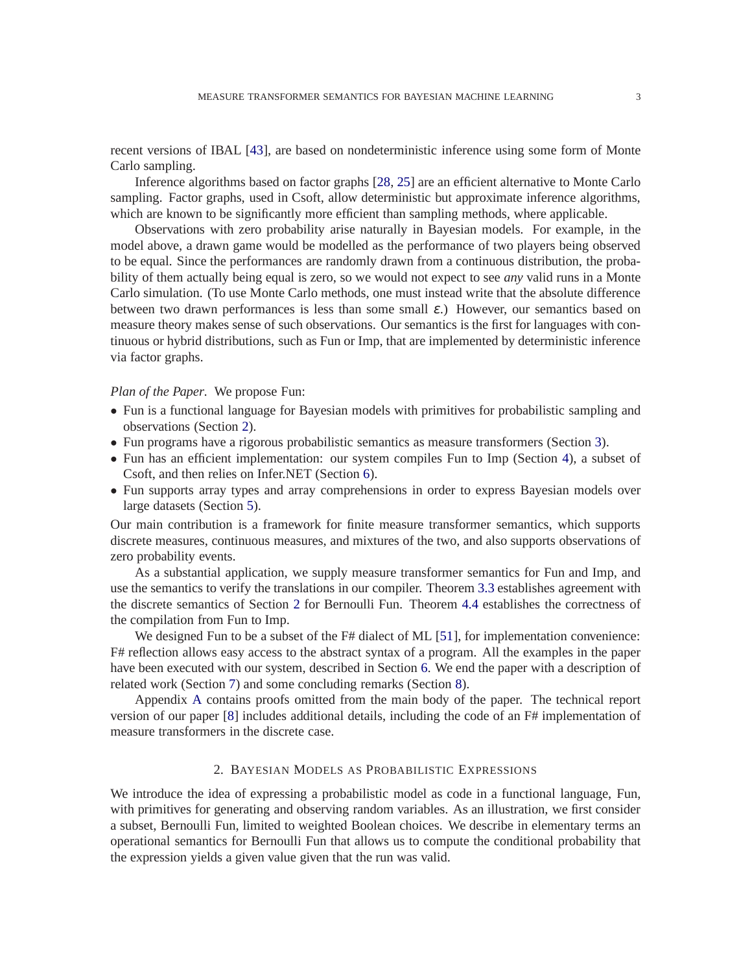recent versions of IBAL [\[43\]](#page-38-11), are based on nondeterministic inference using some form of Monte Carlo sampling.

Inference algorithms based on factor graphs [\[28,](#page-38-8) [25\]](#page-37-8) are an efficient alternative to Monte Carlo sampling. Factor graphs, used in Csoft, allow deterministic but approximate inference algorithms, which are known to be significantly more efficient than sampling methods, where applicable.

Observations with zero probability arise naturally in Bayesian models. For example, in the model above, a drawn game would be modelled as the performance of two players being observed to be equal. Since the performances are randomly drawn from a continuous distribution, the probability of them actually being equal is zero, so we would not expect to see *any* valid runs in a Monte Carlo simulation. (To use Monte Carlo methods, one must instead write that the absolute difference between two drawn performances is less than some small  $\varepsilon$ .) However, our semantics based on measure theory makes sense of such observations. Our semantics is the first for languages with continuous or hybrid distributions, such as Fun or Imp, that are implemented by deterministic inference via factor graphs.

#### *Plan of the Paper.* We propose Fun:

- Fun is a functional language for Bayesian models with primitives for probabilistic sampling and observations (Section [2\)](#page-2-0).
- Fun programs have a rigorous probabilistic semantics as measure transformers (Section [3\)](#page-8-0).
- Fun has an efficient implementation: our system compiles Fun to Imp (Section [4\)](#page-17-0), a subset of Csoft, and then relies on Infer.NET (Section [6\)](#page-26-0).
- Fun supports array types and array comprehensions in order to express Bayesian models over large datasets (Section [5\)](#page-22-0).

Our main contribution is a framework for finite measure transformer semantics, which supports discrete measures, continuous measures, and mixtures of the two, and also supports observations of zero probability events.

As a substantial application, we supply measure transformer semantics for Fun and Imp, and use the semantics to verify the translations in our compiler. Theorem [3.3](#page-14-0) establishes agreement with the discrete semantics of Section [2](#page-2-0) for Bernoulli Fun. Theorem [4.4](#page-22-1) establishes the correctness of the compilation from Fun to Imp.

We designed Fun to be a subset of the F# dialect of ML [\[51\]](#page-38-12), for implementation convenience: F# reflection allows easy access to the abstract syntax of a program. All the examples in the paper have been executed with our system, described in Section [6.](#page-26-0) We end the paper with a description of related work (Section [7\)](#page-27-0) and some concluding remarks (Section [8\)](#page-29-0).

Appendix [A](#page-30-0) contains proofs omitted from the main body of the paper. The technical report version of our paper [\[8\]](#page-37-10) includes additional details, including the code of an F# implementation of measure transformers in the discrete case.

# 2. BAYESIAN MODELS AS PROBABILISTIC EXPRESSIONS

<span id="page-2-0"></span>We introduce the idea of expressing a probabilistic model as code in a functional language, Fun, with primitives for generating and observing random variables. As an illustration, we first consider a subset, Bernoulli Fun, limited to weighted Boolean choices. We describe in elementary terms an operational semantics for Bernoulli Fun that allows us to compute the conditional probability that the expression yields a given value given that the run was valid.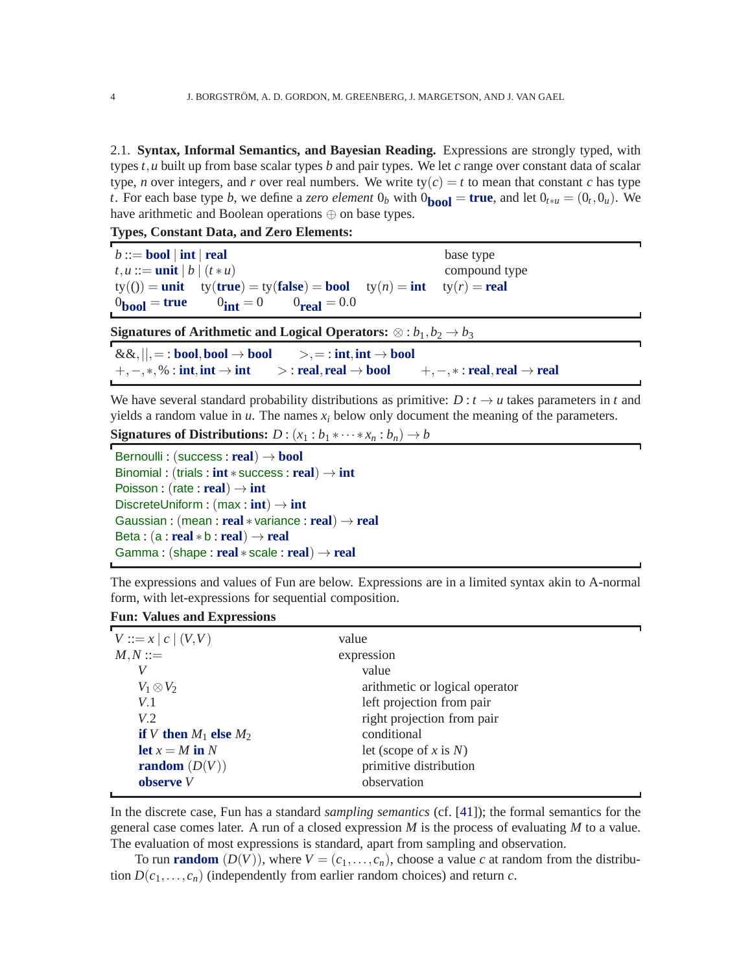2.1. **Syntax, Informal Semantics, and Bayesian Reading.** Expressions are strongly typed, with types *t*,*u* built up from base scalar types *b* and pair types. We let *c* range over constant data of scalar type, *n* over integers, and *r* over real numbers. We write  $ty(c) = t$  to mean that constant *c* has type *t*. For each base type *b*, we define a *zero element*  $0_b$  with  $0_{\text{bool}} = \text{true}$ , and let  $0_{t*u} = (0_t, 0_u)$ . We have arithmetic and Boolean operations ⊕ on base types.

**Types, Constant Data, and Zero Elements:**

| $b ::=$ bool   int   real                                                                                           | base type     |
|---------------------------------------------------------------------------------------------------------------------|---------------|
| $t, u ::= \textbf{unit}   b   (t * u)$                                                                              | compound type |
| $ty(0) = \text{unit}$ $ty(\text{true}) = ty(\text{false}) = \text{bool}$ $ty(n) = \text{int}$ $ty(r) = \text{real}$ |               |
| $0_{\text{bool}} = \text{true}$ $0_{\text{int}} = 0$ $0_{\text{real}} = 0.0$                                        |               |
| Signatures of Arithmetic and Logical Operators: $\otimes : b_1, b_2 \rightarrow b_3$                                |               |
| $0.0.$ $\frac{1}{2}$ the closed theory in $\frac{1}{2}$ intimity head                                               |               |

 $\&&\&\,,\parallel,=:\textbf{bool},\textbf{bool}\rightarrow\textbf{bool}\rightarrow\,,=:\textbf{int},\textbf{int}\rightarrow\textbf{bool}\ +,-,*,\%:\textbf{int},\textbf{int}\rightarrow\textbf{int}\qquad\qquad>:\textbf{real},\textbf{real}\rightarrow\textbf{bool}$ +,−,∗,% : **int**,**int** → **int** > : **real**,**real** → **bool** +,−,∗ : **real**,**real** → **real**

We have several standard probability distributions as primitive:  $D: t \rightarrow u$  takes parameters in *t* and yields a random value in  $u$ . The names  $x_i$  below only document the meaning of the parameters.

**Signatures of Distributions:**  $D : (x_1 : b_1 * \cdots * x_n : b_n) \rightarrow b$ 

```
Bernoulli : (success : real) → bool
Binomial : (trials : int ∗ success : real) → int
Poisson : (rate : real) \rightarrow int
DiscreteUniform : (max : int) → int
Gaussian : (mean : real ∗ variance : real) → real
Beta: (a: real * b: real) \rightarrow realGamma : (shape : real ∗ scale : real) → real
```
The expressions and values of Fun are below. Expressions are in a limited syntax akin to A-normal form, with let-expressions for sequential composition.

# **Fun: Values and Expressions**

| $V ::= x   c   (V, V)$     | value                          |
|----------------------------|--------------------------------|
| $M, N ::=$                 | expression                     |
| V                          | value                          |
| $V_1 \otimes V_2$          | arithmetic or logical operator |
| V.1                        | left projection from pair      |
| V.2                        | right projection from pair     |
| if V then $M_1$ else $M_2$ | conditional                    |
| let $x = M$ in N           | let (scope of x is $N$ )       |
| <b>random</b> $(D(V))$     | primitive distribution         |
| observe V                  | observation                    |
|                            |                                |

In the discrete case, Fun has a standard *sampling semantics* (cf. [\[41\]](#page-38-6)); the formal semantics for the general case comes later. A run of a closed expression *M* is the process of evaluating *M* to a value. The evaluation of most expressions is standard, apart from sampling and observation.

To run **random**  $(D(V))$ , where  $V = (c_1, \ldots, c_n)$ , choose a value *c* at random from the distribution  $D(c_1, \ldots, c_n)$  (independently from earlier random choices) and return *c*.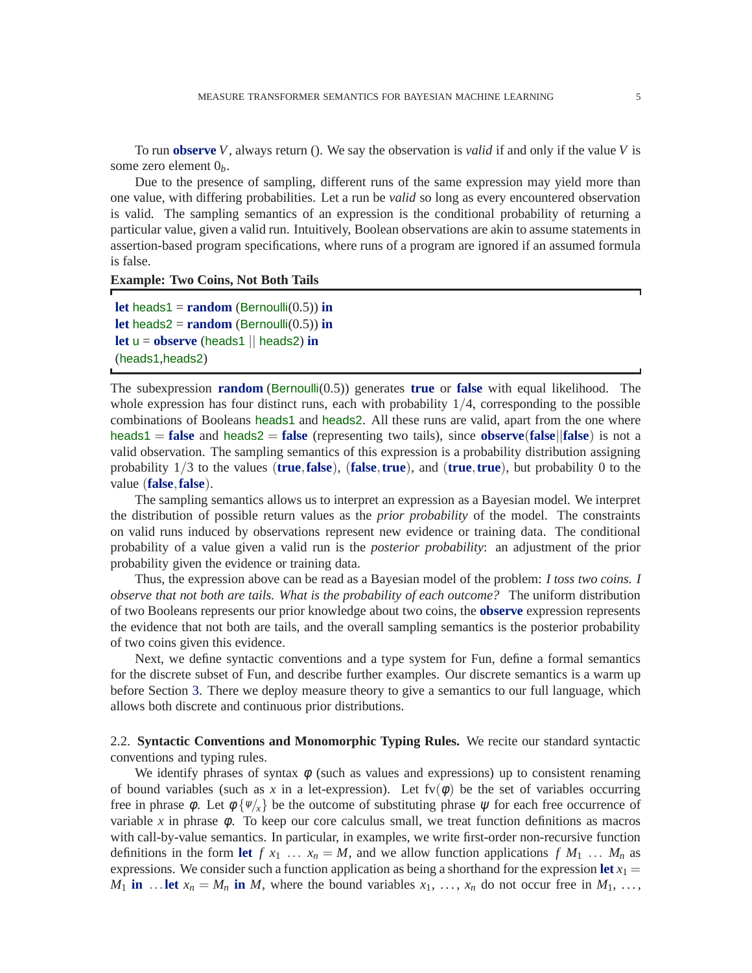To run **observe** *V*, always return (). We say the observation is *valid* if and only if the value *V* is some zero element 0*b*.

Due to the presence of sampling, different runs of the same expression may yield more than one value, with differing probabilities. Let a run be *valid* so long as every encountered observation is valid. The sampling semantics of an expression is the conditional probability of returning a particular value, given a valid run. Intuitively, Boolean observations are akin to assume statements in assertion-based program specifications, where runs of a program are ignored if an assumed formula is false.

#### **Example: Two Coins, Not Both Tails**

```
let heads1 = random (Bernoulli(0.5)) in
let heads2 = \text{random} (Bernoulli(0.5)) in
let u = observe (heads1 || heads2) in
(heads1,heads2)
```
The subexpression **random** (Bernoulli(0.5)) generates **true** or **false** with equal likelihood. The whole expression has four distinct runs, each with probability  $1/4$ , corresponding to the possible combinations of Booleans heads1 and heads2. All these runs are valid, apart from the one where  $\text{heads1} = \text{false}$  and  $\text{heads2} = \text{false}$  (representing two tails), since **observe**(**false**) is not a valid observation. The sampling semantics of this expression is a probability distribution assigning probability 1/3 to the values (**true**,**false**), (**false**,**true**), and (**true**,**true**), but probability 0 to the value (**false**,**false**).

The sampling semantics allows us to interpret an expression as a Bayesian model. We interpret the distribution of possible return values as the *prior probability* of the model. The constraints on valid runs induced by observations represent new evidence or training data. The conditional probability of a value given a valid run is the *posterior probability*: an adjustment of the prior probability given the evidence or training data.

Thus, the expression above can be read as a Bayesian model of the problem: *I toss two coins. I observe that not both are tails. What is the probability of each outcome?* The uniform distribution of two Booleans represents our prior knowledge about two coins, the **observe** expression represents the evidence that not both are tails, and the overall sampling semantics is the posterior probability of two coins given this evidence.

Next, we define syntactic conventions and a type system for Fun, define a formal semantics for the discrete subset of Fun, and describe further examples. Our discrete semantics is a warm up before Section [3.](#page-8-0) There we deploy measure theory to give a semantics to our full language, which allows both discrete and continuous prior distributions.

2.2. **Syntactic Conventions and Monomorphic Typing Rules.** We recite our standard syntactic conventions and typing rules.

We identify phrases of syntax  $\phi$  (such as values and expressions) up to consistent renaming of bound variables (such as x in a let-expression). Let  $fv(\phi)$  be the set of variables occurring free in phrase  $\phi$ . Let  $\phi \{ \psi'_x \}$  be the outcome of substituting phrase  $\psi$  for each free occurrence of variable x in phrase  $\phi$ . To keep our core calculus small, we treat function definitions as macros with call-by-value semantics. In particular, in examples, we write first-order non-recursive function definitions in the form let  $f x_1 ... x_n = M$ , and we allow function applications  $f M_1 ... M_n$  as expressions. We consider such a function application as being a shorthand for the expression let  $x_1 =$  $M_1$  **in** ... **let**  $x_n = M_n$  **in** *M*, where the bound variables  $x_1, \ldots, x_n$  do not occur free in  $M_1, \ldots,$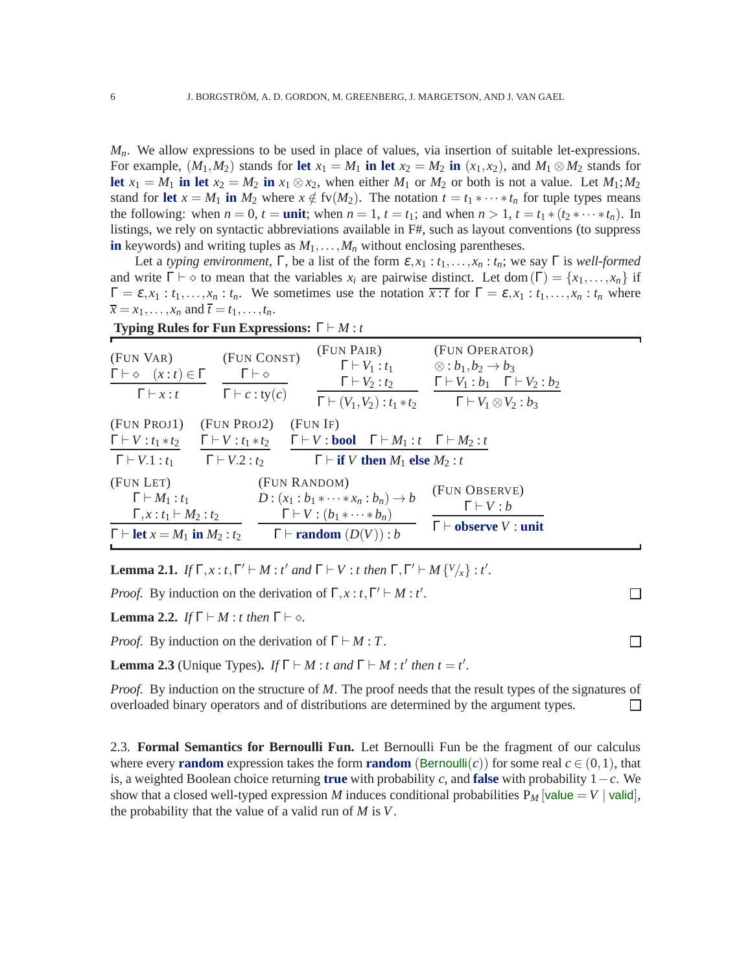*Mn*. We allow expressions to be used in place of values, via insertion of suitable let-expressions. For example,  $(M_1, M_2)$  stands for let  $x_1 = M_1$  in let  $x_2 = M_2$  in  $(x_1, x_2)$ , and  $M_1 \otimes M_2$  stands for let  $x_1 = M_1$  in let  $x_2 = M_2$  in  $x_1 \otimes x_2$ , when either  $M_1$  or  $M_2$  or both is not a value. Let  $M_1$ ;  $M_2$ stand for **let**  $x = M_1$  **in**  $M_2$  where  $x \notin f(v(M_2))$ . The notation  $t = t_1 * \cdots * t_n$  for tuple types means the following: when  $n = 0$ ,  $t = \text{unit}$ ; when  $n = 1$ ,  $t = t_1$ ; and when  $n > 1$ ,  $t = t_1 * (t_2 * \cdots * t_n)$ . In listings, we rely on syntactic abbreviations available in F#, such as layout conventions (to suppress **in** keywords) and writing tuples as  $M_1, \ldots, M_n$  without enclosing parentheses.

Let a *typing environment*,  $\Gamma$ , be a list of the form  $\varepsilon$ ,  $x_1 : t_1, \ldots, x_n : t_n$ ; we say  $\Gamma$  is *well-formed* and write  $\Gamma \vdash \diamond$  to mean that the variables  $x_i$  are pairwise distinct. Let dom ( $\Gamma$ ) = { $x_1, \ldots, x_n$ } if  $\Gamma = \varepsilon, x_1 : t_1, \ldots, x_n : t_n$ . We sometimes use the notation  $\overline{x : t}$  for  $\Gamma = \varepsilon, x_1 : t_1, \ldots, x_n : t_n$  where  $\overline{x} = x_1, \ldots, x_n$  and  $\overline{t} = t_1, \ldots, t_n$ .

<span id="page-5-6"></span><span id="page-5-5"></span><span id="page-5-3"></span><span id="page-5-2"></span><span id="page-5-1"></span><span id="page-5-0"></span>

| (FUN VAR)<br>$\Gamma \vdash \diamond$ $(x:t) \in \Gamma$<br>$\Gamma \vdash x : t$                                                             | (FUN CONST)<br>$\Gamma \vdash \diamond$<br>$\Gamma \vdash c : ty(c)$ | (FUN PAIR)<br>$\Gamma \vdash V_1 : t_1$<br>$\Gamma \vdash V_2 : t_2$<br>$\Gamma \vdash (V_1, V_2) : t_1 * t_2$                                                                                            | (FUN OPERATOR)<br>$\otimes$ : $b_1, b_2 \rightarrow b_3$<br>$\Gamma \vdash V_1 : b_1 \quad \Gamma \vdash V_2 : b_2$<br>$\Gamma \vdash V_1 \otimes V_2 : b_3$ |
|-----------------------------------------------------------------------------------------------------------------------------------------------|----------------------------------------------------------------------|-----------------------------------------------------------------------------------------------------------------------------------------------------------------------------------------------------------|--------------------------------------------------------------------------------------------------------------------------------------------------------------|
| (FUN PROJ1)<br>$\Gamma \vdash V : t_1 * t_2$<br>$\Gamma \vdash V.1 : t_1 \qquad \Gamma \vdash V.2 : t_2$                                      | (FUN PROJ2)                                                          | (FUN IF)<br>$\Gamma \vdash V : t_1 * t_2$ $\Gamma \vdash V : \textbf{bool}$ $\Gamma \vdash M_1 : t$ $\Gamma \vdash M_2 : t$<br>$\Gamma \vdash \textbf{if } V \textbf{ then } M_1 \textbf{ else } M_2 : t$ |                                                                                                                                                              |
| (FUN LET)<br>$\Gamma \vdash M_1 : t_1$<br>$\Gamma, x : t_1 \vdash M_2 : t_2$<br>$\Gamma \vdash \textbf{let } x = M_1 \textbf{ in } M_2 : t_2$ | (FUN RANDOM)                                                         | $D: (x_1 : b_1 * \cdots * x_n : b_n) \to b$<br>$\Gamma\vdash V:(b_1*\cdots*b_n)$<br>$\Gamma\vdash \textbf{random}(D(V)) : b$                                                                              | (FUN OBSERVE)<br>$\Gamma\vdash V:b$<br>$\Gamma \vdash$ observe V : unit                                                                                      |

**Typing Rules for Fun Expressions:** Γ ⊢ *M* : *t*

<span id="page-5-9"></span><span id="page-5-4"></span>**Lemma 2.1.** *If*  $\Gamma$ *,x* : *t*,  $\Gamma' \vdash M$  : *t'* and  $\Gamma \vdash V$  : *t* then  $\Gamma$ ,  $\Gamma' \vdash M$  {*V*/*x*} : *t'*.

*Proof.* By induction on the derivation of  $\Gamma, x : t, \Gamma' \vdash M : t'$ .

**Lemma 2.2.** *If*  $\Gamma \vdash M : t$  *then*  $\Gamma \vdash \diamond$ *.* 

*Proof.* By induction on the derivation of  $\Gamma \vdash M : T$ .

**Lemma 2.3** (Unique Types). *If*  $\Gamma \vdash M : t$  *and*  $\Gamma \vdash M : t'$  *then*  $t = t'$ .

*Proof.* By induction on the structure of *M*. The proof needs that the result types of the signatures of overloaded binary operators and of distributions are determined by the argument types.  $\Box$ 

<span id="page-5-8"></span><span id="page-5-7"></span> $\Box$ 

 $\Box$ 

2.3. **Formal Semantics for Bernoulli Fun.** Let Bernoulli Fun be the fragment of our calculus where every **random** expression takes the form **random** (Bernoulli $(c)$ ) for some real  $c \in (0,1)$ , that is, a weighted Boolean choice returning **true** with probability *c*, and **false** with probability  $1 - c$ . We show that a closed well-typed expression *M* induces conditional probabilities  $P_M$  [value = *V* | valid], the probability that the value of a valid run of *M* is *V*.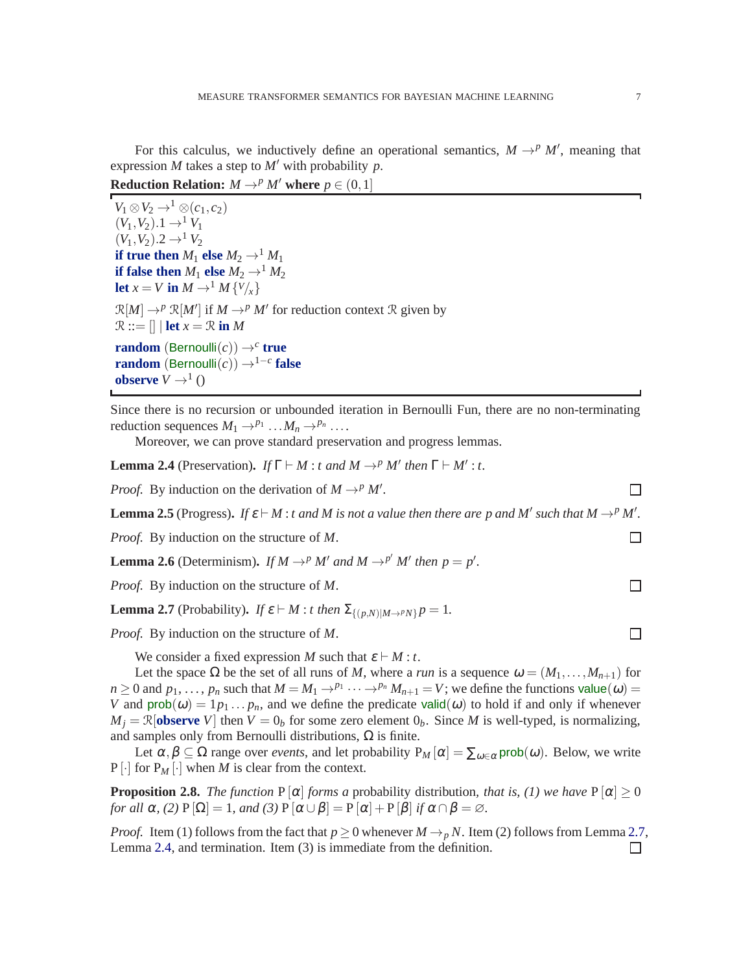For this calculus, we inductively define an operational semantics,  $M \rightarrow^p M'$ , meaning that expression *M* takes a step to *M*′ with probability *p*.

**Reduction Relation:**  $M \rightarrow^p M'$  where  $p \in (0,1]$ 

 $V_1 \otimes V_2 \rightarrow^1 \otimes (c_1, c_2)$  $(V_1, V_2)$ .1  $\rightarrow$ <sup>1</sup>  $V_1$  $(V_1, V_2)$ .2 →<sup>1</sup>  $V_2$ **if true then**  $M_1$  **else**  $M_2 \rightarrow M_1$ **if false then**  $M_1$  **else**  $M_2 \rightarrow M_2$ **let**  $x = V$  **in**  $M \rightarrow$ <sup>1</sup>  $M \{V\}_{x}$  $\mathcal{R}[M] \rightarrow^p \mathcal{R}[M']$  if  $M \rightarrow^p M'$  for reduction context R given by  $\mathcal{R} ::= \left[ \right] \mid \textbf{let } x = \mathcal{R} \textbf{ in } M$ **random** (Bernoulli $(c)$ )  $\rightarrow$ <sup>*c*</sup> **true random**  $(\text{Bernoulli}(c)) \rightarrow^{1-c}$  **false observe**  $V \rightarrow^1$  ()

Since there is no recursion or unbounded iteration in Bernoulli Fun, there are no non-terminating reduction sequences  $M_1 \rightarrow P_1 \dots M_n \rightarrow P_n \dots$ 

Moreover, we can prove standard preservation and progress lemmas.

<span id="page-6-1"></span>**Lemma 2.4** (Preservation). *If*  $\Gamma \vdash M : t$  *and*  $M \rightarrow^p M'$  *then*  $\Gamma \vdash M' : t$ .

*Proof.* By induction on the derivation of  $M \rightarrow^p M'$ .

**Lemma 2.5** (Progress). If  $\varepsilon \vdash M$  : *t and M is not a value then there are p and M' such that*  $M \rightarrow^p M'$ .

*Proof.* By induction on the structure of *M*.

**Lemma 2.6** (Determinism). If  $M \rightarrow^p M'$  and  $M \rightarrow^{p'} M'$  then  $p = p'$ .

*Proof.* By induction on the structure of *M*.

<span id="page-6-0"></span>**Lemma 2.7** (Probability). *If*  $\varepsilon \vdash M$  : *t then*  $\Sigma_{\{(\rho, N)|M \to P N\}} p = 1$ .

*Proof.* By induction on the structure of *M*.

We consider a fixed expression *M* such that  $\varepsilon \vdash M : t$ .

Let the space  $\Omega$  be the set of all runs of *M*, where a *run* is a sequence  $\omega = (M_1, \ldots, M_{n+1})$  for  $n \ge 0$  and  $p_1, \ldots, p_n$  such that  $M = M_1 \rightarrow^{p_1} \cdots \rightarrow^{p_n} M_{n+1} = V$ ; we define the functions value( $\omega$ ) = *V* and  $prob(\omega) = 1p_1 \dots p_n$ , and we define the predicate valid $(\omega)$  to hold if and only if whenever  $M_i = \mathbb{R}$ [**observe** *V*] then  $V = 0_b$  for some zero element  $0_b$ . Since *M* is well-typed, is normalizing, and samples only from Bernoulli distributions,  $\Omega$  is finite.

Let  $\alpha, \beta \subseteq \Omega$  range over *events*, and let probability  $P_M[\alpha] = \sum_{\omega \in \alpha} \text{prob}(\omega)$ . Below, we write  $P[\cdot]$  for  $P_M[\cdot]$  when *M* is clear from the context.

**Proposition 2.8.** *The function* P  $[\alpha]$  *forms a* probability distribution, *that is, (1) we have* P  $[\alpha] \ge 0$ *for all*  $\alpha$ *, (2)*  $P[\Omega] = 1$ *, and (3)*  $P[\alpha \cup \beta] = P[\alpha] + P[\beta]$  *if*  $\alpha \cap \beta = \emptyset$ *.* 

*Proof.* Item (1) follows from the fact that  $p \ge 0$  whenever  $M \to pN$ . Item (2) follows from Lemma [2.7,](#page-6-0) Lemma 2.4, and termination. Item (3) is immediate from the definition. Lemma [2.4,](#page-6-1) and termination. Item (3) is immediate from the definition.

 $\Box$ 

 $\Box$ 

 $\Box$ 

П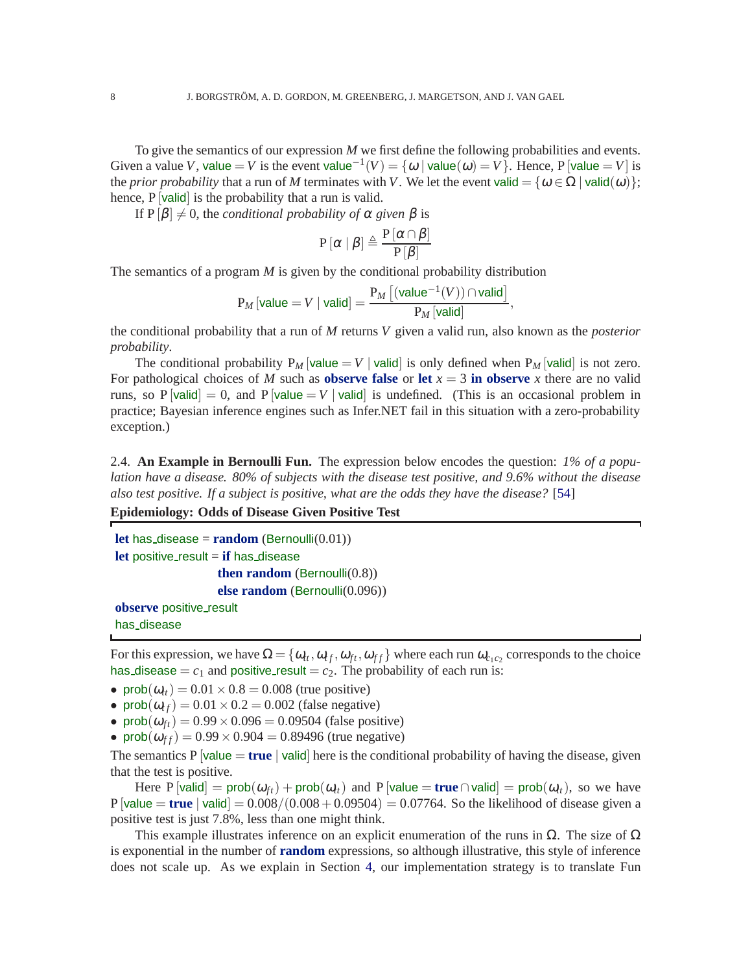To give the semantics of our expression *M* we first define the following probabilities and events. Given a value *V*, value = *V* is the event value<sup>-1</sup>(*V*) = { $\omega$  | value( $\omega$ ) = *V*}. Hence, P [value = *V*] is the *prior probability* that a run of *M* terminates with *V*. We let the event valid = { $\omega \in \Omega$  | valid( $\omega$ )}; hence, P [valid] is the probability that a run is valid.

If  $P[\beta] \neq 0$ , the *conditional probability of*  $\alpha$  *given*  $\beta$  is

$$
\mathrm{P}\left[\alpha\mid\beta\right]\triangleq\frac{\mathrm{P}\left[\alpha\cap\beta\right]}{\mathrm{P}\left[\beta\right]}
$$

The semantics of a program *M* is given by the conditional probability distribution

$$
\mathrm{P}_M\left[\text{value}=V \mid \text{valid}\right] = \frac{\mathrm{P}_M\left[\left(\text{value}^{-1}(V)\right) \cap \text{valid}\right]}{\mathrm{P}_M\left[\text{valid}\right]}
$$

,

the conditional probability that a run of *M* returns *V* given a valid run, also known as the *posterior probability*.

The conditional probability  $P_M$  [value = V | valid] is only defined when  $P_M$  [valid] is not zero. For pathological choices of *M* such as **observe false** or let  $x = 3$  in observe *x* there are no valid runs, so P  $\left[$ valid $\right] = 0$ , and P  $\left[$ value  $= V \right]$  valid is undefined. (This is an occasional problem in practice; Bayesian inference engines such as Infer.NET fail in this situation with a zero-probability exception.)

2.4. **An Example in Bernoulli Fun.** The expression below encodes the question: *1% of a population have a disease. 80% of subjects with the disease test positive, and 9.6% without the disease also test positive. If a subject is positive, what are the odds they have the disease?* [\[54\]](#page-38-13)

**Epidemiology: Odds of Disease Given Positive Test**

```
let has disease = \mathbf{random} (Bernoulli(0.01))
let positive_result = if has disease
                   then random (Bernoulli(0.8))
                   else random (Bernoulli(0.096))
observe positive_result
has_disease
```
For this expression, we have  $\Omega = \{\omega_t, \omega_{tf}, \omega_{ft}, \omega_{ff}\}$  where each run  $\omega_{c_1c_2}$  corresponds to the choice has disease  $=c_1$  and positive result  $=c_2$ . The probability of each run is:

- prob $(\omega_{tt})$  = 0.01  $\times$  0.8 = 0.008 (true positive)
- prob $(\omega_{tf})$  = 0.01 × 0.2 = 0.002 (false negative)
- prob $(\omega_{ft}) = 0.99 \times 0.096 = 0.09504$  (false positive)
- prob $(\omega_{ff})$  = 0.99  $\times$  0.904 = 0.89496 (true negative)

The semantics P  $\vert$ value = **true**  $\vert$  valid here is the conditional probability of having the disease, given that the test is positive.

Here P  $[$ valid $]$  = prob $(\omega_{ft})$  + prob $(\omega_{tt})$  and P  $[$ value = **true**  $\cap$  valid $]$  = prob $(\omega_{tt})$ , so we have  $P$  [value = **true** | valid] =  $0.008/(0.008+0.09504) = 0.07764$ . So the likelihood of disease given a positive test is just 7.8%, less than one might think.

This example illustrates inference on an explicit enumeration of the runs in  $\Omega$ . The size of  $\Omega$ is exponential in the number of **random** expressions, so although illustrative, this style of inference does not scale up. As we explain in Section [4,](#page-17-0) our implementation strategy is to translate Fun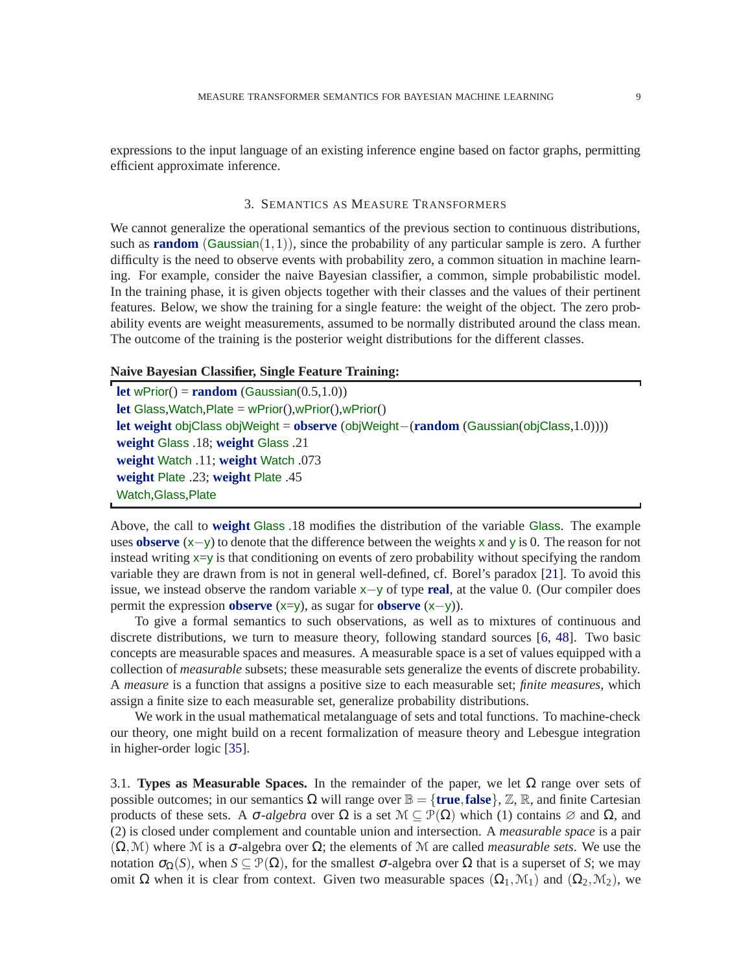<span id="page-8-0"></span>expressions to the input language of an existing inference engine based on factor graphs, permitting efficient approximate inference.

#### 3. SEMANTICS AS MEASURE TRANSFORMERS

We cannot generalize the operational semantics of the previous section to continuous distributions, such as **random** (Gaussian(1,1)), since the probability of any particular sample is zero. A further difficulty is the need to observe events with probability zero, a common situation in machine learning. For example, consider the naive Bayesian classifier, a common, simple probabilistic model. In the training phase, it is given objects together with their classes and the values of their pertinent features. Below, we show the training for a single feature: the weight of the object. The zero probability events are weight measurements, assumed to be normally distributed around the class mean. The outcome of the training is the posterior weight distributions for the different classes.

## **Naive Bayesian Classifier, Single Feature Training:**

**let** wPrior() = **random** (Gaussian( $0.5,1.0$ )) **let** Glass,Watch,Plate = wPrior(),wPrior(),wPrior() **let weight** objClass objWeight = **observe** (objWeight−(**random** (Gaussian(objClass,1.0)))) **weight** Glass .18; **weight** Glass .21 **weight** Watch .11; **weight** Watch .073 **weight** Plate .23; **weight** Plate .45 Watch,Glass,Plate

<span id="page-8-1"></span>Above, the call to **weight** Glass .18 modifies the distribution of the variable Glass. The example uses **observe** (x−y) to denote that the difference between the weights <sup>x</sup> and <sup>y</sup> is 0. The reason for not instead writing  $x=y$  is that conditioning on events of zero probability without specifying the random variable they are drawn from is not in general well-defined, cf. Borel's paradox [\[21\]](#page-37-11). To avoid this issue, we instead observe the random variable <sup>x</sup>−<sup>y</sup> of type **real**, at the value 0. (Our compiler does permit the expression **observe** (x=y), as sugar for **observe** (x−y)).

To give a formal semantics to such observations, as well as to mixtures of continuous and discrete distributions, we turn to measure theory, following standard sources [\[6,](#page-37-12) [48\]](#page-38-14). Two basic concepts are measurable spaces and measures. A measurable space is a set of values equipped with a collection of *measurable* subsets; these measurable sets generalize the events of discrete probability. A *measure* is a function that assigns a positive size to each measurable set; *finite measures*, which assign a finite size to each measurable set, generalize probability distributions.

We work in the usual mathematical metalanguage of sets and total functions. To machine-check our theory, one might build on a recent formalization of measure theory and Lebesgue integration in higher-order logic [\[35\]](#page-38-15).

3.1. **Types as Measurable Spaces.** In the remainder of the paper, we let  $\Omega$  range over sets of possible outcomes; in our semantics  $\Omega$  will range over  $\mathbb{B} = \{$ **true**, **false** $\}$ ,  $\mathbb{Z}$ ,  $\mathbb{R}$ , and finite Cartesian products of these sets. A  $\sigma$ -*algebra* over  $\Omega$  is a set  $\mathcal{M} \subseteq \mathcal{P}(\Omega)$  which (1) contains  $\varnothing$  and  $\Omega$ , and (2) is closed under complement and countable union and intersection. A *measurable space* is a pair  $(\Omega, \mathcal{M})$  where M is a  $\sigma$ -algebra over  $\Omega$ ; the elements of M are called *measurable sets*. We use the notation  $\sigma_{\Omega}(S)$ , when  $S \subseteq \mathcal{P}(\Omega)$ , for the smallest σ-algebra over  $\Omega$  that is a superset of *S*; we may omit Ω when it is clear from context. Given two measurable spaces  $(Ω<sub>1</sub>, M<sub>1</sub>)$  and  $(Ω<sub>2</sub>, M<sub>2</sub>)$ , we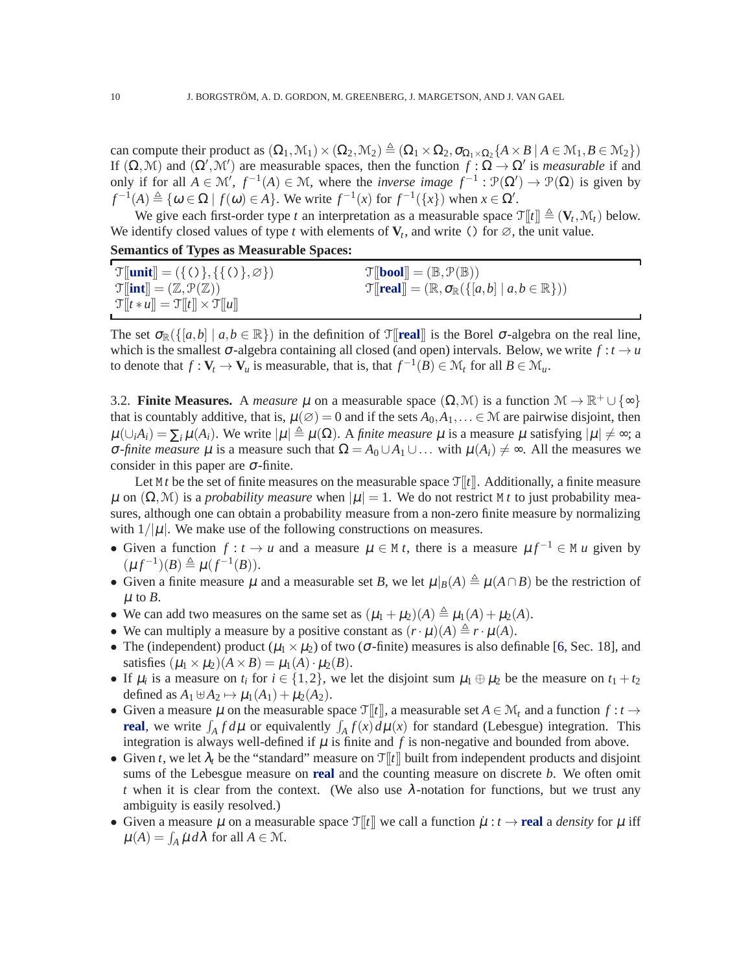can compute their product as  $(\Omega_1, \mathcal{M}_1) \times (\Omega_2, \mathcal{M}_2) \triangleq (\Omega_1 \times \Omega_2, \sigma_{\Omega_1 \times \Omega_2} \{A \times B \mid A \in \mathcal{M}_1, B \in \mathcal{M}_2\})$ If  $(\Omega, \mathcal{M})$  and  $(\Omega', \mathcal{M}')$  are measurable spaces, then the function  $f : \Omega \to \Omega'$  is *measurable* if and only if for all  $A \in \mathcal{M}'$ ,  $f^{-1}(A) \in \mathcal{M}$ , where the *inverse image*  $f^{-1} : \mathcal{P}(\Omega') \to \mathcal{P}(\Omega)$  is given by  $f^{-1}(A) \triangleq \{ \omega \in \Omega \mid f(\omega) \in A \}.$  We write  $f^{-1}(x)$  for  $f^{-1}(\lbrace x \rbrace)$  when  $x \in \Omega'.$ 

We give each first-order type *t* an interpretation as a measurable space  $\mathcal{T}[[t]] \triangleq (\mathbf{V}_t, \mathcal{M}_t)$  below. We identify closed values of type *t* with elements of  $V_t$ , and write () for  $\emptyset$ , the unit value.

## **Semantics of Types as Measurable Spaces:**

| $\mathcal{T}$ [ <i>unit</i> ] = ({()}, {{()}, \ample          | $\mathcal{T}[\mathbf{bool}] = (\mathbb{B}, \mathcal{P}(\mathbb{B}))$                              |
|---------------------------------------------------------------|---------------------------------------------------------------------------------------------------|
| $\mathcal{T}$ [int] = $(\mathbb{Z}, \mathcal{P}(\mathbb{Z}))$ | $\mathcal{T}[\text{real}] = (\mathbb{R}, \sigma_{\mathbb{R}}(\{[a,b] \mid a,b \in \mathbb{R}\}))$ |
| $\mathcal{T}[t * u] = \mathcal{T}[t] \times \mathcal{T}[u]$   |                                                                                                   |

The set  $\sigma_{\mathbb{R}}(\{[a,b] \mid a,b \in \mathbb{R}\})$  in the definition of  $\mathcal{T}[\text{real}]$  is the Borel  $\sigma$ -algebra on the real line, which is the smallest  $\sigma$ -algebra containing all closed (and open) intervals. Below, we write  $f : t \to u$ to denote that  $f: \mathbf{V}_t \to \mathbf{V}_u$  is measurable, that is, that  $f^{-1}(\tilde{B}) \in \mathcal{M}_t$  for all  $B \in \mathcal{M}_u$ .

3.2. **Finite Measures.** A *measure*  $\mu$  on a measurable space  $(\Omega, \mathcal{M})$  is a function  $\mathcal{M} \to \mathbb{R}^+ \cup \{\infty\}$ that is countably additive, that is,  $\mu(\emptyset) = 0$  and if the sets  $A_0, A_1, \ldots \in \mathcal{M}$  are pairwise disjoint, then  $\mu(\cup_i A_i) = \sum_i \mu(A_i)$ . We write  $|\mu| \triangleq \mu(\Omega)$ . A *finite measure*  $\mu$  is a measure  $\mu$  satisfying  $|\mu| \neq \infty$ ; a *σ-finite measure* μ is a measure such that  $Ω = A₀ ∪ A₁ ∪ ...$  with  $μ(A<sub>i</sub>) ≠ ∞$ . All the measures we consider in this paper are  $\sigma$ -finite.

Let  $M t$  be the set of finite measures on the measurable space  $\mathcal{T}[[t]]$ . Additionally, a finite measure  $\mu$  on  $(\Omega, \mathcal{M})$  is a *probability measure* when  $|\mu| = 1$ . We do not restrict M *t* to just probability measures, although one can obtain a probability measure from a non-zero finite measure by normalizing with  $1/|\mu|$ . We make use of the following constructions on measures.

- Given a function  $f: t \to u$  and a measure  $\mu \in M$  *t*, there is a measure  $\mu f^{-1} \in M$  *u* given by  $(\mu f^{-1})(B) \triangleq \mu (f^{-1}(B)).$
- Given a finite measure  $\mu$  and a measurable set *B*, we let  $\mu|_B(A) \triangleq \mu(A \cap B)$  be the restriction of  $\mu$  to  $B$ .
- We can add two measures on the same set as  $(\mu_1 + \mu_2)(A) \triangleq \mu_1(A) + \mu_2(A)$ .
- We can multiply a measure by a positive constant as  $(r \cdot \mu)(A) \triangleq r \cdot \mu(A)$ .
- The (independent) product  $(\mu_1 \times \mu_2)$  of two ( $\sigma$ -finite) measures is also definable [\[6,](#page-37-12) Sec. 18], and satisfies  $(\mu_1 \times \mu_2)(A \times B) = \mu_1(A) \cdot \mu_2(B)$ .
- If  $\mu_i$  is a measure on  $t_i$  for  $i \in \{1,2\}$ , we let the disjoint sum  $\mu_1 \oplus \mu_2$  be the measure on  $t_1 + t_2$ defined as  $A_1 \oplus A_2 \mapsto \mu_1(A_1) + \mu_2(A_2)$ .
- Given a measure  $\mu$  on the measurable space  $\mathcal{T}[[t]]$ , a measurable set  $A \in \mathcal{M}_t$  and a function  $f : t \to t$ **real**, we write  $\int_A f d\mu$  or equivalently  $\int_A f(x) d\mu(x)$  for standard (Lebesgue) integration. This integration is always well-defined if  $\mu$  is finite and  $f$  is non-negative and bounded from above.
- Given *t*, we let  $\lambda_t$  be the "standard" measure on  $\mathcal{T}[t]$  built from independent products and disjoint sums of the Lebesgue measure on **real** and the counting measure on discrete *b*. We often omit *t* when it is clear from the context. (We also use  $\lambda$ -notation for functions, but we trust any ambiguity is easily resolved.)
- Given a measure  $\mu$  on a measurable space  $\mathcal{T}[t]$  we call a function  $\mu : t \to \text{real}$  a *density* for  $\mu$  iff  $\mu(A) = \int_A \mu \, d\lambda$  for all  $A \in \mathcal{M}$ .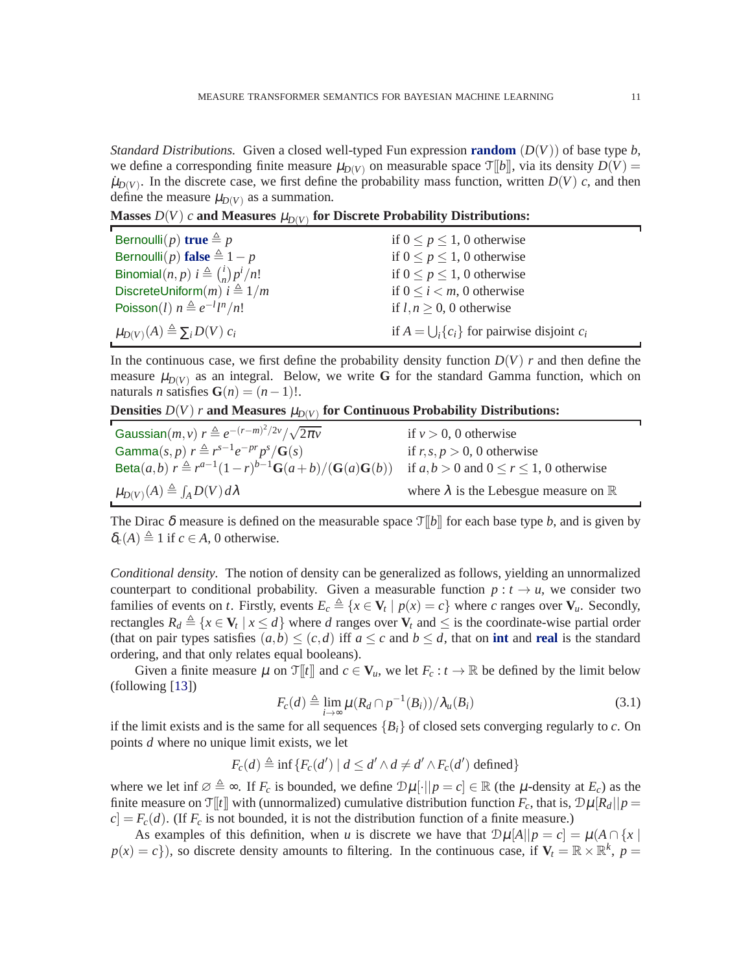*Standard Distributions.* Given a closed well-typed Fun expression **random**  $(D(V))$  of base type *b*, we define a corresponding finite measure  $\mu_{D(V)}$  on measurable space  $\mathcal{T}[b]$ , via its density  $D(V)$  =  $\mu_{D(V)}$ . In the discrete case, we first define the probability mass function, written  $D(V)$  *c*, and then define the measure  $\mu_{D(V)}$  as a summation.

Masses  $D(V)$  *c* and Measures  $\mu_{D(V)}$  for Discrete Probability Distributions:

| Bernoulli $(p)$ true $\triangleq p$                   | if $0 \le p \le 1$ , 0 otherwise                       |
|-------------------------------------------------------|--------------------------------------------------------|
| Bernoulli $(p)$ false $\triangleq 1 - p$              | if $0 \le p \le 1$ , 0 otherwise                       |
| Binomial $(n, p)$ $i \triangleq {i \choose n} p^i/n!$ | if $0 \le p \le 1$ , 0 otherwise                       |
| DiscreteUniform $(m)$ $i \triangleq 1/m$              | if $0 \le i \le m$ , 0 otherwise                       |
| Poisson(l) $n \triangleq e^{-l}l^{n}/n!$              | if $l, n \geq 0$ , 0 otherwise                         |
| $\mu_{D(V)}(A) \triangleq \sum_i D(V) c_i$            | if $A = \bigcup_i \{c_i\}$ for pairwise disjoint $c_i$ |

In the continuous case, we first define the probability density function  $D(V)$  *r* and then define the measure  $\mu_{D(V)}$  as an integral. Below, we write G for the standard Gamma function, which on naturals *n* satisfies  $\mathbf{G}(n) = (n-1)!$ .

Densities  $D(V)$  *r* and Measures  $\mu_{D(V)}$  for Continuous Probability Distributions:

| Gaussian $(m, v)$ $r \triangleq e^{-(r-m)^2/2v}/\sqrt{2\pi v}$                    | if $v > 0$ , 0 otherwise                               |
|-----------------------------------------------------------------------------------|--------------------------------------------------------|
| Gamma $(s, p)$ $r \triangleq r^{s-1}e^{-pr}p^{s}/\mathbf{G}(s)$                   | if $r, s, p > 0$ , 0 otherwise                         |
| <b>Beta</b> $(a,b)$ $r \triangleq r^{a-1}(1-r)^{b-1}$ <b>G</b> $(a+b)/(G(a)G(b))$ | if $a, b > 0$ and $0 \le r \le 1$ , 0 otherwise        |
| $\mu_{D(V)}(A) \triangleq \int_A D(V) d\lambda$                                   | where $\lambda$ is the Lebesgue measure on $\mathbb R$ |

The Dirac  $\delta$  measure is defined on the measurable space  $\mathcal{T}[[b]]$  for each base type *b*, and is given by  $\delta_c(A) \triangleq 1$  if  $c \in A$ , 0 otherwise.

*Conditional density.* The notion of density can be generalized as follows, yielding an unnormalized counterpart to conditional probability. Given a measurable function  $p : t \to u$ , we consider two families of events on *t*. Firstly, events  $E_c \triangleq \{x \in V_t \mid p(x) = c\}$  where *c* ranges over  $V_u$ . Secondly, rectangles  $R_d \triangleq \{x \in V_t \mid x \leq d\}$  where *d* ranges over  $V_t$  and  $\leq$  is the coordinate-wise partial order (that on pair types satisfies  $(a,b) \leq (c,d)$  iff  $a \leq c$  and  $b \leq d$ , that on **int** and **real** is the standard ordering, and that only relates equal booleans).

Given a finite measure  $\mu$  on  $\mathcal{T}[t]$  and  $c \in V_u$ , we let  $F_c : t \to \mathbb{R}$  be defined by the limit below (following [\[13\]](#page-37-13))

<span id="page-10-0"></span>
$$
F_c(d) \triangleq \lim_{i \to \infty} \mu(R_d \cap p^{-1}(B_i)) / \lambda_u(B_i)
$$
\n(3.1)

if the limit exists and is the same for all sequences  ${B_i}$  of closed sets converging regularly to *c*. On points *d* where no unique limit exists, we let

$$
F_c(d) \triangleq \inf \{ F_c(d') \mid d \leq d' \wedge d \neq d' \wedge F_c(d') \text{ defined} \}
$$

where we let inf  $\emptyset \triangleq \infty$ . If  $F_c$  is bounded, we define  $\mathcal{D}\mu[\cdot||p=c] \in \mathbb{R}$  (the  $\mu$ -density at  $E_c$ ) as the finite measure on  $\mathcal{T}[t]$  with (unnormalized) cumulative distribution function  $F_c$ , that is,  $\mathcal{D}\mu[R_d||p =$  $c = F_c(d)$ . (If  $F_c$  is not bounded, it is not the distribution function of a finite measure.)

As examples of this definition, when *u* is discrete we have that  $\mathcal{D}\mu[A||p = c] = \mu(A \cap \{x \mid \mathcal{A}\mu\}$  $p(x) = c$ ), so discrete density amounts to filtering. In the continuous case, if  $V_t = \mathbb{R} \times \mathbb{R}^k$ ,  $p =$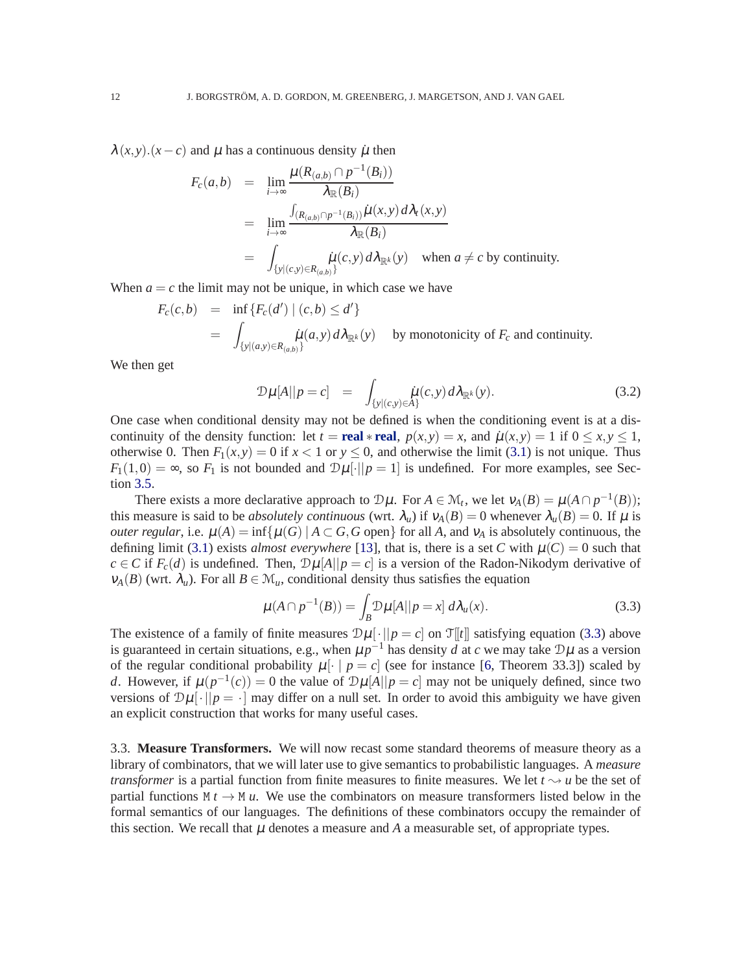$\lambda(x, y)$ .  $(x - c)$  and  $\mu$  has a continuous density  $\mu$  then

$$
F_c(a,b) = \lim_{i \to \infty} \frac{\mu(R_{(a,b)} \cap p^{-1}(B_i))}{\lambda_{\mathbb{R}}(B_i)}
$$
  
\n
$$
= \lim_{i \to \infty} \frac{\int_{(R_{(a,b)} \cap p^{-1}(B_i))} \mu(x, y) d\lambda_t(x, y)}{\lambda_{\mathbb{R}}(B_i)}
$$
  
\n
$$
= \int_{\{y|(c,y) \in R_{(a,b)}\}} \mu(c,y) d\lambda_{\mathbb{R}^k}(y) \text{ when } a \neq c \text{ by continuity.}
$$

When  $a = c$  the limit may not be unique, in which case we have

$$
F_c(c,b) = \inf \{ F_c(d') \mid (c,b) \le d' \}
$$
  
= 
$$
\int_{\{y|(a,y)\in R_{(a,b)}\}} \mu(a,y) d\lambda_{\mathbb{R}^k}(y) \text{ by monotonicity of } F_c \text{ and continuity.}
$$

We then get

<span id="page-11-1"></span>
$$
\mathcal{D}\mu[A||p=c] = \int_{\{y|(c,y)\in A\}} \dot{\mu}(c,y) d\lambda_{\mathbb{R}^k}(y). \tag{3.2}
$$

One case when conditional density may not be defined is when the conditioning event is at a discontinuity of the density function: let  $t = \text{real} * \text{real}$ ,  $p(x, y) = x$ , and  $\mu(x, y) = 1$  if  $0 \le x, y \le 1$ , otherwise 0. Then  $F_1(x, y) = 0$  if  $x < 1$  or  $y \le 0$ , and otherwise the limit [\(3.1\)](#page-10-0) is not unique. Thus  $F_1(1,0) = \infty$ , so  $F_1$  is not bounded and  $\mathcal{D}\mu[\cdot||p = 1]$  is undefined. For more examples, see Section [3.5.](#page-14-1)

There exists a more declarative approach to  $\mathcal{D}\mu$ . For  $A \in \mathcal{M}_t$ , we let  $v_A(B) = \mu(A \cap p^{-1}(B))$ ; this measure is said to be *absolutely continuous* (wrt.  $\lambda_u$ ) if  $v_A(B) = 0$  whenever  $\lambda_u(B) = 0$ . If  $\mu$  is *outer regular*, i.e.  $\mu(A) = \inf \{ \mu(G) \mid A \subset G, G \text{ open} \}$  for all *A*, and  $v_A$  is absolutely continuous, the defining limit [\(3.1\)](#page-10-0) exists *almost everywhere* [\[13\]](#page-37-13), that is, there is a set *C* with  $\mu(C) = 0$  such that *c* ∈ *C* if  $F_c(d)$  is undefined. Then,  $D\mu[A||p = c]$  is a version of the Radon-Nikodym derivative of  $v_A(B)$  (wrt.  $\lambda_u$ ). For all  $B \in \mathcal{M}_u$ , conditional density thus satisfies the equation

<span id="page-11-0"></span>
$$
\mu(A \cap p^{-1}(B)) = \int_B \mathcal{D}\mu[A||p = x] d\lambda_u(x). \tag{3.3}
$$

The existence of a family of finite measures  $\mathcal{D}\mu[\cdot||p=c]$  on  $\mathcal{T}[[t]]$  satisfying equation [\(3.3\)](#page-11-0) above is guaranteed in certain situations, e.g., when  $\mu p^{-1}$  has density *d* at *c* we may take  $\mathcal{D}\mu$  as a version of the regular conditional probability  $\mu[\cdot | p = c]$  (see for instance [\[6,](#page-37-12) Theorem 33.3]) scaled by *d*. However, if  $\mu(p^{-1}(c)) = 0$  the value of  $\mathcal{D}\mu[A||p = c]$  may not be uniquely defined, since two versions of  $\mathcal{D}\mu[\cdot||p = \cdot]$  may differ on a null set. In order to avoid this ambiguity we have given an explicit construction that works for many useful cases.

3.3. **Measure Transformers.** We will now recast some standard theorems of measure theory as a library of combinators, that we will later use to give semantics to probabilistic languages. A *measure transformer* is a partial function from finite measures to finite measures. We let  $t \rightarrow u$  be the set of partial functions  $M t \rightarrow M u$ . We use the combinators on measure transformers listed below in the formal semantics of our languages. The definitions of these combinators occupy the remainder of this section. We recall that  $\mu$  denotes a measure and  $A$  a measurable set, of appropriate types.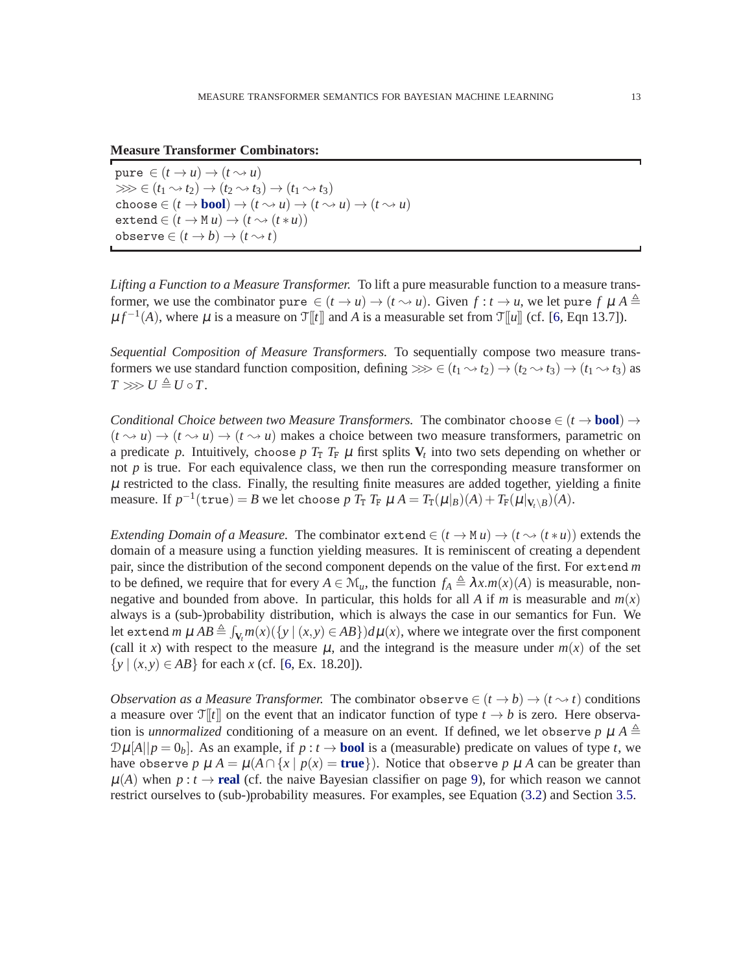**Measure Transformer Combinators:**

pure  $\in (t \to u) \to (t \leadsto u)$  $\gg \geq (t_1 \rightsquigarrow t_2) \rightarrow (t_2 \rightsquigarrow t_3) \rightarrow (t_1 \rightsquigarrow t_3)$ choose  $\in (t \to \mathbf{bool}) \to (t \leadsto u) \to (t \leadsto u) \to (t \leadsto u)$  $ext{end} \in (t \rightarrow M u) \rightarrow (t \rightarrow (t * u))$  $\text{observe} \in (t \to b) \to (t \to t)$ 

*Lifting a Function to a Measure Transformer.* To lift a pure measurable function to a measure transformer, we use the combinator pure  $\in (t \to u) \to (t \sim u)$ . Given  $f: t \to u$ , we let pure  $f \mu A \triangleq$  $\mu f^{-1}(A)$ , where  $\mu$  is a measure on  $\mathcal{T}[[t]]$  and *A* is a measurable set from  $\mathcal{T}[[u]]$  (cf. [\[6,](#page-37-12) Eqn 13.7]).

*Sequential Composition of Measure Transformers.* To sequentially compose two measure transformers we use standard function composition, defining  $\gg \geq \left(\frac{t_1 \rightsquigarrow t_2}{t_2 \rightsquigarrow t_3}\right) \rightarrow \left(\frac{t_1 \rightsquigarrow t_3}{t_3 \right)$  as  $T \gg U \triangleq U \circ T$ .

*Conditional Choice between two Measure Transformers.* The combinator choose  $\in (t \rightarrow \text{bool}) \rightarrow$  $(t \sim u) \rightarrow (t \sim u) \rightarrow (t \sim u)$  makes a choice between two measure transformers, parametric on a predicate p. Intuitively, choose p  $T_T$   $T_F$   $\mu$  first splits  $V_t$  into two sets depending on whether or not  $p$  is true. For each equivalence class, we then run the corresponding measure transformer on  $\mu$  restricted to the class. Finally, the resulting finite measures are added together, yielding a finite measure. If  $p^{-1}(\texttt{true}) = B$  we let choose  $p$   $T_T$   $T_F$   $\mu$   $A = T_T(\mu|_B)(A) + T_F(\mu|_{V_t \setminus B})(A)$ .

*Extending Domain of a Measure.* The combinator extend  $\in (t \to M u) \to (t \to (t * u))$  extends the domain of a measure using a function yielding measures. It is reminiscent of creating a dependent pair, since the distribution of the second component depends on the value of the first. For extend *m* to be defined, we require that for every  $A \in \mathcal{M}_u$ , the function  $f_A \triangleq \lambda x.m(x)(A)$  is measurable, nonnegative and bounded from above. In particular, this holds for all *A* if *m* is measurable and  $m(x)$ always is a (sub-)probability distribution, which is always the case in our semantics for Fun. We let extend  $m \mu AB \triangleq \int_{V_t} m(x) (\{y \mid (x, y) \in AB\}) d\mu(x)$ , where we integrate over the first component (call it *x*) with respect to the measure  $\mu$ , and the integrand is the measure under  $m(x)$  of the set  $\{y \mid (x, y) \in AB\}$  for each *x* (cf. [\[6,](#page-37-12) Ex. 18.20]).

*Observation as a Measure Transformer.* The combinator observe  $\in (t \to b) \to (t \to t)$  conditions a measure over  $\mathcal{T}[t]$  on the event that an indicator function of type  $t \to b$  is zero. Here observation is *unnormalized* conditioning of a measure on an event. If defined, we let observe *p*  $\mu$   $A \triangleq$  $\mathcal{D}\mu[A||p=0_b]$ . As an example, if  $p: t \to \textbf{bool}$  is a (measurable) predicate on values of type *t*, we have observe *p*  $\mu A = \mu(A \cap \{x \mid p(x) = \text{true}\})$ . Notice that observe *p*  $\mu A$  can be greater than  $\mu(A)$  when  $p : t \to \text{real}$  (cf. the naive Bayesian classifier on page [9\)](#page-8-1), for which reason we cannot restrict ourselves to (sub-)probability measures. For examples, see Equation [\(3.2\)](#page-11-1) and Section [3.5.](#page-14-1)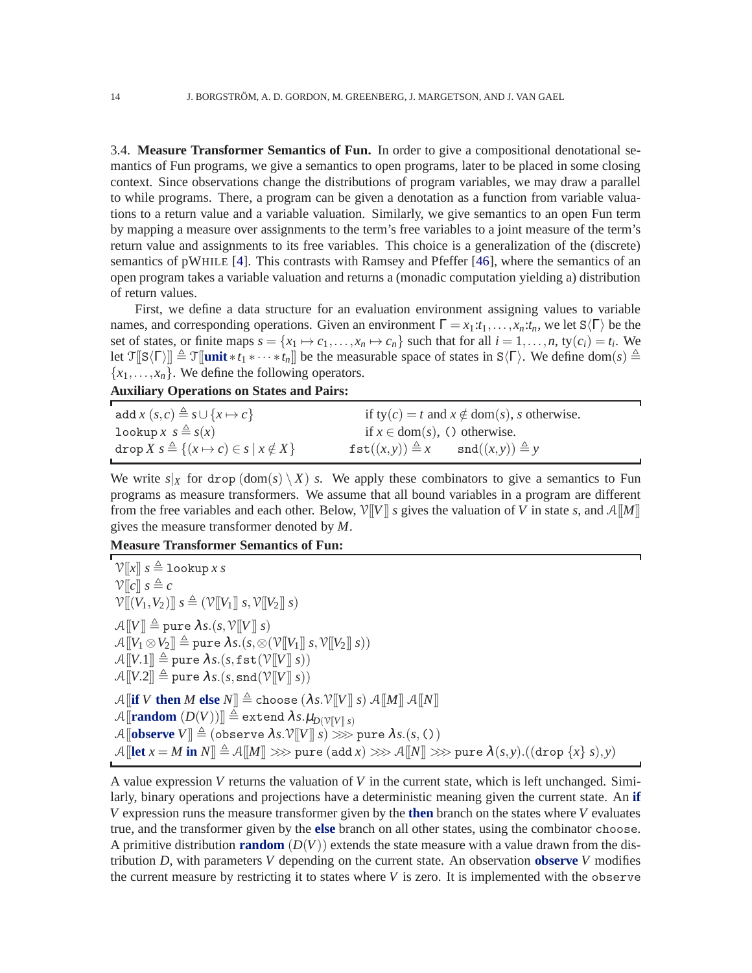3.4. **Measure Transformer Semantics of Fun.** In order to give a compositional denotational semantics of Fun programs, we give a semantics to open programs, later to be placed in some closing context. Since observations change the distributions of program variables, we may draw a parallel to while programs. There, a program can be given a denotation as a function from variable valuations to a return value and a variable valuation. Similarly, we give semantics to an open Fun term by mapping a measure over assignments to the term's free variables to a joint measure of the term's return value and assignments to its free variables. This choice is a generalization of the (discrete) semantics of pWHILE [\[4\]](#page-37-14). This contrasts with Ramsey and Pfeffer [\[46\]](#page-38-16), where the semantics of an open program takes a variable valuation and returns a (monadic computation yielding a) distribution of return values.

First, we define a data structure for an evaluation environment assigning values to variable names, and corresponding operations. Given an environment  $\Gamma = x_1 : t_1, \ldots, x_n : t_n$ , we let  $S(\Gamma)$  be the set of states, or finite maps  $s = \{x_1 \mapsto c_1, \ldots, x_n \mapsto c_n\}$  such that for all  $i = 1, \ldots, n$ , ty $(c_i) = t_i$ . We let  $\mathcal{T}[\mathbb{S}\langle\Gamma\rangle]\triangleq \mathcal{T}[\text{unit} * t_1 * \cdots * t_n]]$  be the measurable space of states in  $\mathbb{S}\langle\Gamma\rangle$ . We define dom(*s*)  $\triangleq$  ${x_1, \ldots, x_n}$ . We define the following operators.

**Auxiliary Operations on States and Pairs:**

| add $x(s,c) \triangleq s \cup \{x \mapsto c\}$                                       |                                                                         | if $ty(c) = t$ and $x \notin dom(s)$ , s otherwise. |
|--------------------------------------------------------------------------------------|-------------------------------------------------------------------------|-----------------------------------------------------|
| lookup $x \text{ s} \triangleq s(x)$                                                 | if $x \in \text{dom}(s)$ , () otherwise.                                |                                                     |
| $\text{drop } X \le \stackrel{\triangle}{=} \{(x \mapsto c) \in s \mid x \notin X\}$ | $\texttt{fst}((x, y)) \triangleq x$ $\texttt{snd}((x, y)) \triangleq y$ |                                                     |

We write  $s|_X$  for drop  $(\text{dom}(s) \setminus X)$  *s*. We apply these combinators to give a semantics to Fun programs as measure transformers. We assume that all bound variables in a program are different from the free variables and each other. Below,  $V[[V]]$  *s* gives the valuation of *V* in state *s*, and  $A[[M]]$ gives the measure transformer denoted by *M*.

**Measure Transformer Semantics of Fun:**

```
V[[x]] s \triangleq lookup x s
V[[c]] s \triangleq c\mathcal{V}[(V_1, V_2)] \ s \triangleq (\mathcal{V}[[V_1]] \ s, \mathcal{V}[[V_2]] \ s)\mathcal{A}[[V]] \triangleq pure \lambda s.(s, \mathcal{V}[[V]] s)\mathcal{A}[[V_1 \otimes V_2]] \triangleq \text{pure } \lambda s. (s, \otimes (\mathcal{V}[[V_1]] s, \mathcal{V}[[V_2]] s))\mathcal{A}[[V.1]] \triangleq pure \lambda s.(s, \texttt{fst}(\mathcal{V}[[V]] s))\mathcal{A}[[V.2]] \triangleq pure \lambda s.(s, \text{snd}(\mathcal{V}[[V]] s))\mathcal{A}[if V then M else N]] \triangleq choose (\lambda s.\mathcal{V}[V]] s) \mathcal{A}[M]] \mathcal{A}[N]]
\mathcal{A}[random (D(V))] \triangleq extend \lambda s.\mu_{D(V[V|S])}\mathcal{A}[observe V] \triangleq (observe \lambda s.\mathcal{V}[V|s) \gg pure \lambda s.(s, C))
\mathcal{A} [let x = M in N \leq \mathcal{A} [M]] \gg pure (add x) \gg \mathcal{A} [N]] \gg pure \lambda(s, y).((drop {x} s),y)
```
A value expression *V* returns the valuation of *V* in the current state, which is left unchanged. Similarly, binary operations and projections have a deterministic meaning given the current state. An **if** *V* expression runs the measure transformer given by the **then** branch on the states where *V* evaluates true, and the transformer given by the **else** branch on all other states, using the combinator choose. A primitive distribution **random**  $(D(V))$  extends the state measure with a value drawn from the distribution *D*, with parameters *V* depending on the current state. An observation **observe** *V* modifies the current measure by restricting it to states where *V* is zero. It is implemented with the observe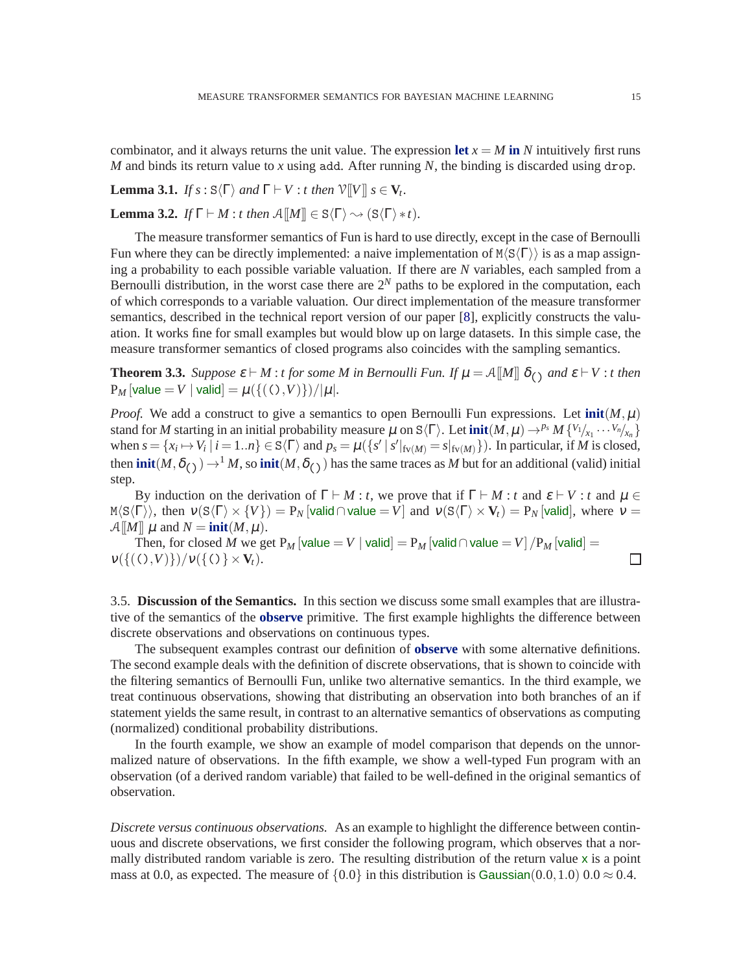combinator, and it always returns the unit value. The expression let  $x = M$  in N intuitively first runs *M* and binds its return value to *x* using add. After running *N*, the binding is discarded using drop.

**Lemma 3.1.** *If*  $s : S\langle\Gamma\rangle$  *and*  $\Gamma \vdash V : t$  *then*  $\mathcal{V}[[V]]$   $s \in V_t$ .

**Lemma 3.2.** *If*  $\Gamma \vdash M : t$  *then*  $\mathcal{A}[[M]] \in \mathcal{S}\langle \Gamma \rangle \rightsquigarrow (\mathcal{S}\langle \Gamma \rangle * t)$ *.* 

The measure transformer semantics of Fun is hard to use directly, except in the case of Bernoulli Fun where they can be directly implemented: a naive implementation of  $M\langle S\langle \Gamma \rangle$  is as a map assigning a probability to each possible variable valuation. If there are *N* variables, each sampled from a Bernoulli distribution, in the worst case there are  $2^N$  paths to be explored in the computation, each of which corresponds to a variable valuation. Our direct implementation of the measure transformer semantics, described in the technical report version of our paper [\[8\]](#page-37-10), explicitly constructs the valuation. It works fine for small examples but would blow up on large datasets. In this simple case, the measure transformer semantics of closed programs also coincides with the sampling semantics.

<span id="page-14-0"></span>**Theorem 3.3.** *Suppose*  $\varepsilon$  ⊢ *M* : *t* for some *M* in Bernoulli Fun. If  $\mu = A[\![M]\!]$   $\delta_{(\cdot)}$  and  $\varepsilon$  ⊢ V : *t* then  $P_M$  [value = *V* | valid] =  $\mu({ ( ( ), V )}) / |\mu|$ *.* 

*Proof.* We add a construct to give a semantics to open Bernoulli Fun expressions. Let  $init(M, \mu)$ stand for *M* starting in an initial probability measure  $\mu$  on  $S\langle \Gamma \rangle$ . Let  $\text{init}(M, \mu) \rightarrow^{p_s} M \{V_1/_{x_1} \cdots V_n/_{x_n}\}$ when  $s = \{x_i \mapsto V_i \mid i = 1..n\} \in S\langle \Gamma \rangle$  and  $p_s = \mu(\{s' \mid s' \mid_{f_v(M)} = s \mid_{f_v(M)} \})$ . In particular, if *M* is closed, then **init** $(M, \delta_{(1)}) \to M$ , so **init** $(M, \delta_{(1)})$  has the same traces as *M* but for an additional (valid) initial step.

By induction on the derivation of  $\Gamma \vdash M : t$ , we prove that if  $\Gamma \vdash M : t$  and  $\varepsilon \vdash V : t$  and  $\mu \in$  $M\langle S\langle \Gamma \rangle \rangle$ , then  $v(S\langle \Gamma \rangle \times \{V\}) = P_N[vali d \cap value = V]$  and  $v(S\langle \Gamma \rangle \times V_t) = P_N[vali d]$ , where  $v = V$  $\mathcal{A}[[M]] \mu$  and  $N = \text{init}(M, \mu)$ .

Then, for closed *M* we get P<sub>M</sub> [value = V | valid = P<sub>M</sub> [valid ∩ value = V | /P<sub>M</sub> [valid =  $v(\{((),V)\})/v(\{() \}\times V_t).$ 

<span id="page-14-1"></span>3.5. **Discussion of the Semantics.** In this section we discuss some small examples that are illustrative of the semantics of the **observe** primitive. The first example highlights the difference between discrete observations and observations on continuous types.

The subsequent examples contrast our definition of **observe** with some alternative definitions. The second example deals with the definition of discrete observations, that is shown to coincide with the filtering semantics of Bernoulli Fun, unlike two alternative semantics. In the third example, we treat continuous observations, showing that distributing an observation into both branches of an if statement yields the same result, in contrast to an alternative semantics of observations as computing (normalized) conditional probability distributions.

In the fourth example, we show an example of model comparison that depends on the unnormalized nature of observations. In the fifth example, we show a well-typed Fun program with an observation (of a derived random variable) that failed to be well-defined in the original semantics of observation.

*Discrete versus continuous observations.* As an example to highlight the difference between continuous and discrete observations, we first consider the following program, which observes that a normally distributed random variable is zero. The resulting distribution of the return value x is a point mass at 0.0, as expected. The measure of  $\{0.0\}$  in this distribution is Gaussian(0.0,1.0) 0.0  $\approx$  0.4.

 $\Box$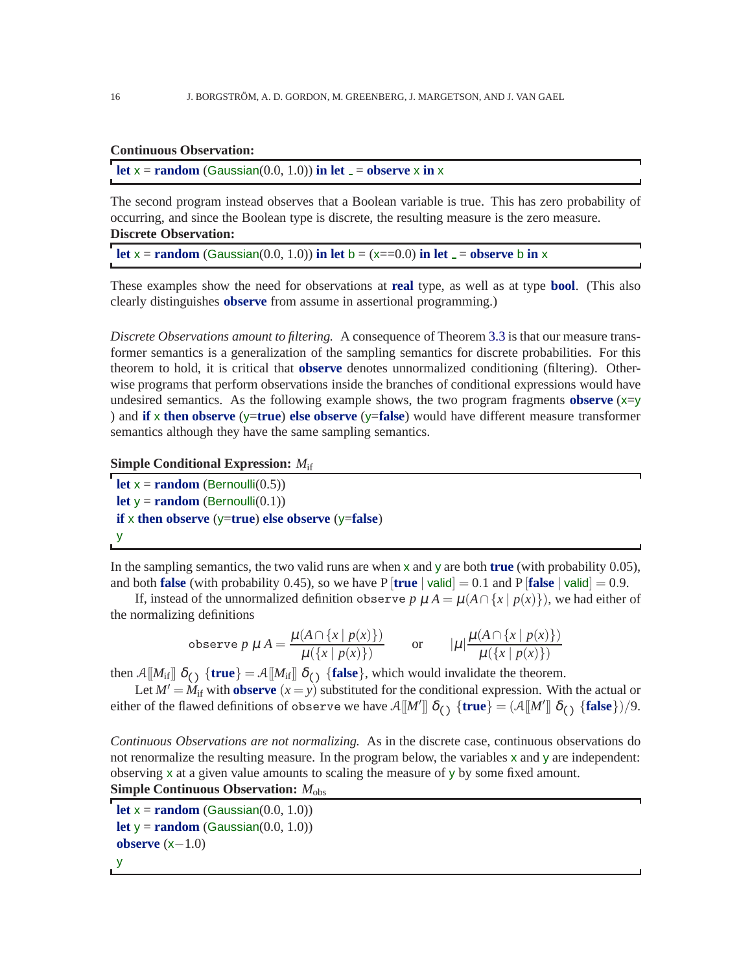## **Continuous Observation:**

**let**  $x =$  **random** (Gaussian(0.0, 1.0)) **in let**  $\overline{a} =$  **observe** x **in** x

The second program instead observes that a Boolean variable is true. This has zero probability of occurring, and since the Boolean type is discrete, the resulting measure is the zero measure. **Discrete Observation:**

**let**  $x =$ **random** (Gaussian(0.0, 1.0)) **in let**  $b = (x == 0.0)$  **in let**  $\underline{\ } =$ **observe** b **in** x

These examples show the need for observations at **real** type, as well as at type **bool**. (This also clearly distinguishes **observe** from assume in assertional programming.)

*Discrete Observations amount to filtering.* A consequence of Theorem [3.3](#page-14-0) is that our measure transformer semantics is a generalization of the sampling semantics for discrete probabilities. For this theorem to hold, it is critical that **observe** denotes unnormalized conditioning (filtering). Otherwise programs that perform observations inside the branches of conditional expressions would have undesired semantics. As the following example shows, the two program fragments **observe**  $(x=y)$ ) and **if** x **then observe** (y=**true**) **else observe** (y=**false**) would have different measure transformer semantics although they have the same sampling semantics.

```
Simple Conditional Expression: Mif
```
**let**  $x = \text{random}$  (Bernoulli(0.5)) **let**  $y = \text{random}$  (Bernoulli(0.1)) **if** x **then observe** (y=**true**) **else observe** (y=**false**) y

In the sampling semantics, the two valid runs are when x and y are both **true** (with probability 0.05), and both **false** (with probability 0.45), so we have P  $[\text{true} \mid \text{valid}] = 0.1$  and P  $[\text{false} \mid \text{valid}] = 0.9$ .

If, instead of the unnormalized definition observe *p*  $\mu A = \mu(A \cap \{x \mid p(x)\})$ , we had either of the normalizing definitions

$$
\text{observe } p \mu A = \frac{\mu(A \cap \{x \mid p(x)\})}{\mu(\{x \mid p(x)\})} \quad \text{or} \quad |\mu| \frac{\mu(A \cap \{x \mid p(x)\})}{\mu(\{x \mid p(x)\})}
$$

then  $\mathcal{A}[\![M_{if}]\!]$   $\delta_{\text{c}}$  {**true**} =  $\mathcal{A}[\![M_{if}]\!]$   $\delta_{\text{c}}$  {**false**}, which would invalidate the theorem.

Let  $M' = M_{if}$  with **observe**  $(x = y)$  substituted for the conditional expression. With the actual or either of the flawed definitions of observe we have  $\mathcal{A}[\![M']\!]$   $\delta_{\text{(}}$  {true} =  $(\mathcal{A}[\![M']\!]$   $\delta_{\text{(}}$  {false}}/9.

*Continuous Observations are not normalizing.* As in the discrete case, continuous observations do not renormalize the resulting measure. In the program below, the variables x and y are independent: observing x at a given value amounts to scaling the measure of y by some fixed amount. **Simple Continuous Observation:** *M*obs

```
let x = \text{random} (Gaussian(0.0, 1.0))
let y = \text{random} (Gaussian(0.0, 1.0))
observe (x−1.0)
y
```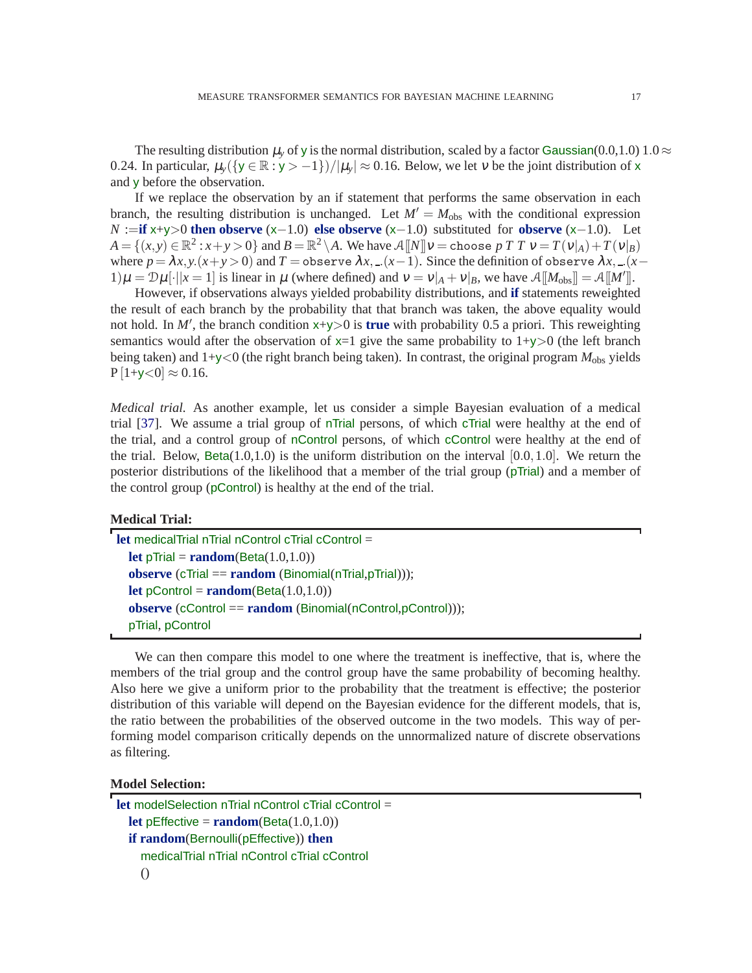The resulting distribution  $\mu$ <sub>y</sub> of y is the normal distribution, scaled by a factor Gaussian(0.0,1.0) 1.0  $\approx$ 0.24. In particular,  $\mu_v({y \in \mathbb{R} : y > -1})/|\mu_v| \approx 0.16$ . Below, we let v be the joint distribution of x and y before the observation.

If we replace the observation by an if statement that performs the same observation in each branch, the resulting distribution is unchanged. Let  $M' = M_{obs}$  with the conditional expression *N* :=**if** x+y>0 **then observe** (x−1.0) **else observe** (x−1.0) substituted for **observe** (x−1.0). Let  $A = \{(x, y) \in \mathbb{R}^2 : x + y > 0\}$  and  $B = \mathbb{R}^2 \setminus A$ . We have  $A[[N]]v = \text{choose } p \in T$   $T \in V = T(v|A) + T(v|B)$ where  $p = \lambda x, y.(x + y) > 0$  and  $T = \text{observe } \lambda x, (x - 1)$ . Since the definition of observe  $\lambda x, (x - 1)$ 1) $\mu = D\mu[\cdot||x=1]$  is linear in  $\mu$  (where defined) and  $v = v|_A + v|_B$ , we have  $\mathcal{A}[[M_{obs}]] = \mathcal{A}[[M']]$ .

However, if observations always yielded probability distributions, and **if** statements reweighted the result of each branch by the probability that that branch was taken, the above equality would not hold. In *M*′ , the branch condition x+y>0 is **true** with probability 0.5 a priori. This reweighting semantics would after the observation of  $x=1$  give the same probability to  $1+y>0$  (the left branch being taken) and  $1+y<0$  (the right branch being taken). In contrast, the original program  $M_{\text{obs}}$  yields  $P[1+y<0] \approx 0.16$ .

*Medical trial.* As another example, let us consider a simple Bayesian evaluation of a medical trial [\[37\]](#page-38-9). We assume a trial group of nTrial persons, of which cTrial were healthy at the end of the trial, and a control group of nControl persons, of which cControl were healthy at the end of the trial. Below, Beta(1.0,1.0) is the uniform distribution on the interval  $[0.0, 1.0]$ . We return the posterior distributions of the likelihood that a member of the trial group (pTrial) and a member of the control group (pControl) is healthy at the end of the trial.

#### **Medical Trial:**

```
let medicalTrial nTrial nControl cTrial cControl =
  let pTrial = random(Beta(1.0,1.0))
  observe (cTrial == random (Binomial(nTrial,pTrial)));
  let pControl = random(Beta(1.0,1.0))
  observe (cControl == random (Binomial(nControl,pControl)));
  pTrial, pControl
```
We can then compare this model to one where the treatment is ineffective, that is, where the members of the trial group and the control group have the same probability of becoming healthy. Also here we give a uniform prior to the probability that the treatment is effective; the posterior distribution of this variable will depend on the Bayesian evidence for the different models, that is, the ratio between the probabilities of the observed outcome in the two models. This way of performing model comparison critically depends on the unnormalized nature of discrete observations as filtering.

## **Model Selection:**

```
let modelSelection nTrial nControl cTrial cControl =
  let pEffective = \mathbf{random}(\text{Beta}(1.0, 1.0))if random(Bernoulli(pEffective)) then
     medicalTrial nTrial nControl cTrial cControl
     ()
```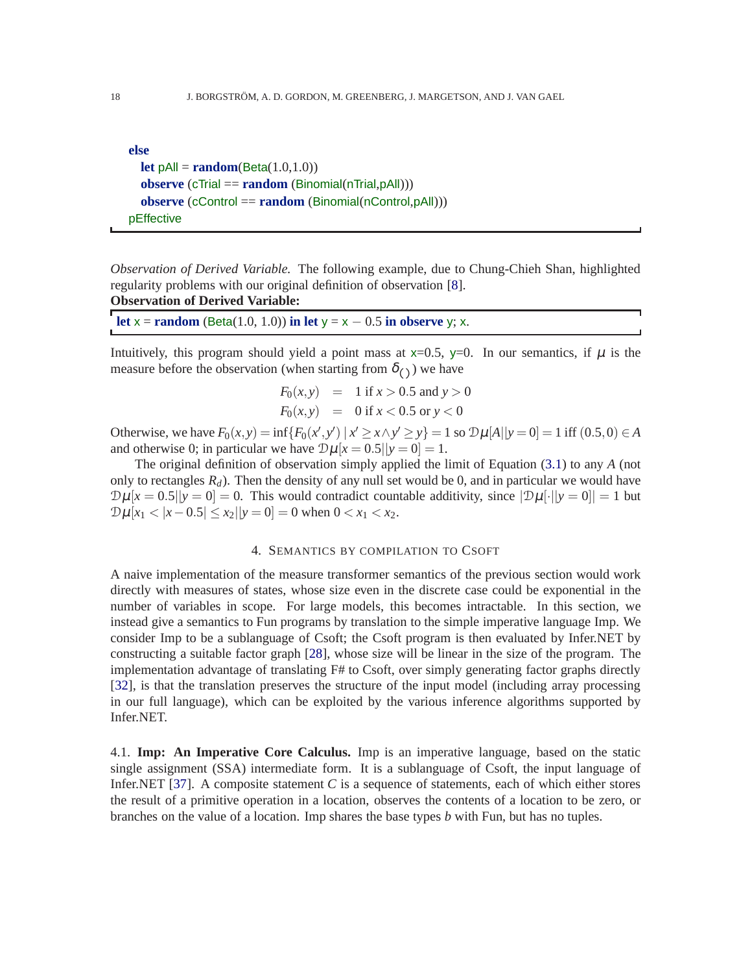| else                                                               |
|--------------------------------------------------------------------|
| <b>let</b> $pAll = \text{random}(Beta(1.0, 1.0))$                  |
| observe $(cTrial == random (Binomial(nTrial, pAll)))$              |
| observe (cControl == $\mathbf{random}$ (Binomial(nControl, pAll))) |
| pEffective                                                         |

*Observation of Derived Variable.* The following example, due to Chung-Chieh Shan, highlighted regularity problems with our original definition of observation [\[8\]](#page-37-10). **Observation of Derived Variable:**

| let $x = \text{random}$ (Beta(1.0, 1.0)) in let $y = x - 0.5$ in observe y; x. |  |
|--------------------------------------------------------------------------------|--|
|--------------------------------------------------------------------------------|--|

Intuitively, this program should yield a point mass at  $x=0.5$ ,  $y=0$ . In our semantics, if  $\mu$  is the measure before the observation (when starting from  $\delta$ <sub>()</sub>) we have

$$
F_0(x, y) = 1 \text{ if } x > 0.5 \text{ and } y > 0
$$
  

$$
F_0(x, y) = 0 \text{ if } x < 0.5 \text{ or } y < 0
$$

Otherwise, we have  $F_0(x, y) = \inf \{ F_0(x', y') \mid x' \ge x \land y' \ge y \} = 1$  so  $\mathcal{D}\mu[A \mid |y = 0] = 1$  iff  $(0.5, 0) \in A$ and otherwise 0; in particular we have  $\mathcal{D}\mu[x = 0.5||y = 0] = 1$ .

The original definition of observation simply applied the limit of Equation [\(3.1\)](#page-10-0) to any *A* (not only to rectangles  $R_d$ ). Then the density of any null set would be 0, and in particular we would have  $\mathcal{D}\mu[x=0.5||y=0]=0$ . This would contradict countable additivity, since  $|\mathcal{D}\mu[\cdot||y=0]|=1$  but  $\mathcal{D}\mu[x_1 < |x - 0.5| \le x_2 ||y = 0] = 0$  when  $0 < x_1 < x_2$ .

#### 4. SEMANTICS BY COMPILATION TO CSOFT

<span id="page-17-0"></span>A naive implementation of the measure transformer semantics of the previous section would work directly with measures of states, whose size even in the discrete case could be exponential in the number of variables in scope. For large models, this becomes intractable. In this section, we instead give a semantics to Fun programs by translation to the simple imperative language Imp. We consider Imp to be a sublanguage of Csoft; the Csoft program is then evaluated by Infer.NET by constructing a suitable factor graph [\[28\]](#page-38-8), whose size will be linear in the size of the program. The implementation advantage of translating F# to Csoft, over simply generating factor graphs directly [\[32\]](#page-38-3), is that the translation preserves the structure of the input model (including array processing in our full language), which can be exploited by the various inference algorithms supported by Infer.NET.

4.1. **Imp: An Imperative Core Calculus.** Imp is an imperative language, based on the static single assignment (SSA) intermediate form. It is a sublanguage of Csoft, the input language of Infer.NET [\[37\]](#page-38-9). A composite statement *C* is a sequence of statements, each of which either stores the result of a primitive operation in a location, observes the contents of a location to be zero, or branches on the value of a location. Imp shares the base types *b* with Fun, but has no tuples.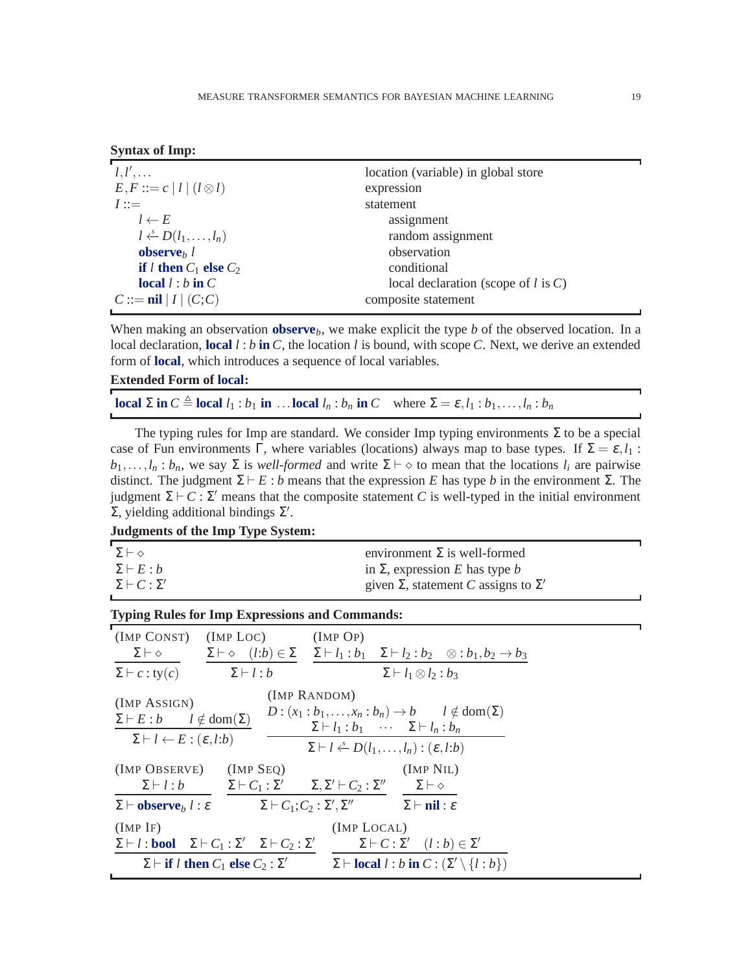|  | <b>Syntax of Imp:</b> |  |  |
|--|-----------------------|--|--|
|--|-----------------------|--|--|

| $l, l', \ldots$                     | location (variable) in global store      |
|-------------------------------------|------------------------------------------|
| $E, F ::= c   l   (l \otimes l)$    | expression                               |
| $I ::=$                             | statement                                |
| $l \leftarrow E$                    | assignment                               |
| $l \leftarrow D(l_1, \ldots, l_n)$  | random assignment                        |
| observe <sub><math>h</math></sub> l | observation                              |
| if <i>l</i> then $C_1$ else $C_2$   | conditional                              |
| local $l : b$ in $C$                | local declaration (scope of $l$ is $C$ ) |
| $C ::= \nparallel  I  (C; C)$       | composite statement                      |

When making an observation **observe***b*, we make explicit the type *b* of the observed location. In a local declaration, **local** *l* : *b* **in** *C*, the location *l* is bound, with scope *C*. Next, we derive an extended form of **local**, which introduces a sequence of local variables.

#### **Extended Form of local:**

**local**  $\Sigma$  in  $C \triangleq$  **local**  $l_1 : b_1$  in ... **local**  $l_n : b_n$  in C where  $\Sigma = \varepsilon, l_1 : b_1, \ldots, l_n : b_n$ 

The typing rules for Imp are standard. We consider Imp typing environments  $\Sigma$  to be a special case of Fun environments Γ, where variables (locations) always map to base types. If  $\Sigma = \varepsilon, l_1$ :  $b_1, \ldots, l_n : b_n$ , we say  $\Sigma$  is *well-formed* and write  $\Sigma \vdash \diamond$  to mean that the locations  $l_i$  are pairwise distinct. The judgment  $\Sigma \vdash E : b$  means that the expression *E* has type *b* in the environment  $\Sigma$ . The judgment Σ  $\vdash$  *C* : Σ' means that the composite statement *C* is well-typed in the initial environment  $\Sigma$ , yielding additional bindings  $\Sigma'$ .

| <b>Judgments of the Imp Type System:</b> |  |  |  |
|------------------------------------------|--|--|--|
|                                          |  |  |  |

| $\Sigma \vdash \diamond$    | environment $\Sigma$ is well-formed               |  |
|-----------------------------|---------------------------------------------------|--|
| $\Sigma \vdash E : b$       | in $\Sigma$ , expression E has type b             |  |
| $\Sigma \vdash C : \Sigma'$ | given $\Sigma$ , statement C assigns to $\Sigma'$ |  |
|                             |                                                   |  |

#### **Typing Rules for Imp Expressions and Commands:**

| $(ImP \text{ CONST})$ $(ImP \text{ LOC})$ $(ImP \text{ OP})$                                               | $\Sigma \vdash \diamond$ $\Sigma \vdash \diamond$ $(l:b) \in \Sigma$ $\Sigma \vdash l_1 : b_1$ $\Sigma \vdash l_2 : b_2$ $\otimes : b_1, b_2 \rightarrow b_3$                                                                                  |
|------------------------------------------------------------------------------------------------------------|------------------------------------------------------------------------------------------------------------------------------------------------------------------------------------------------------------------------------------------------|
| $\Sigma \vdash l : b$                                                                                      | $\Sigma \vdash l_1 \otimes l_2 : b_3$                                                                                                                                                                                                          |
| $\Sigma \vdash E : b$ $l \notin \text{dom}(\Sigma)$<br>$\Sigma \vdash l \leftarrow E : (\varepsilon, l:b)$ | (IMP RANDOM)<br>$D: (x_1 : b_1, \ldots, x_n : b_n) \to b \quad l \notin \text{dom}(\Sigma)$<br>$\Sigma \vdash l_1 : b_1 \cdots \Sigma \vdash l_n : b_n$<br>$\Sigma \vdash l \stackrel{s}{\leftarrow} D(l_1, \ldots, l_n) : (\varepsilon, l:b)$ |
| $(IMP OBSERVE)$ $(IMP SeQ)$                                                                                | (IMP NIL)<br>$\Sigma \vdash l : b$ $\Sigma \vdash C_1 : \Sigma'$ $\Sigma, \Sigma' \vdash C_2 : \Sigma''$ $\Sigma \vdash \diamond$                                                                                                              |
|                                                                                                            | $\Sigma \vdash \mathbf{observe}_b l : \varepsilon$ $\Sigma \vdash C_1; C_2 : \Sigma', \Sigma''$ $\Sigma \vdash \mathbf{nil} : \varepsilon$                                                                                                     |
| $\Sigma \vdash l : \textbf{bool} \quad \Sigma \vdash C_1 : \Sigma' \quad \Sigma \vdash C_2 : \Sigma'$      | (IMP LOCAL)<br>$\Sigma \vdash C : \Sigma' \quad (l : b) \in \Sigma'$<br>$\Sigma \vdash$ local $l : b$ in $C : (\Sigma' \setminus \{l : b\})$                                                                                                   |
|                                                                                                            | $\Sigma$ $\vdash$ if <i>l</i> then $C_1$ else $C_2$ : $\Sigma'$                                                                                                                                                                                |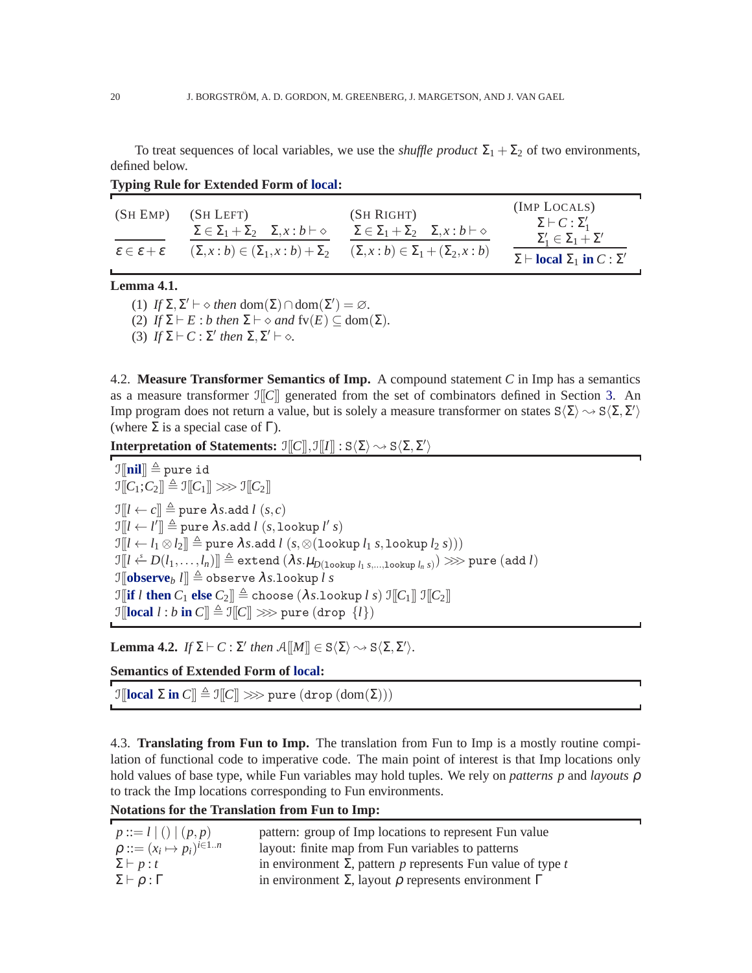To treat sequences of local variables, we use the *shuffle product*  $\Sigma_1 + \Sigma_2$  of two environments, defined below.

| (SH EMP)                                    | (SH LEFT)<br>$\Sigma \in \Sigma_1 + \Sigma_2$ $\Sigma, x : b \vdash \diamond$ | (SH RIGHT)<br>$\Sigma \in \Sigma_1 + \Sigma_2$ $\Sigma, x : b \vdash \diamond$ | (IMP LOCALS)<br>$\Sigma \vdash C : \Sigma'_1$<br>$\Sigma'_1 \in \Sigma_1 + \Sigma'$ |
|---------------------------------------------|-------------------------------------------------------------------------------|--------------------------------------------------------------------------------|-------------------------------------------------------------------------------------|
| $\varepsilon \in \varepsilon + \varepsilon$ | $(\Sigma, x : b) \in (\Sigma_1, x : b) + \Sigma_2$                            | $(\Sigma, x : b) \in \Sigma_1 + (\Sigma_2, x : b)$                             | $\Sigma \vdash$ <b>local</b> $\Sigma_1$ in $C : \Sigma'$                            |

**Typing Rule for Extended Form of local:**

## **Lemma 4.1.**

(1)  $If \Sigma, \Sigma' \vdash \diamond then \text{ dom}(\Sigma) \cap \text{dom}(\Sigma') = \varnothing.$ 

(2) *If*  $\Sigma \vdash E : b$  *then*  $\Sigma \vdash \diamond$  *and*  $fv(E) \subseteq dom(\Sigma)$ *.* 

(3)  $If \Sigma \vdash C : \Sigma' \text{ then } \Sigma, \Sigma' \vdash \diamond.$ 

4.2. **Measure Transformer Semantics of Imp.** A compound statement *C* in Imp has a semantics as a measure transformer  $\Im[\mathcal{C}]$  generated from the set of combinators defined in Section [3.](#page-8-0) An Imp program does not return a value, but is solely a measure transformer on states  $S\langle\Sigma\rangle \sim S\langle\Sigma,\Sigma'\rangle$ (where  $\Sigma$  is a special case of  $\Gamma$ ).

**Interpretation of Statements:**  $\mathcal{I}[[C]], \mathcal{I}[[I]] : S\langle\Sigma\rangle \sim S\langle\Sigma, \Sigma'\rangle$ 

 $\mathbb{I}[\![\mathbf{nil}]\!] \triangleq$  pure id  $\mathbb{I}[[C_1; C_2]] \triangleq \mathbb{I}[[C_1]] \gg\gg \mathbb{I}[[C_2]]$  $\mathcal{I}[[l \leftarrow c]] \triangleq$  pure  $\lambda s$ .add  $l(s, c)$  $\mathcal{I}[[l \leftarrow l'] \triangleq \text{pure } \lambda s \text{.} \text{add } l \ (s, \text{lookup } l' \ s)$  $\mathcal{I}[[l \leftarrow l_1 \otimes l_2]] \triangleq$  pure  $\lambda s$ .add  $l$   $(s, \otimes$  (lookup  $l_1 s$ , lookup  $l_2 s$ )))  $\mathbb{E}[l] \leftarrow D(l_1,\ldots,l_n)] \triangleq \textsf{extend}\left(\lambda s.\mu_{D(\texttt{lookup } l_1 s, \ldots, \texttt{lookup } l_n s)}\right) \ggg \textsf{pure}\left(\texttt{add}\hspace{0.1cm} l\right)$  $\mathcal{I}$ [**observe***b*  $l$ ]]  $\triangleq$  observe  $\lambda s$ .lookup  $l s$  $\mathbb{E} \left[ \int_0^T \mathbf{i} \, \mathbf{i} \, \mathbf{j} \, \mathbf{k} \right] = \mathbb{E} \left[ \int_0^T \mathbf{i} \, \mathbf{j} \, \mathbf{k} \right] \mathbb{E} \left[ \int_0^T \mathbf{i} \, \mathbf{j} \, \mathbf{k} \right]$  $\mathcal{I}$ [**local** *l* : *b* **in**  $C$ ]  $\triangleq \mathcal{I}$ [ $C$ ]  $\gg$  pure (drop  $\{l\}$ )

**Lemma 4.2.** *If*  $\Sigma \vdash C : \Sigma'$  *then*  $\mathcal{A}[[M]] \in S\langle \Sigma \rangle \sim S\langle \Sigma, \Sigma' \rangle$ .

**Semantics of Extended Form of local:**

 $\mathbb{I}[\![\mathbf{local}\; \Sigma\; \mathbf{in}\; C]\!] \triangleq \mathbb{I}[\![C]\!] \ggg \text{pure}\; (\text{drop}\;(\text{dom}(\Sigma)))$ 

4.3. **Translating from Fun to Imp.** The translation from Fun to Imp is a mostly routine compilation of functional code to imperative code. The main point of interest is that Imp locations only hold values of base type, while Fun variables may hold tuples. We rely on *patterns p* and *layouts* ρ to track the Imp locations corresponding to Fun environments.

**Notations for the Translation from Fun to Imp:**

| $p ::= l   ()   (p, p)$                 | pattern: group of Imp locations to represent Fun value                  |
|-----------------------------------------|-------------------------------------------------------------------------|
| $\rho ::= (x_i \mapsto p_i)^{i \in 1n}$ | layout: finite map from Fun variables to patterns                       |
| $\Sigma \vdash p : t$                   | in environment $\Sigma$ , pattern p represents Fun value of type t      |
| $\Sigma \vdash \rho : \Gamma$           | in environment $\Sigma$ , layout $\rho$ represents environment $\Gamma$ |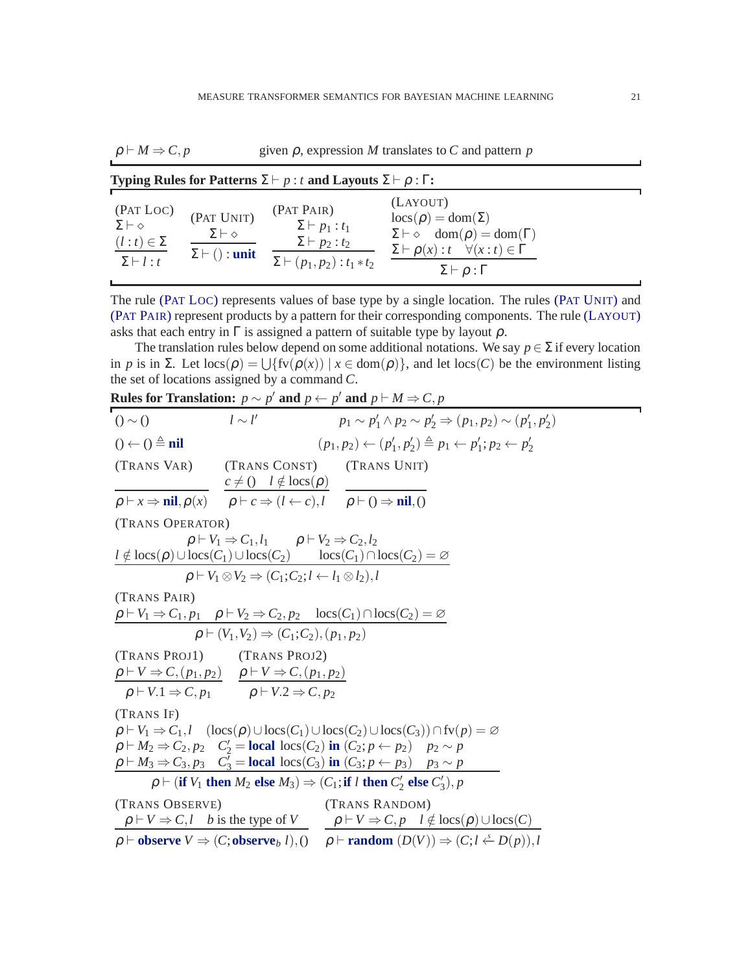$\rho \vdash M \Rightarrow C, p$  given  $\rho$ , expression *M* translates to *C* and pattern *p* 

| Typing Rules for Patterns $\Sigma \vdash p : t$ and Layouts $\Sigma \vdash p : \Gamma$ : |                                                                   |                                                                                                                |                                                                                                                                                                                                            |
|------------------------------------------------------------------------------------------|-------------------------------------------------------------------|----------------------------------------------------------------------------------------------------------------|------------------------------------------------------------------------------------------------------------------------------------------------------------------------------------------------------------|
| (Pat Loc)<br>$\Sigma \vdash \diamond$<br>$(l : t) \in \Sigma$<br>$\Sigma \vdash l : t$   | (PAT UNIT)<br>$\Sigma\vdash\diamond$<br>$\Sigma \vdash ()$ : unit | (PAT PAIR)<br>$\Sigma \vdash p_1 : t_1$<br>$\Sigma \vdash p_2 : t_2$<br>$\Sigma \vdash (p_1, p_2) : t_1 * t_2$ | (LAYOUT)<br>$\text{locs}(\rho) = \text{dom}(\Sigma)$<br>$\Sigma \vdash \diamond$ dom( $\rho$ ) = dom( $\Gamma$ )<br>$\Sigma \vdash \rho(x): t \quad \forall (x:t) \in \Gamma$<br>$\Sigma\vdash\rho:\Gamma$ |

<span id="page-20-2"></span><span id="page-20-1"></span><span id="page-20-0"></span>The rule (PAT L[OC](#page-20-0)) represents values of base type by a single location. The rules (PAT U[NIT](#page-20-1)) and (PAT P[AIR](#page-20-2)) represent products by a pattern for their corresponding components. The rule (L[AYOUT](#page-20-3)) asks that each entry in  $\Gamma$  is assigned a pattern of suitable type by layout  $\rho$ .

The translation rules below depend on some additional notations. We say  $p \in \Sigma$  if every location in *p* is in  $\Sigma$ . Let  $\text{locs}(\rho) = \bigcup \{ \text{fv}(\rho(x)) \mid x \in \text{dom}(\rho) \}$ , and let  $\text{locs}(C)$  be the environment listing the set of locations assigned by a command *C*.

<span id="page-20-13"></span><span id="page-20-12"></span><span id="page-20-11"></span><span id="page-20-10"></span><span id="page-20-9"></span><span id="page-20-8"></span><span id="page-20-7"></span><span id="page-20-6"></span><span id="page-20-5"></span><span id="page-20-4"></span>

| <b>Rules for Translation:</b> $p \sim p'$ and $p \leftarrow p'$ and $p \vdash M \Rightarrow C, p$ |  |  |  |
|---------------------------------------------------------------------------------------------------|--|--|--|
|                                                                                                   |  |  |  |
|                                                                                                   |  |  |  |
|                                                                                                   |  |  |  |
|                                                                                                   |  |  |  |
|                                                                                                   |  |  |  |
|                                                                                                   |  |  |  |
|                                                                                                   |  |  |  |
|                                                                                                   |  |  |  |
|                                                                                                   |  |  |  |
|                                                                                                   |  |  |  |
|                                                                                                   |  |  |  |
|                                                                                                   |  |  |  |
|                                                                                                   |  |  |  |
|                                                                                                   |  |  |  |

<span id="page-20-3"></span>J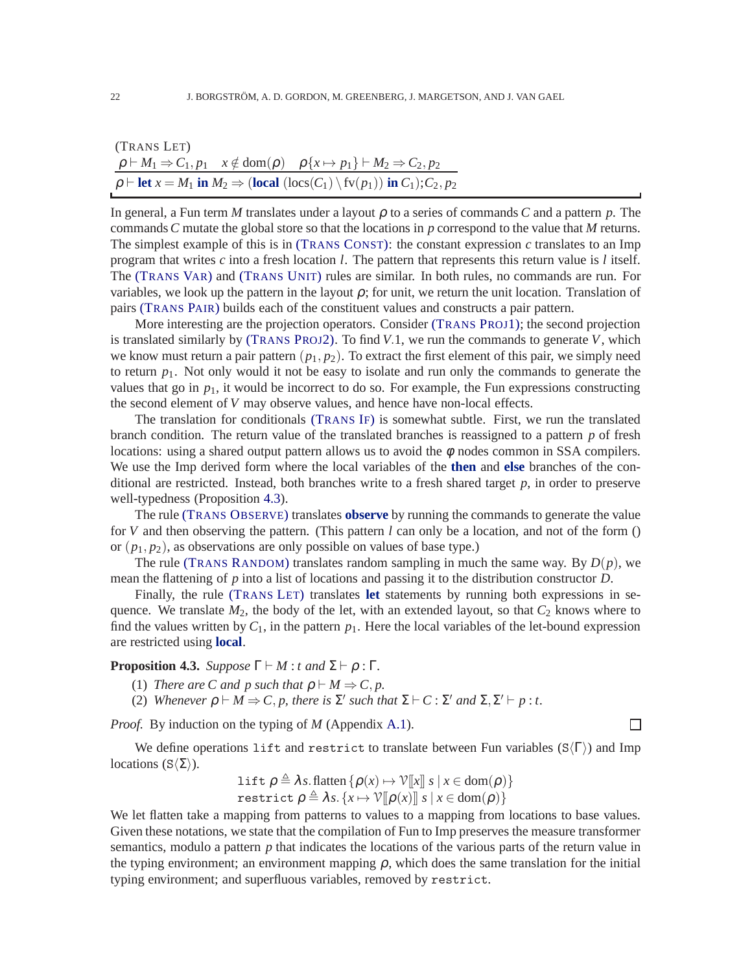<span id="page-21-1"></span>

| (TRANS LET) |                                                                                                                                                     |
|-------------|-----------------------------------------------------------------------------------------------------------------------------------------------------|
|             | $\rho \vdash M_1 \Rightarrow C_1, p_1 \quad x \notin \text{dom}(\rho) \quad \rho \{x \mapsto p_1\} \vdash M_2 \Rightarrow C_2, p_2$                 |
|             | $\rho \vdash \text{let } x = M_1 \text{ in } M_2 \Rightarrow (\text{local } (\text{locs}(C_1) \setminus \text{fv}(p_1)) \text{ in } C_1); C_2, p_2$ |

In general, a Fun term *M* translates under a layout  $\rho$  to a series of commands *C* and a pattern  $p$ . The commands*C* mutate the global store so that the locations in *p* correspond to the value that *M* returns. The simplest example of this is in (T[RANS](#page-20-4) CONST): the constant expression *c* translates to an Imp program that writes *c* into a fresh location *l*. The pattern that represents this return value is *l* itself. The (T[RANS](#page-20-5) VAR) and (T[RANS](#page-20-6) UNIT) rules are similar. In both rules, no commands are run. For variables, we look up the pattern in the layout  $\rho$ ; for unit, we return the unit location. Translation of pairs (T[RANS](#page-20-7) PAIR) builds each of the constituent values and constructs a pair pattern.

More interesting are the projection operators. Consider (T[RANS](#page-20-8) PROJ1); the second projection is translated similarly by (T[RANS](#page-20-9) PROJ2). To find *V*.1, we run the commands to generate *V*, which we know must return a pair pattern  $(p_1, p_2)$ . To extract the first element of this pair, we simply need to return  $p_1$ . Not only would it not be easy to isolate and run only the commands to generate the values that go in  $p_1$ , it would be incorrect to do so. For example, the Fun expressions constructing the second element of *V* may observe values, and hence have non-local effects.

The translation for conditionals (T[RANS](#page-20-10) IF) is somewhat subtle. First, we run the translated branch condition. The return value of the translated branches is reassigned to a pattern *p* of fresh locations: using a shared output pattern allows us to avoid the  $\phi$  nodes common in SSA compilers. We use the Imp derived form where the local variables of the **then** and **else** branches of the conditional are restricted. Instead, both branches write to a fresh shared target *p*, in order to preserve well-typedness (Proposition [4.3\)](#page-21-0).

The rule (TRANS O[BSERVE](#page-20-11)) translates **observe** by running the commands to generate the value for *V* and then observing the pattern. (This pattern *l* can only be a location, and not of the form () or  $(p_1, p_2)$ , as observations are only possible on values of base type.)

The rule (TRANS R[ANDOM](#page-20-12)) translates random sampling in much the same way. By  $D(p)$ , we mean the flattening of *p* into a list of locations and passing it to the distribution constructor *D*.

Finally, the rule (T[RANS](#page-21-1) LET) translates **let** statements by running both expressions in sequence. We translate  $M_2$ , the body of the let, with an extended layout, so that  $C_2$  knows where to find the values written by  $C_1$ , in the pattern  $p_1$ . Here the local variables of the let-bound expression are restricted using **local**.

<span id="page-21-0"></span>**Proposition 4.3.** *Suppose*  $\Gamma \vdash M : t$  *and*  $\Sigma \vdash \rho : \Gamma$ *.* 

- (1) *There are C and p such that*  $\rho \vdash M \Rightarrow C, p$ .
- (2) *Whenever*  $\rho \vdash M \Rightarrow C, p$ , there is  $\Sigma'$  such that  $\Sigma \vdash C : \Sigma'$  and  $\Sigma, \Sigma' \vdash p : t$ .

*Proof.* By induction on the typing of *M* (Appendix [A.1\)](#page-30-1).

We define operations lift and restrict to translate between Fun variables ( $S(\Gamma)$ ) and Imp locations (S $\langle \Sigma \rangle$ ).

$$
\begin{aligned} &\text{lift } \rho \triangleq \lambda s. \text{ flatten } \{ \rho(x) \mapsto \mathcal{V}[\![x]\!] \mid s \mid x \in \text{dom}(\rho) \} \\ &\text{restrict } \rho \triangleq \lambda s. \{ x \mapsto \mathcal{V}[\![\rho(x)]\!] \mid s \mid x \in \text{dom}(\rho) \} \end{aligned}
$$

We let flatten take a mapping from patterns to values to a mapping from locations to base values. Given these notations, we state that the compilation of Fun to Imp preserves the measure transformer semantics, modulo a pattern *p* that indicates the locations of the various parts of the return value in the typing environment; an environment mapping  $\rho$ , which does the same translation for the initial typing environment; and superfluous variables, removed by restrict.

 $\Box$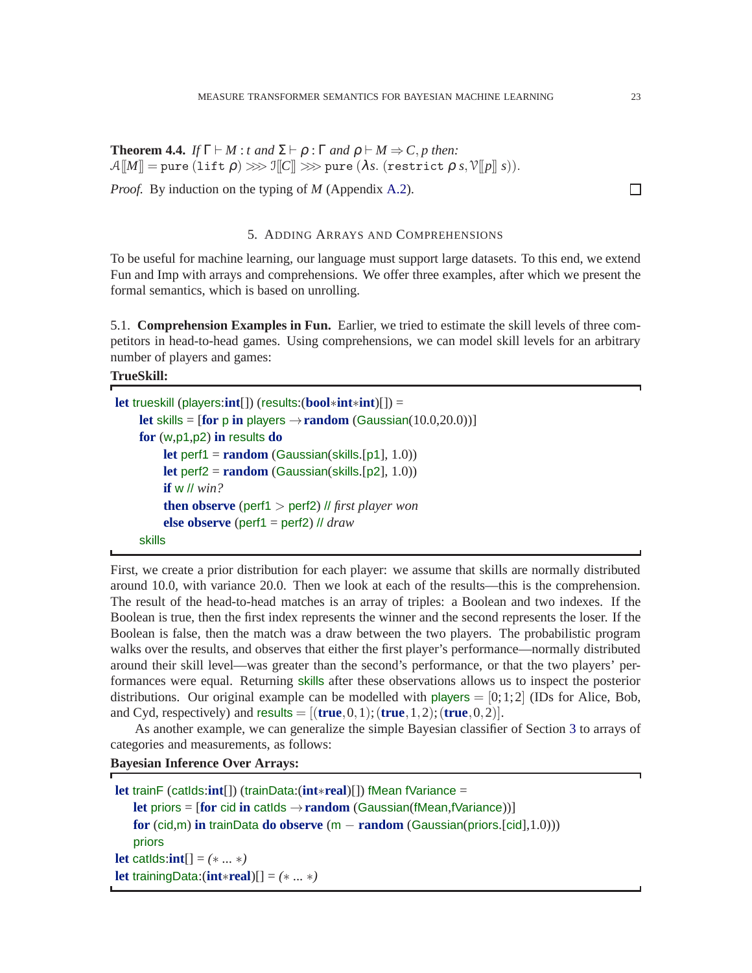<span id="page-22-1"></span>**Theorem 4.4.** *If*  $\Gamma \vdash M : t$  *and*  $\Sigma \vdash \rho : \Gamma$  *and*  $\rho \vdash M \Rightarrow C, p$  *then:*  $\mathcal{A}[M] = \text{pure}(\text{lift } \rho) \ggg \mathcal{I}[C] \ggg \text{pure}(\lambda s.(\text{restrict } \rho s, \mathcal{V}[p], s)).$ 

<span id="page-22-0"></span>*Proof.* By induction on the typing of *M* (Appendix [A.2\)](#page-33-0).

#### 5. ADDING ARRAYS AND COMPREHENSIONS

To be useful for machine learning, our language must support large datasets. To this end, we extend Fun and Imp with arrays and comprehensions. We offer three examples, after which we present the formal semantics, which is based on unrolling.

5.1. **Comprehension Examples in Fun.** Earlier, we tried to estimate the skill levels of three competitors in head-to-head games. Using comprehensions, we can model skill levels for an arbitrary number of players and games:

**TrueSkill:**

```
let trueskill (players:int[]) (results:(bool∗int∗int)[]) =
    let skills = \text{[for p in players} \rightarrow \text{random} \text{ (Gaussian}(10.0,20.0))for (w,p1,p2) in results do
          let perf1 = random (Gaussian(skills.[p1], 1.0))
          let perf2 = random (Gaussian(skills.[p2], 1.0))
          if w // win?
          then observe (perf1 > perf2) // first player won
          else observe (perf1 = perf2) // draw
    skills
```
First, we create a prior distribution for each player: we assume that skills are normally distributed around 10.0, with variance 20.0. Then we look at each of the results—this is the comprehension. The result of the head-to-head matches is an array of triples: a Boolean and two indexes. If the Boolean is true, then the first index represents the winner and the second represents the loser. If the Boolean is false, then the match was a draw between the two players. The probabilistic program walks over the results, and observes that either the first player's performance—normally distributed around their skill level—was greater than the second's performance, or that the two players' performances were equal. Returning skills after these observations allows us to inspect the posterior distributions. Our original example can be modelled with players  $= [0;1;2]$  (IDs for Alice, Bob, and Cyd, respectively) and  $results = [(true, 0, 1); (true, 1, 2); (true, 0, 2)].$ 

As another example, we can generalize the simple Bayesian classifier of Section [3](#page-8-0) to arrays of categories and measurements, as follows:

# **Bayesian Inference Over Arrays:**

<span id="page-22-2"></span>

| <b>let</b> trainF (catids: $int[]$ ) (trainData: $(int*real)[]$ ) fMean fVariance =                 |
|-----------------------------------------------------------------------------------------------------|
| <b>let priors = [for cid in catids <math>\rightarrow</math> random (Gaussian(fMean,fVariance))]</b> |
| for $(cid,m)$ in trainData do observe $(m - random (Gaussian(priors.[cid], 1.0)))$                  |
| priors                                                                                              |
| <b>let</b> catids: <b>int</b> [] = $(**$ ]                                                          |
| <b>let</b> training Data: $(int \ast real)[] = (* \dots *)$                                         |

 $\Box$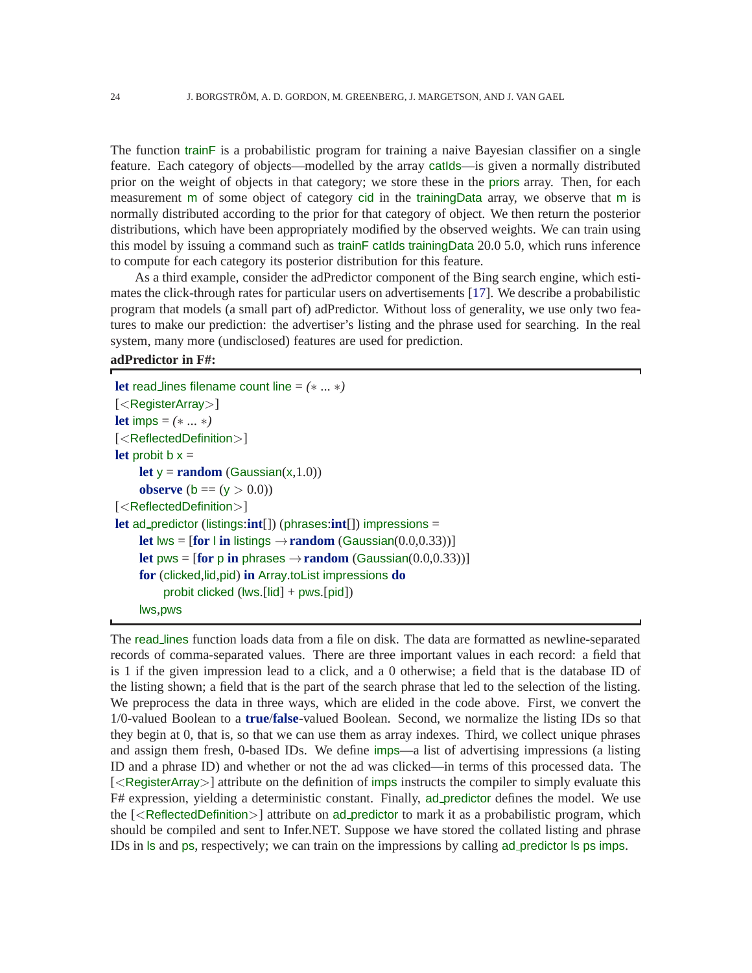The function trainF is a probabilistic program for training a naive Bayesian classifier on a single feature. Each category of objects—modelled by the array catIds—is given a normally distributed prior on the weight of objects in that category; we store these in the priors array. Then, for each measurement m of some object of category cid in the trainingData array, we observe that m is normally distributed according to the prior for that category of object. We then return the posterior distributions, which have been appropriately modified by the observed weights. We can train using this model by issuing a command such as trainF catIds trainingData 20.0 5.0, which runs inference to compute for each category its posterior distribution for this feature.

As a third example, consider the adPredictor component of the Bing search engine, which estimates the click-through rates for particular users on advertisements [\[17\]](#page-37-15). We describe a probabilistic program that models (a small part of) adPredictor. Without loss of generality, we use only two features to make our prediction: the advertiser's listing and the phrase used for searching. In the real system, many more (undisclosed) features are used for prediction.

#### **adPredictor in F#:**

**let** read lines filename count line = *(*∗ *...* ∗*)* [<RegisterArray>] **let** imps =  $(*...*)$ [<ReflectedDefinition>] **let** probit  $b x =$ **let**  $y = \text{random}$  (Gaussian(x,1.0)) **observe** (**b** ==  $(y > 0.0)$ ) [<ReflectedDefinition>] **let** ad predictor (listings:**int**[]) (phrases:**int**[]) impressions = **let** lws =  $[$ **for**  $|$  **in** listings  $\rightarrow$ **random** (Gaussian(0.0,0.33))] **let** pws =  $[$ **for** p **in** phrases  $\rightarrow$ **random** (Gaussian(0.0,0.33))] **for** (clicked,lid,pid) **in** Array.toList impressions **do** probit clicked (lws.[lid] + pws.[pid]) lws,pws

The read lines function loads data from a file on disk. The data are formatted as newline-separated records of comma-separated values. There are three important values in each record: a field that is 1 if the given impression lead to a click, and a 0 otherwise; a field that is the database ID of the listing shown; a field that is the part of the search phrase that led to the selection of the listing. We preprocess the data in three ways, which are elided in the code above. First, we convert the 1/0-valued Boolean to a **true**/**false**-valued Boolean. Second, we normalize the listing IDs so that they begin at 0, that is, so that we can use them as array indexes. Third, we collect unique phrases and assign them fresh, 0-based IDs. We define imps—a list of advertising impressions (a listing ID and a phrase ID) and whether or not the ad was clicked—in terms of this processed data. The [<RegisterArray>] attribute on the definition of imps instructs the compiler to simply evaluate this F# expression, yielding a deterministic constant. Finally, ad predictor defines the model. We use the  $\leq$ ReflectedDefinition  $\geq$  attribute on ad predictor to mark it as a probabilistic program, which should be compiled and sent to Infer.NET. Suppose we have stored the collated listing and phrase IDs in ls and ps, respectively; we can train on the impressions by calling ad predictor ls ps imps.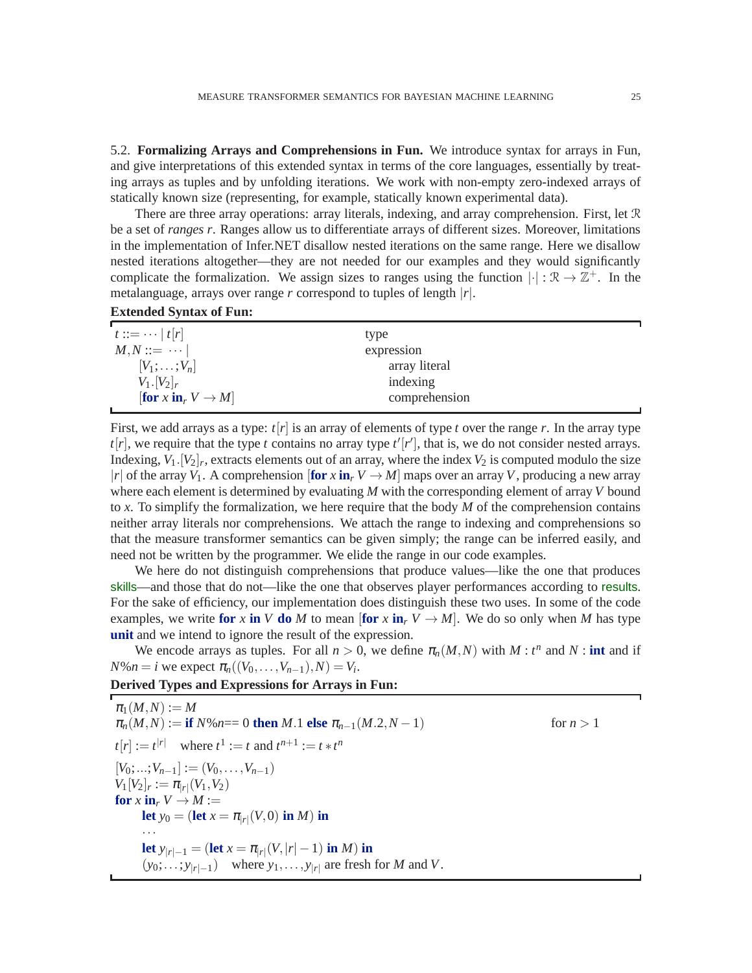5.2. **Formalizing Arrays and Comprehensions in Fun.** We introduce syntax for arrays in Fun, and give interpretations of this extended syntax in terms of the core languages, essentially by treating arrays as tuples and by unfolding iterations. We work with non-empty zero-indexed arrays of statically known size (representing, for example, statically known experimental data).

There are three array operations: array literals, indexing, and array comprehension. First, let  $\mathcal{R}$ be a set of *ranges r*. Ranges allow us to differentiate arrays of different sizes. Moreover, limitations in the implementation of Infer.NET disallow nested iterations on the same range. Here we disallow nested iterations altogether—they are not needed for our examples and they would significantly complicate the formalization. We assign sizes to ranges using the function  $|\cdot| : \mathcal{R} \to \mathbb{Z}^+$ . In the metalanguage, arrays over range *r* correspond to tuples of length |*r*|.

| $t ::= \cdots  t[r]$                       | type          |  |
|--------------------------------------------|---------------|--|
| $M, N ::= \cdots$                          | expression    |  |
| $[V_1;\ldots;V_n]$                         | array literal |  |
| $V_1. [V_2]_r$                             | indexing      |  |
| [for x in <sub>r</sub> $V \rightarrow M$ ] | comprehension |  |
|                                            |               |  |

First, we add arrays as a type:  $t[r]$  is an array of elements of type *t* over the range *r*. In the array type  $t[r]$ , we require that the type *t* contains no array type  $t'[r']$ , that is, we do not consider nested arrays. Indexing,  $V_1$ .  $[V_2]_r$ , extracts elements out of an array, where the index  $V_2$  is computed modulo the size |*r*| of the array  $V_1$ . A comprehension  $[\text{for } x \text{ in } V \to M]$  maps over an array *V*, producing a new array where each element is determined by evaluating *M* with the corresponding element of array *V* bound to *x*. To simplify the formalization, we here require that the body *M* of the comprehension contains neither array literals nor comprehensions. We attach the range to indexing and comprehensions so that the measure transformer semantics can be given simply; the range can be inferred easily, and need not be written by the programmer. We elide the range in our code examples.

We here do not distinguish comprehensions that produce values—like the one that produces skills—and those that do not—like the one that observes player performances according to results. For the sake of efficiency, our implementation does distinguish these two uses. In some of the code examples, we write **for** x **in** V **do** M to mean [for  $x$  **in**<sub>*r*</sub>  $V \rightarrow M$ ]. We do so only when M has type **unit** and we intend to ignore the result of the expression.

We encode arrays as tuples. For all  $n > 0$ , we define  $\pi_n(M, N)$  with  $M : t^n$  and  $N : \text{int}$  and if *N*% $n = i$  we expect  $\pi_n((V_0, \ldots, V_{n-1}), N) = V_i$ .

# **Derived Types and Expressions for Arrays in Fun:**

 $\pi_1(M,N) := M$  $\pi_n(M, N) :=$  **if**  $N\%$ *n*== 0 **then** *M*.1 **else**  $\pi_{n-1}(M.2, N-1)$  for  $n > 1$  $t[r] := t^{|r|}$  where  $t^1 := t$  and  $t^{n+1} := t * t^n$  $[V_0; \ldots; V_{n-1}] := (V_0, \ldots, V_{n-1})$  $V_1[V_2]_r := \pi_{|r|}(V_1, V_2)$ **for**  $x$  **in**<sub>*r*</sub>  $V \rightarrow M :=$ **let**  $y_0 = (\textbf{let } x = \pi_{|r|}(V,0) \textbf{ in } M) \textbf{ in}$ ··· **let**  $y_{|r|-1} = (\text{let } x = \pi_{|r|}(V, |r| - 1) \text{ in } M)$  in  $(y_0; \ldots; y_{|r|-1})$  where  $y_1, \ldots, y_{|r|}$  are fresh for *M* and *V*.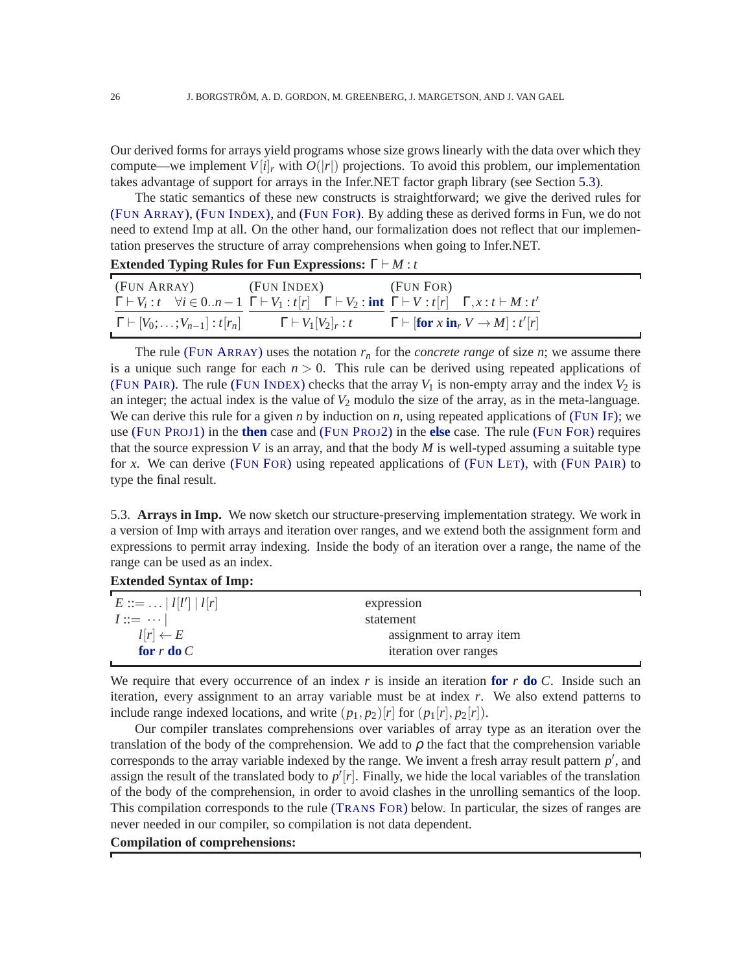Our derived forms for arrays yield programs whose size grows linearly with the data over which they compute—we implement  $V[i]$ <sub>*r*</sub> with  $O(|r|)$  projections. To avoid this problem, our implementation takes advantage of support for arrays in the Infer.NET factor graph library (see Section [5.3\)](#page-25-0).

The static semantics of these new constructs is straightforward; we give the derived rules for (FUN A[RRAY](#page-25-1)), (FUN I[NDEX](#page-25-2)), and (F[UN](#page-25-3) FOR). By adding these as derived forms in Fun, we do not need to extend Imp at all. On the other hand, our formalization does not reflect that our implementation preserves the structure of array comprehensions when going to Infer.NET.

| Extended Typing Rules for Fun Expressions: $\Gamma \vdash M : t$ |                                   |                                                                                                                                                                               |  |
|------------------------------------------------------------------|-----------------------------------|-------------------------------------------------------------------------------------------------------------------------------------------------------------------------------|--|
|                                                                  | (FUN ARRAY) (FUN INDEX) (FUN FOR) |                                                                                                                                                                               |  |
|                                                                  |                                   | $\Gamma \vdash V_i : t \quad \forall i \in 0n-1 \; \Gamma \vdash V_1 : t[r] \quad \Gamma \vdash V_2 : \text{int} \; \Gamma \vdash V : t[r] \quad \Gamma, x : t \vdash M : t'$ |  |
|                                                                  |                                   | $\Gamma \vdash [V_0; \ldots; V_{n-1}] : t[r_n]$ $\Gamma \vdash V_1[V_2]_r : t$ $\Gamma \vdash [\textbf{for } x \textbf{ in}_r V \to M] : t'[r]$                               |  |

<span id="page-25-3"></span><span id="page-25-2"></span><span id="page-25-1"></span>The rule (FUN A[RRAY](#page-25-1)) uses the notation  $r_n$  for the *concrete range* of size  $n$ ; we assume there is a unique such range for each  $n > 0$ . This rule can be derived using repeated applications of (FUN P[AIR](#page-5-0)). The rule (FUN I[NDEX](#page-25-2)) checks that the array  $V_1$  is non-empty array and the index  $V_2$  is an integer; the actual index is the value of  $V_2$  modulo the size of the array, as in the meta-language. We can derive this rule for a given *n* by induction on *n*, using repeated applications of (F[UN](#page-5-1) IF); we use (FUN P[ROJ](#page-5-2)1) in the **then** case and (FUN P[ROJ](#page-5-3)2) in the **else** case. The rule (F[UN](#page-25-3) FOR) requires that the source expression  $V$  is an array, and that the body  $M$  is well-typed assuming a suitable type for *x*. We can derive (F[UN](#page-25-3) FOR) using repeated applications of (F[UN](#page-5-4) LET), with (FUN P[AIR](#page-5-0)) to type the final result.

<span id="page-25-0"></span>5.3. **Arrays in Imp.** We now sketch our structure-preserving implementation strategy. We work in a version of Imp with arrays and iteration over ranges, and we extend both the assignment form and expressions to permit array indexing. Inside the body of an iteration over a range, the name of the range can be used as an index.

| $E ::= \ldots  l[l']  l[r]$ | expression               |  |
|-----------------------------|--------------------------|--|
| $I ::= \cdots$              | statement                |  |
| $l[r] \leftarrow E$         | assignment to array item |  |
| for r do $C$                | iteration over ranges    |  |
|                             |                          |  |

We require that every occurrence of an index  $r$  is inside an iteration for  $r$  do  $C$ . Inside such an iteration, every assignment to an array variable must be at index *r*. We also extend patterns to include range indexed locations, and write  $(p_1, p_2)[r]$  for  $(p_1[r], p_2[r])$ .

Our compiler translates comprehensions over variables of array type as an iteration over the translation of the body of the comprehension. We add to  $\rho$  the fact that the comprehension variable corresponds to the array variable indexed by the range. We invent a fresh array result pattern  $p'$ , and assign the result of the translated body to  $p'[r]$ . Finally, we hide the local variables of the translation of the body of the comprehension, in order to avoid clashes in the unrolling semantics of the loop. This compilation corresponds to the rule (T[RANS](#page-26-1) FOR) below. In particular, the sizes of ranges are never needed in our compiler, so compilation is not data dependent.

## **Compilation of comprehensions:**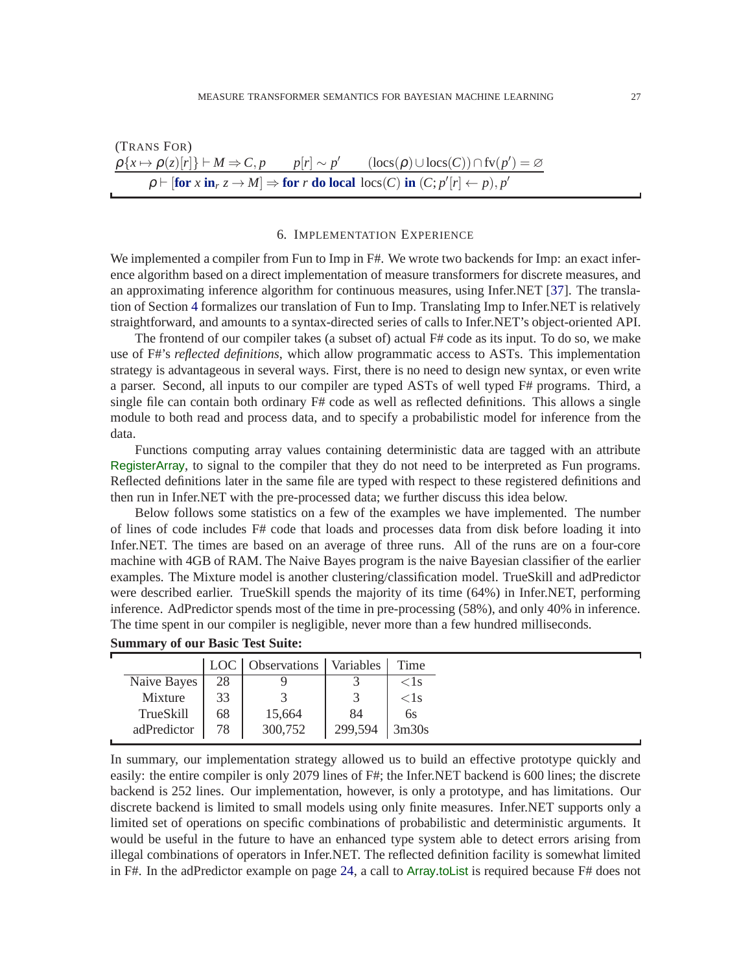<span id="page-26-1"></span>(Trans FOR)  
\n
$$
\frac{\rho\{x \mapsto \rho(z)[r]\} \vdash M \Rightarrow C, p \qquad p[r] \sim p' \qquad (\text{locs}(C) \cup \text{locs}(C)) \cap \text{fv}(p') = \varnothing}{p \vdash [\text{for } x \text{ in}_r z \rightarrow M] \Rightarrow \text{for } r \text{ do local } \text{locs}(C) \text{ in } (C; p'[r] \leftarrow p), p'}
$$

#### 6. IMPLEMENTATION EXPERIENCE

<span id="page-26-0"></span>We implemented a compiler from Fun to Imp in F#. We wrote two backends for Imp: an exact inference algorithm based on a direct implementation of measure transformers for discrete measures, and an approximating inference algorithm for continuous measures, using Infer.NET [\[37\]](#page-38-9). The translation of Section [4](#page-17-0) formalizes our translation of Fun to Imp. Translating Imp to Infer.NET is relatively straightforward, and amounts to a syntax-directed series of calls to Infer.NET's object-oriented API.

The frontend of our compiler takes (a subset of) actual F# code as its input. To do so, we make use of F#'s *reflected definitions*, which allow programmatic access to ASTs. This implementation strategy is advantageous in several ways. First, there is no need to design new syntax, or even write a parser. Second, all inputs to our compiler are typed ASTs of well typed F# programs. Third, a single file can contain both ordinary F# code as well as reflected definitions. This allows a single module to both read and process data, and to specify a probabilistic model for inference from the data.

Functions computing array values containing deterministic data are tagged with an attribute RegisterArray, to signal to the compiler that they do not need to be interpreted as Fun programs. Reflected definitions later in the same file are typed with respect to these registered definitions and then run in Infer.NET with the pre-processed data; we further discuss this idea below.

Below follows some statistics on a few of the examples we have implemented. The number of lines of code includes F# code that loads and processes data from disk before loading it into Infer.NET. The times are based on an average of three runs. All of the runs are on a four-core machine with 4GB of RAM. The Naive Bayes program is the naive Bayesian classifier of the earlier examples. The Mixture model is another clustering/classification model. TrueSkill and adPredictor were described earlier. TrueSkill spends the majority of its time (64%) in Infer.NET, performing inference. AdPredictor spends most of the time in pre-processing (58%), and only 40% in inference. The time spent in our compiler is negligible, never more than a few hundred milliseconds.

| 28<br>Naive Bayes<br>$<$ 1 s                     |
|--------------------------------------------------|
|                                                  |
| 33<br>Mixture<br>$<$ 1 s                         |
| 84<br>68<br>TrueSkill<br>15,664<br>6s            |
| 299,594<br>adPredictor<br>78<br>300,752<br>3m30s |

| <b>Summary of our Basic Test Suite:</b> |  |  |  |  |  |
|-----------------------------------------|--|--|--|--|--|
|-----------------------------------------|--|--|--|--|--|

In summary, our implementation strategy allowed us to build an effective prototype quickly and easily: the entire compiler is only 2079 lines of F#; the Infer.NET backend is 600 lines; the discrete backend is 252 lines. Our implementation, however, is only a prototype, and has limitations. Our discrete backend is limited to small models using only finite measures. Infer.NET supports only a limited set of operations on specific combinations of probabilistic and deterministic arguments. It would be useful in the future to have an enhanced type system able to detect errors arising from illegal combinations of operators in Infer.NET. The reflected definition facility is somewhat limited in F#. In the adPredictor example on page [24,](#page-22-2) a call to Array.toList is required because F# does not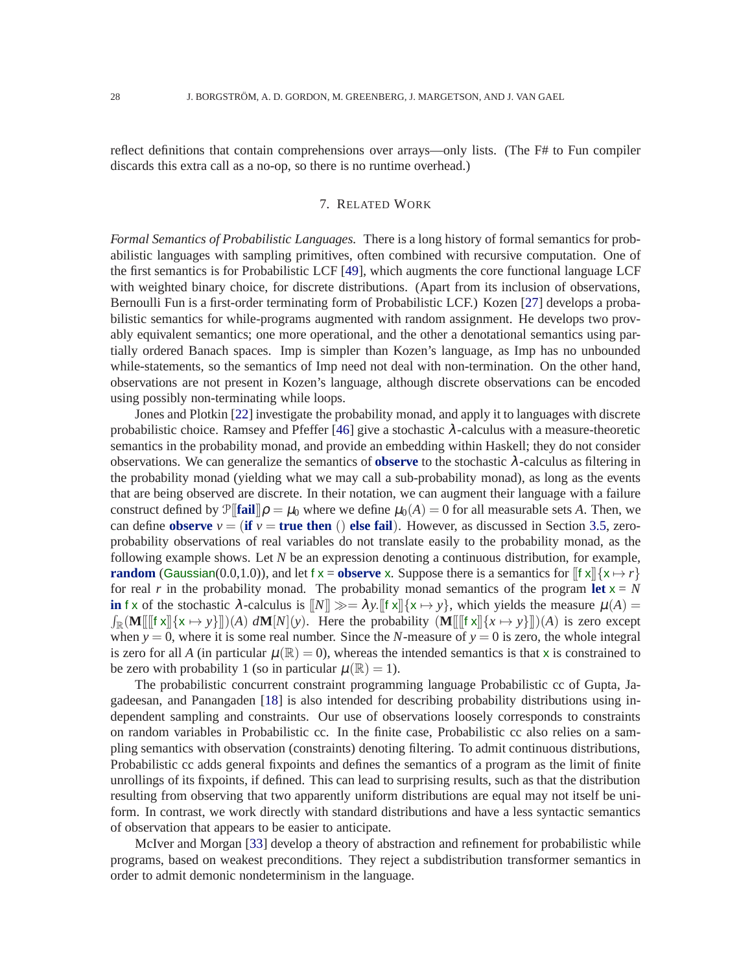<span id="page-27-0"></span>reflect definitions that contain comprehensions over arrays—only lists. (The F# to Fun compiler discards this extra call as a no-op, so there is no runtime overhead.)

#### 7. RELATED WORK

*Formal Semantics of Probabilistic Languages.* There is a long history of formal semantics for probabilistic languages with sampling primitives, often combined with recursive computation. One of the first semantics is for Probabilistic LCF [\[49\]](#page-38-17), which augments the core functional language LCF with weighted binary choice, for discrete distributions. (Apart from its inclusion of observations, Bernoulli Fun is a first-order terminating form of Probabilistic LCF.) Kozen [\[27\]](#page-37-16) develops a probabilistic semantics for while-programs augmented with random assignment. He develops two provably equivalent semantics; one more operational, and the other a denotational semantics using partially ordered Banach spaces. Imp is simpler than Kozen's language, as Imp has no unbounded while-statements, so the semantics of Imp need not deal with non-termination. On the other hand, observations are not present in Kozen's language, although discrete observations can be encoded using possibly non-terminating while loops.

Jones and Plotkin [\[22\]](#page-37-17) investigate the probability monad, and apply it to languages with discrete probabilistic choice. Ramsey and Pfeffer [\[46\]](#page-38-16) give a stochastic  $\lambda$ -calculus with a measure-theoretic semantics in the probability monad, and provide an embedding within Haskell; they do not consider observations. We can generalize the semantics of **observe** to the stochastic λ-calculus as filtering in the probability monad (yielding what we may call a sub-probability monad), as long as the events that are being observed are discrete. In their notation, we can augment their language with a failure construct defined by  $\mathcal{P}[\text{fail}]\rho = \mu_0$  where we define  $\mu_0(A) = 0$  for all measurable sets *A*. Then, we can define **observe**  $v = (\mathbf{if } v = \mathbf{true} \mathbf{then} () \mathbf{else} \mathbf{fail}).$  However, as discussed in Section [3.5,](#page-14-1) zeroprobability observations of real variables do not translate easily to the probability monad, as the following example shows. Let *N* be an expression denoting a continuous distribution, for example, **random** (Gaussian(0.0,1.0)), and let f  $x =$ **observe** x. Suppose there is a semantics for  $\left[$  f  $x\right]$ { $x \mapsto r$ } for real *r* in the probability monad. The probability monad semantics of the program **let**  $x = N$ **in** f x of the stochastic  $\lambda$ -calculus is  $\llbracket N \rrbracket \gg = \lambda y$ .  $\llbracket f \times f \rrbracket \{x \mapsto y\}$ , which yields the measure  $\mu(A) =$  $\int_{\mathbb{R}} (\mathbf{M}[[[\mathbf{f} \mathbf{x}]] \{ \mathbf{x} \mapsto \mathbf{y} \}]) (A) d\mathbf{M}[N](\mathbf{y})$ . Here the probability  $(\mathbf{M}[[[\mathbf{f} \mathbf{x}]] \{ \mathbf{x} \mapsto \mathbf{y} \}]) (A)$  is zero except when  $y = 0$ , where it is some real number. Since the *N*-measure of  $y = 0$  is zero, the whole integral is zero for all *A* (in particular  $\mu(\mathbb{R}) = 0$ ), whereas the intended semantics is that x is constrained to be zero with probability 1 (so in particular  $\mu(\mathbb{R}) = 1$ ).

The probabilistic concurrent constraint programming language Probabilistic cc of Gupta, Jagadeesan, and Panangaden [\[18\]](#page-37-6) is also intended for describing probability distributions using independent sampling and constraints. Our use of observations loosely corresponds to constraints on random variables in Probabilistic cc. In the finite case, Probabilistic cc also relies on a sampling semantics with observation (constraints) denoting filtering. To admit continuous distributions, Probabilistic cc adds general fixpoints and defines the semantics of a program as the limit of finite unrollings of its fixpoints, if defined. This can lead to surprising results, such as that the distribution resulting from observing that two apparently uniform distributions are equal may not itself be uniform. In contrast, we work directly with standard distributions and have a less syntactic semantics of observation that appears to be easier to anticipate.

McIver and Morgan [\[33\]](#page-38-18) develop a theory of abstraction and refinement for probabilistic while programs, based on weakest preconditions. They reject a subdistribution transformer semantics in order to admit demonic nondeterminism in the language.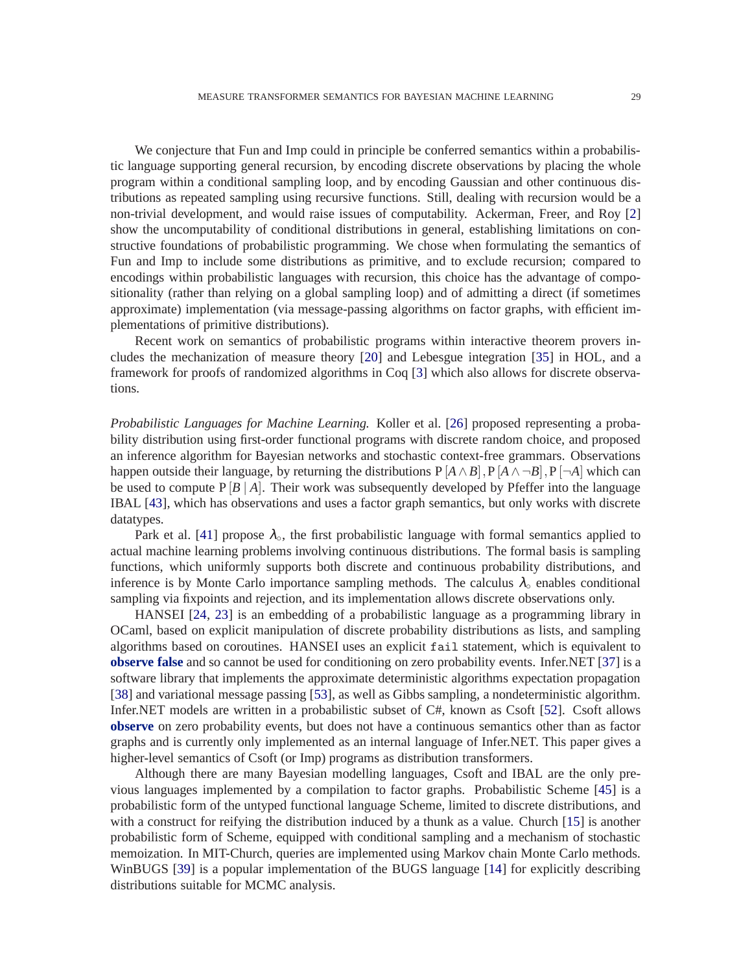We conjecture that Fun and Imp could in principle be conferred semantics within a probabilistic language supporting general recursion, by encoding discrete observations by placing the whole program within a conditional sampling loop, and by encoding Gaussian and other continuous distributions as repeated sampling using recursive functions. Still, dealing with recursion would be a non-trivial development, and would raise issues of computability. Ackerman, Freer, and Roy [\[2\]](#page-37-18) show the uncomputability of conditional distributions in general, establishing limitations on constructive foundations of probabilistic programming. We chose when formulating the semantics of Fun and Imp to include some distributions as primitive, and to exclude recursion; compared to encodings within probabilistic languages with recursion, this choice has the advantage of compositionality (rather than relying on a global sampling loop) and of admitting a direct (if sometimes approximate) implementation (via message-passing algorithms on factor graphs, with efficient implementations of primitive distributions).

Recent work on semantics of probabilistic programs within interactive theorem provers includes the mechanization of measure theory [\[20\]](#page-37-19) and Lebesgue integration [\[35\]](#page-38-15) in HOL, and a framework for proofs of randomized algorithms in Coq [\[3\]](#page-37-20) which also allows for discrete observations.

*Probabilistic Languages for Machine Learning.* Koller et al. [\[26\]](#page-37-21) proposed representing a probability distribution using first-order functional programs with discrete random choice, and proposed an inference algorithm for Bayesian networks and stochastic context-free grammars. Observations happen outside their language, by returning the distributions  $P[A \wedge B], P[A \wedge \neg B], P[\neg A]$  which can be used to compute  $P[B \mid A]$ . Their work was subsequently developed by Pfeffer into the language IBAL [\[43\]](#page-38-11), which has observations and uses a factor graph semantics, but only works with discrete datatypes.

Park et al. [\[41\]](#page-38-6) propose  $\lambda_{\circ}$ , the first probabilistic language with formal semantics applied to actual machine learning problems involving continuous distributions. The formal basis is sampling functions, which uniformly supports both discrete and continuous probability distributions, and inference is by Monte Carlo importance sampling methods. The calculus  $\lambda_{\circ}$  enables conditional sampling via fixpoints and rejection, and its implementation allows discrete observations only.

HANSEI [\[24,](#page-37-4) [23\]](#page-37-22) is an embedding of a probabilistic language as a programming library in OCaml, based on explicit manipulation of discrete probability distributions as lists, and sampling algorithms based on coroutines. HANSEI uses an explicit fail statement, which is equivalent to **observe false** and so cannot be used for conditioning on zero probability events. Infer.NET [\[37\]](#page-38-9) is a software library that implements the approximate deterministic algorithms expectation propagation [\[38\]](#page-38-19) and variational message passing [\[53\]](#page-38-20), as well as Gibbs sampling, a nondeterministic algorithm. Infer.NET models are written in a probabilistic subset of C#, known as Csoft [\[52\]](#page-38-2). Csoft allows **observe** on zero probability events, but does not have a continuous semantics other than as factor graphs and is currently only implemented as an internal language of Infer.NET. This paper gives a higher-level semantics of Csoft (or Imp) programs as distribution transformers.

Although there are many Bayesian modelling languages, Csoft and IBAL are the only previous languages implemented by a compilation to factor graphs. Probabilistic Scheme [\[45\]](#page-38-7) is a probabilistic form of the untyped functional language Scheme, limited to discrete distributions, and with a construct for reifying the distribution induced by a thunk as a value. Church [\[15\]](#page-37-3) is another probabilistic form of Scheme, equipped with conditional sampling and a mechanism of stochastic memoization. In MIT-Church, queries are implemented using Markov chain Monte Carlo methods. WinBUGS [\[39\]](#page-38-21) is a popular implementation of the BUGS language [\[14\]](#page-37-0) for explicitly describing distributions suitable for MCMC analysis.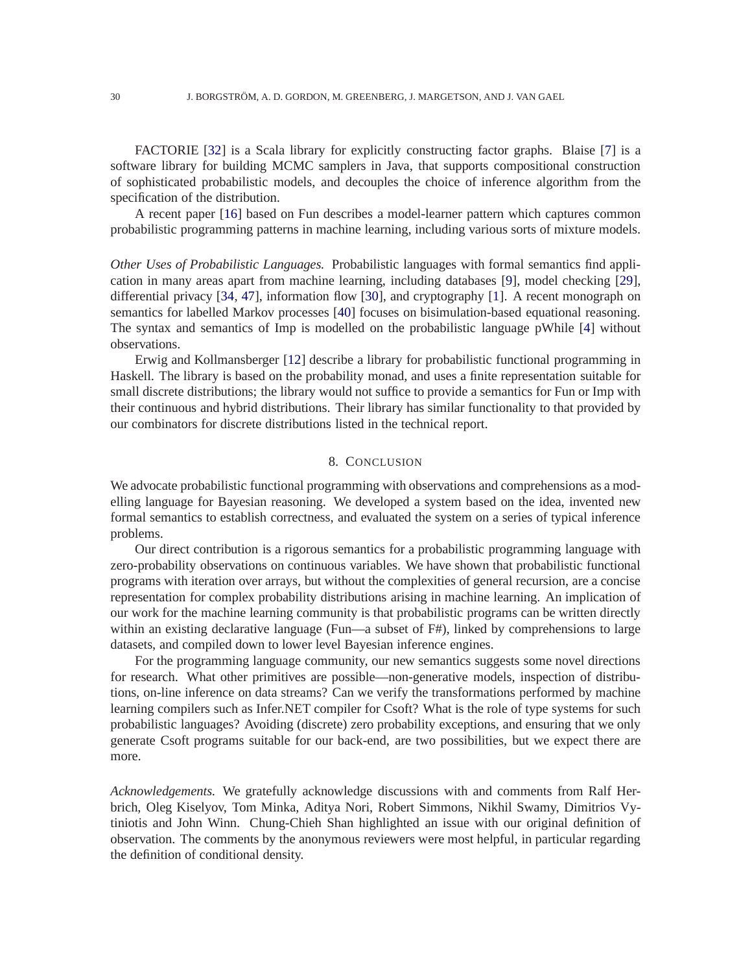FACTORIE [\[32\]](#page-38-3) is a Scala library for explicitly constructing factor graphs. Blaise [\[7\]](#page-37-2) is a software library for building MCMC samplers in Java, that supports compositional construction of sophisticated probabilistic models, and decouples the choice of inference algorithm from the specification of the distribution.

A recent paper [\[16\]](#page-37-23) based on Fun describes a model-learner pattern which captures common probabilistic programming patterns in machine learning, including various sorts of mixture models.

*Other Uses of Probabilistic Languages.* Probabilistic languages with formal semantics find application in many areas apart from machine learning, including databases [\[9\]](#page-37-24), model checking [\[29\]](#page-38-22), differential privacy [\[34,](#page-38-23) [47\]](#page-38-24), information flow [\[30\]](#page-38-25), and cryptography [\[1\]](#page-37-25). A recent monograph on semantics for labelled Markov processes [\[40\]](#page-38-26) focuses on bisimulation-based equational reasoning. The syntax and semantics of Imp is modelled on the probabilistic language pWhile [\[4\]](#page-37-14) without observations.

Erwig and Kollmansberger [\[12\]](#page-37-7) describe a library for probabilistic functional programming in Haskell. The library is based on the probability monad, and uses a finite representation suitable for small discrete distributions; the library would not suffice to provide a semantics for Fun or Imp with their continuous and hybrid distributions. Their library has similar functionality to that provided by our combinators for discrete distributions listed in the technical report.

#### 8. CONCLUSION

<span id="page-29-0"></span>We advocate probabilistic functional programming with observations and comprehensions as a modelling language for Bayesian reasoning. We developed a system based on the idea, invented new formal semantics to establish correctness, and evaluated the system on a series of typical inference problems.

Our direct contribution is a rigorous semantics for a probabilistic programming language with zero-probability observations on continuous variables. We have shown that probabilistic functional programs with iteration over arrays, but without the complexities of general recursion, are a concise representation for complex probability distributions arising in machine learning. An implication of our work for the machine learning community is that probabilistic programs can be written directly within an existing declarative language (Fun—a subset of F#), linked by comprehensions to large datasets, and compiled down to lower level Bayesian inference engines.

For the programming language community, our new semantics suggests some novel directions for research. What other primitives are possible—non-generative models, inspection of distributions, on-line inference on data streams? Can we verify the transformations performed by machine learning compilers such as Infer.NET compiler for Csoft? What is the role of type systems for such probabilistic languages? Avoiding (discrete) zero probability exceptions, and ensuring that we only generate Csoft programs suitable for our back-end, are two possibilities, but we expect there are more.

*Acknowledgements.* We gratefully acknowledge discussions with and comments from Ralf Herbrich, Oleg Kiselyov, Tom Minka, Aditya Nori, Robert Simmons, Nikhil Swamy, Dimitrios Vytiniotis and John Winn. Chung-Chieh Shan highlighted an issue with our original definition of observation. The comments by the anonymous reviewers were most helpful, in particular regarding the definition of conditional density.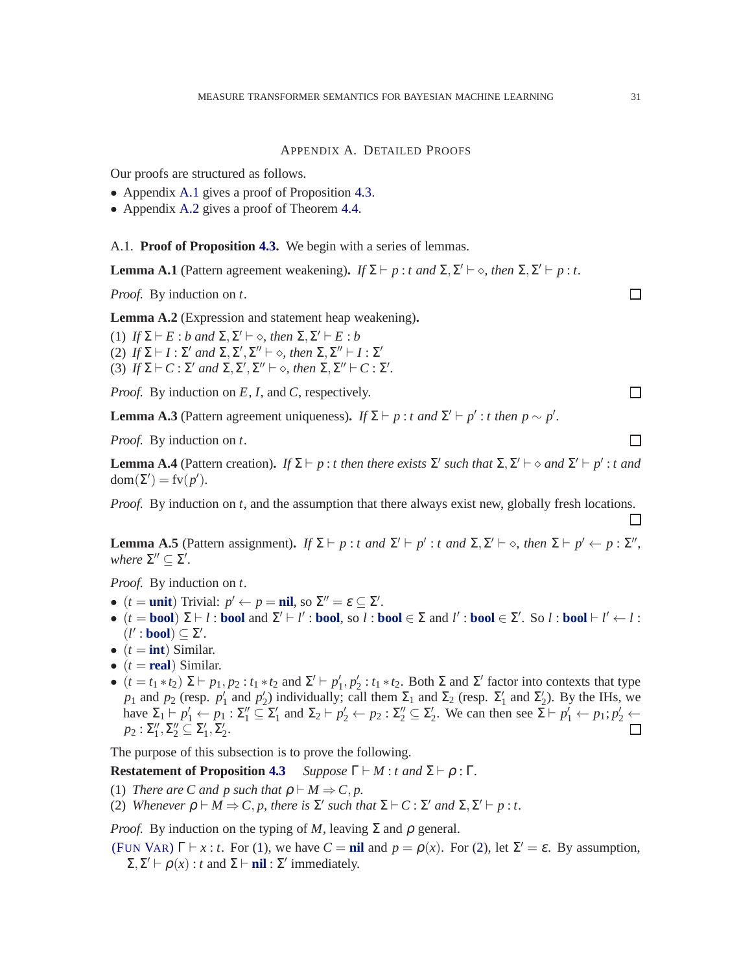## APPENDIX A. DETAILED PROOFS

<span id="page-30-0"></span>Our proofs are structured as follows.

- Appendix [A.1](#page-30-1) gives a proof of Proposition [4.3.](#page-21-0)
- Appendix [A.2](#page-33-0) gives a proof of Theorem [4.4.](#page-22-1)

<span id="page-30-1"></span>A.1. **Proof of Proposition [4.3.](#page-21-0)** We begin with a series of lemmas.

<span id="page-30-6"></span>**Lemma A.1** (Pattern agreement weakening). *If*  $\Sigma \vdash p : t$  *and*  $\Sigma, \Sigma' \vdash \diamond$ *, then*  $\Sigma, \Sigma' \vdash p : t$ .

*Proof.* By induction on *t*.

<span id="page-30-7"></span>**Lemma A.2** (Expression and statement heap weakening)**.**

(1) *If*  $\Sigma \vdash E : b$  and  $\Sigma, \Sigma' \vdash \diamond$ , then  $\Sigma, \Sigma' \vdash E : b$ (2)  $If \Sigma \vdash I : \Sigma'$  and  $\Sigma, \Sigma', \Sigma'' \vdash \diamond$ , then  $\Sigma, \Sigma'' \vdash I : \Sigma'$ (3)  $If \Sigma \vdash C : \Sigma' \text{ and } \Sigma, \Sigma', \Sigma'' \vdash \diamond, \text{ then } \Sigma, \Sigma'' \vdash C : \Sigma'.$ 

*Proof.* By induction on *E*, *I*, and *C*, respectively.

<span id="page-30-4"></span>**Lemma A.3** (Pattern agreement uniqueness). *If*  $\Sigma \vdash p : t$  *and*  $\Sigma' \vdash p' : t$  *then*  $p \sim p'$ .

*Proof.* By induction on *t*.

<span id="page-30-5"></span>**Lemma A.4** (Pattern creation). *If*  $\Sigma \vdash p : t$  *then there exists*  $\Sigma'$  *such that*  $\Sigma, \Sigma' \vdash \diamond$  *and*  $\Sigma' \vdash p' : t$  *and*  $dom(\Sigma') = fv(p').$ 

*Proof.* By induction on *t*, and the assumption that there always exist new, globally fresh locations.

**Lemma A.5** (Pattern assignment). *If*  $\Sigma \vdash p : t$  *and*  $\Sigma' \vdash p' : t$  *and*  $\Sigma, \Sigma' \vdash \diamond$ *, then*  $\Sigma \vdash p' \leftarrow p : \Sigma''$ , *where*  $\Sigma'' \subseteq \Sigma'$ .

*Proof.* By induction on *t*.

- $(t = \text{unit})$  Trivial:  $p' \leftarrow p = \text{nil},$  so  $\Sigma'' = \varepsilon \subseteq \Sigma'$ .
- $\bullet$  (*t* = **bool**) Σ ⊢ *l* : **bool** and Σ' ⊢ *l'* : **bool**, so *l* : **bool** ∈ Σ and *l'* : **bool** ∈ Σ'. So *l* : **bool** ⊢ *l'* ← *l* :  $(l': \text{bool}) \subseteq \Sigma'.$
- $(t = \text{int})$  Similar.
- $(t = real)$  Similar.
- $(t = t_1 * t_2) \Sigma \vdash p_1, p_2 : t_1 * t_2$  and  $\Sigma' \vdash p'_1, p'_2 : t_1 * t_2$ . Both  $\Sigma$  and  $\Sigma'$  factor into contexts that type *p*<sub>1</sub> and *p*<sub>2</sub> (resp. *p*<sup>'</sup><sub>1</sub> and *p*<sup>'</sup><sub>2</sub>) individually; call them  $\Sigma_1$  and  $\Sigma_2$  (resp.  $\Sigma'_1$  and  $\Sigma'_2$ ). By the IHs, we have  $\Sigma_1 \vdash p_1' \leftarrow p_1 : \Sigma_1'' \subseteq \Sigma_1'$  and  $\Sigma_2 \vdash p_2' \leftarrow p_2 : \Sigma_2'' \subseteq \Sigma_2'$ . We can then see  $\Sigma \vdash p_1' \leftarrow p_1 : p_2' \leftarrow p_2'$  $p_2: \Sigma''_1, \Sigma''_2 \subseteq \Sigma'_1, \Sigma'_2.$

The purpose of this subsection is to prove the following.

<span id="page-30-2"></span>**Restatement of Proposition [4.3](#page-21-0)** *Suppose*  $\Gamma \vdash M : t$  *and*  $\Sigma \vdash \rho : \Gamma$ *.* 

- <span id="page-30-3"></span>(1) *There are C and p such that*  $\rho \vdash M \Rightarrow C, p$ .
- (2) *Whenever*  $\rho \vdash M \Rightarrow C, p$ , there is  $\Sigma'$  such that  $\Sigma \vdash C : \Sigma'$  and  $\Sigma, \Sigma' \vdash p : t$ .

*Proof.* By induction on the typing of *M*, leaving  $\Sigma$  and  $\rho$  general.

(F[UN](#page-5-5) VAR)  $\Gamma \vdash x : t$ . For [\(1\)](#page-30-2), we have  $C = \textbf{nil}$  and  $p = \rho(x)$ . For [\(2\)](#page-30-3), let  $\Sigma' = \varepsilon$ . By assumption,  $\Sigma$ ,  $\Sigma' \vdash \rho(x) : t$  and  $\Sigma \vdash \textbf{nil} : \Sigma'$  immediately.

 $\Box$ 

 $\Box$ 

 $\Box$ 

П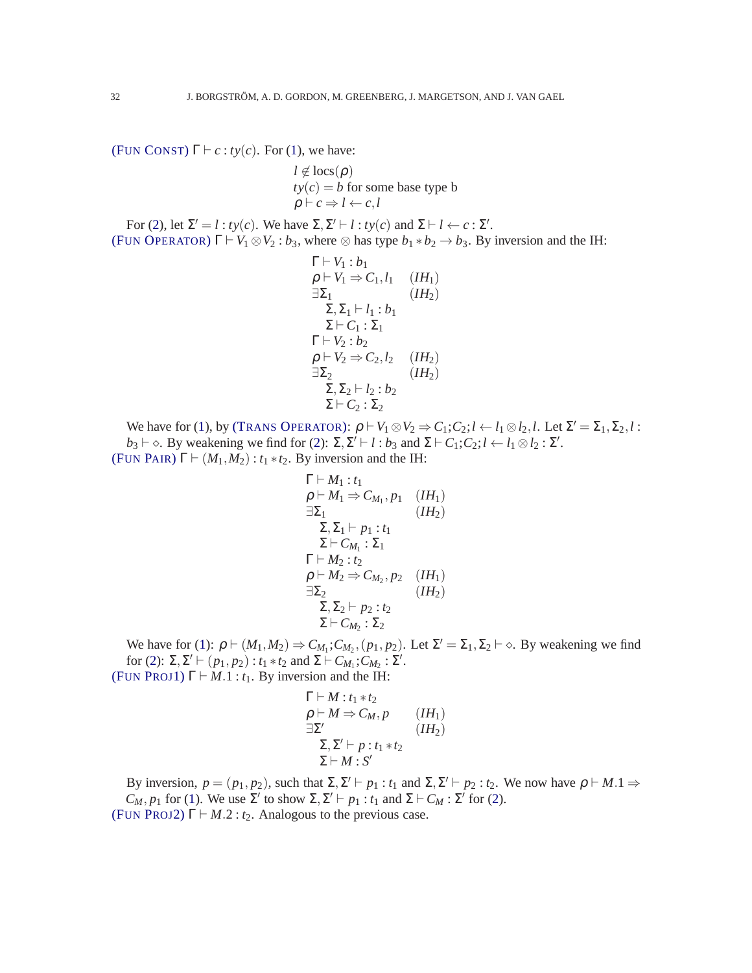(FUN C[ONST](#page-5-6))  $\Gamma \vdash c : ty(c)$ . For [\(1\)](#page-30-2), we have:

$$
l \notin \text{locs}(\rho)
$$
  

$$
ty(c) = b \text{ for some base type b}
$$
  

$$
\rho \vdash c \Rightarrow l \leftarrow c, l
$$

For [\(2\)](#page-30-3), let  $\Sigma' = l : ty(c)$ . We have  $\Sigma, \Sigma' \vdash l : ty(c)$  and  $\Sigma \vdash l \leftarrow c : \Sigma'$ . (FUN O[PERATOR](#page-5-7))  $\Gamma \vdash V_1 \otimes V_2 : b_3$ , where  $\otimes$  has type  $b_1 * b_2 \rightarrow b_3$ . By inversion and the IH:

$$
\Gamma \vdash V_1 : b_1
$$
\n
$$
\rho \vdash V_1 \Rightarrow C_1, l_1 \quad (IH_1)
$$
\n
$$
\exists \Sigma_1 \quad (IH_2)
$$
\n
$$
\Sigma, \Sigma_1 \vdash l_1 : b_1
$$
\n
$$
\Sigma \vdash C_1 : \Sigma_1
$$
\n
$$
\Gamma \vdash V_2 : b_2
$$
\n
$$
\rho \vdash V_2 \Rightarrow C_2, l_2 \quad (IH_2)
$$
\n
$$
\exists \Sigma_2 \quad (IH_2)
$$
\n
$$
\Sigma, \Sigma_2 \vdash l_2 : b_2
$$
\n
$$
\Sigma \vdash C_2 : \Sigma_2
$$

We have for [\(1\)](#page-30-2), by (TRANS O[PERATOR](#page-20-13)):  $\rho \vdash V_1 \otimes V_2 \Rightarrow C_1; C_2; l \leftarrow l_1 \otimes l_2, l$ . Let  $\Sigma' = \Sigma_1, \Sigma_2, l$ :  $b_3 \vdash \diamond$ . By weakening we find for [\(2\)](#page-30-3):  $\Sigma, \Sigma' \vdash l : b_3$  and  $\Sigma \vdash C_1; C_2; l \leftarrow l_1 \otimes l_2 : \Sigma'$ . (FUN P[AIR](#page-5-0))  $\Gamma \vdash (M_1, M_2) : t_1 * t_2$ . By inversion and the IH:

$$
\Gamma \vdash M_1 : t_1
$$
\n
$$
\rho \vdash M_1 \Rightarrow C_{M_1}, p_1 \quad (IH_1)
$$
\n
$$
\exists \Sigma_1 \quad (IH_2)
$$
\n
$$
\Sigma, \Sigma_1 \vdash p_1 : t_1
$$
\n
$$
\Sigma \vdash C_{M_1} : \Sigma_1
$$
\n
$$
\Gamma \vdash M_2 : t_2
$$
\n
$$
\rho \vdash M_2 \Rightarrow C_{M_2}, p_2 \quad (IH_1)
$$
\n
$$
\exists \Sigma_2 \quad (IH_2)
$$
\n
$$
\Sigma, \Sigma_2 \vdash p_2 : t_2
$$
\n
$$
\Sigma \vdash C_{M_2} : \Sigma_2
$$

We have for [\(1\)](#page-30-2):  $\rho \vdash (M_1, M_2) \Rightarrow C_{M_1}; C_{M_2}, (p_1, p_2)$ . Let  $\Sigma' = \Sigma_1, \Sigma_2 \vdash \diamond$ . By weakening we find for [\(2\)](#page-30-3):  $\Sigma, \Sigma' \vdash (p_1, p_2) : t_1 * t_2 \text{ and } \Sigma \vdash C_{M_1}; C_{M_2} : \Sigma'.$ (FUN P[ROJ](#page-5-2)1)  $\Gamma \vdash M.1 : t_1$ . By inversion and the IH:

$$
\Gamma \vdash M : t_1 * t_2 \n\rho \vdash M \Rightarrow C_M, p \qquad (IH_1) \n\exists \Sigma' \qquad (IH_2) \n\Sigma, \Sigma' \vdash p : t_1 * t_2 \n\Sigma \vdash M : S'
$$

By inversion,  $p = (p_1, p_2)$ , such that  $\Sigma$ ,  $\Sigma' \vdash p_1 : t_1$  and  $\Sigma$ ,  $\Sigma' \vdash p_2 : t_2$ . We now have  $\rho \vdash M.1 \Rightarrow$ *C<sub>M</sub>*, *p*<sub>1</sub> for [\(1\)](#page-30-2). We use  $\Sigma'$  to show  $\Sigma$ ,  $\Sigma' \vdash p_1 : t_1$  and  $\Sigma \vdash C_M : \Sigma'$  for [\(2\)](#page-30-3). (FUN P[ROJ](#page-5-3)2)  $\Gamma \vdash M.2 : t_2$ . Analogous to the previous case.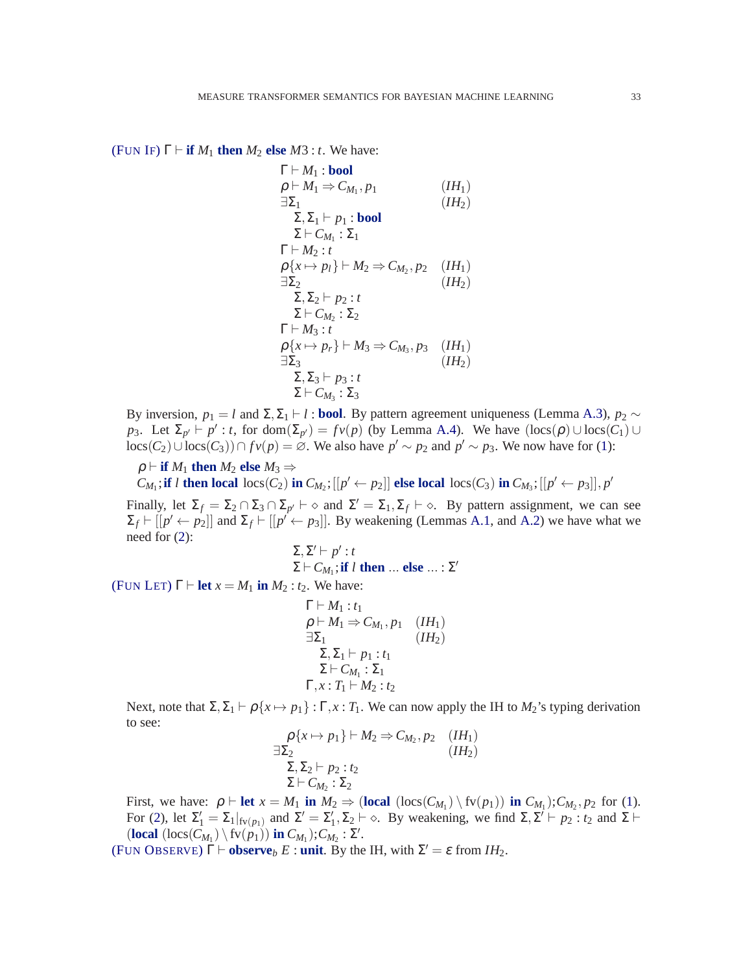(F[UN](#page-5-1) IF)  $\Gamma \vdash$  **if**  $M_1$  **then**  $M_2$  **else**  $M_3 : t$ . We have:

$$
\Gamma \vdash M_1 : \text{bool} \n\rho \vdash M_1 \Rightarrow C_{M_1}, p_1 \qquad (IH_1) \n\exists \Sigma_1 \qquad (IH_2) \n\Sigma, \Sigma_1 \vdash p_1 : \text{bool} \n\Sigma \vdash C_{M_1} : \Sigma_1 \n\Gamma \vdash M_2 : t \n\rho \{x \mapsto p_l\} \vdash M_2 \Rightarrow C_{M_2}, p_2 \qquad (IH_1) \n\exists \Sigma_2 \qquad (IH_2) \n\Sigma, \Sigma_2 \vdash p_2 : t \n\Sigma \vdash C_{M_2} : \Sigma_2 \n\Gamma \vdash M_3 : t \n\rho \{x \mapsto p_r\} \vdash M_3 \Rightarrow C_{M_3}, p_3 \qquad (IH_1) \n\exists \Sigma_3 \qquad (IH_2) \n\Sigma, \Sigma_3 \vdash p_3 : t \n\Sigma \vdash C_{M_3} : \Sigma_3
$$

By inversion,  $p_1 = l$  and  $\Sigma$ ,  $\Sigma_1 \vdash l$  : **bool**. By pattern agreement uniqueness (Lemma [A.3\)](#page-30-4),  $p_2 \sim$ *p*<sub>3</sub>. Let  $\Sigma_{p'} \vdash p'$ : *t*, for dom( $\Sigma_{p'}$ ) = *fv(p)* (by Lemma [A.4\)](#page-30-5). We have  $(\text{locs}(\rho) \cup \text{locs}(C_1) \cup$ locs(*C*<sub>2</sub>)∪locs(*C*<sub>3</sub>))∩ *fv*(*p*) = ∅. We also have  $p' \sim p_2$  and  $p' \sim p_3$ . We now have for [\(1\)](#page-30-2):

 $\rho$   $\vdash$  **if**  $M_1$  **then**  $M_2$  **else**  $M_3 \Rightarrow$  $C_{M_1}$ ; if *l* then local  $\log(C_2)$  in  $C_{M_2}$ ; [[ $p' \leftarrow p_2$ ]] else local  $\log(C_3)$  in  $C_{M_3}$ ; [[ $p' \leftarrow p_3$ ]],  $p'$ 

Finally, let  $\Sigma_f = \Sigma_2 \cap \Sigma_3 \cap \Sigma_{p'} \vdash \diamond$  and  $\Sigma' = \Sigma_1, \Sigma_f \vdash \diamond$ . By pattern assignment, we can see  $\Sigma_f \vdash [[p' \leftarrow p_2]]$  and  $\Sigma_f \vdash [[p' \leftarrow p_3]]$ . By weakening (Lemmas [A.1,](#page-30-6) and [A.2\)](#page-30-7) we have what we need for [\(2\)](#page-30-3):

Σ,Σ ′ ⊢ *p* ′ : *t*  $\Sigma \vdash C_{M_1}; \textbf{if } l \textbf{ then } ... \textbf{ else } ... : \Sigma'$ (F[UN](#page-5-4) LET)  $\Gamma \vdash \text{let } x = M_1 \text{ in } M_2 : t_2$ . We have:  $\Gamma \vdash M_1 \cdot t_1$ , *p*<sup>1</sup> (*IH*1)

$$
\rho \vdash M_1 \Rightarrow C_{M_1}, p_1 \quad (IH_1)
$$
  
\n
$$
\exists \Sigma_1 \qquad (IH_2)
$$
  
\n
$$
\Sigma, \Sigma_1 \vdash p_1 : t_1
$$
  
\n
$$
\Sigma \vdash C_{M_1} : \Sigma_1
$$
  
\n
$$
\Gamma, x : T_1 \vdash M_2 : t_2
$$

Next, note that  $\Sigma$ ,  $\Sigma_1$   $\vdash \rho$  { $x \mapsto p_1$ } :  $\Gamma$ ,  $x : T_1$ . We can now apply the IH to  $M_2$ 's typing derivation to see:

$$
\rho\{x \mapsto p_1\} \vdash M_2 \Rightarrow C_{M_2}, p_2 \quad (IH_1)
$$
  

$$
\exists \Sigma_2 \qquad (IH_2)
$$
  

$$
\Sigma, \Sigma_2 \vdash p_2 : t_2
$$
  

$$
\Sigma \vdash C_{M_2} : \Sigma_2
$$

First, we have:  $\rho \vdash \text{let } x = M_1 \text{ in } M_2 \Rightarrow (\text{local } (\text{locs}(C_{M_1}) \setminus \text{fv}(p_1)) \text{ in } C_{M_1})$ ;  $C_{M_2}, p_2$  for [\(1\)](#page-30-2). For [\(2\)](#page-30-3), let  $\Sigma'_1 = \Sigma_1|_{f_V(p_1)}$  and  $\Sigma' = \Sigma'_1, \Sigma_2 \vdash \diamond$ . By weakening, we find  $\Sigma, \Sigma' \vdash p_2 : t_2$  and  $\Sigma \vdash$  $(\textbf{local} (\textbf{locs}(C_{M_1}) \setminus \textbf{fv}(p_1)) \textbf{ in } C_{M_1})$ ;  $C_{M_2}$ :  $\Sigma'$ .

(FUN O[BSERVE](#page-5-8))  $\Gamma \vdash \mathbf{observe}_b E : \mathbf{unit}$ . By the IH, with  $\Sigma' = \varepsilon$  from  $IH_2$ .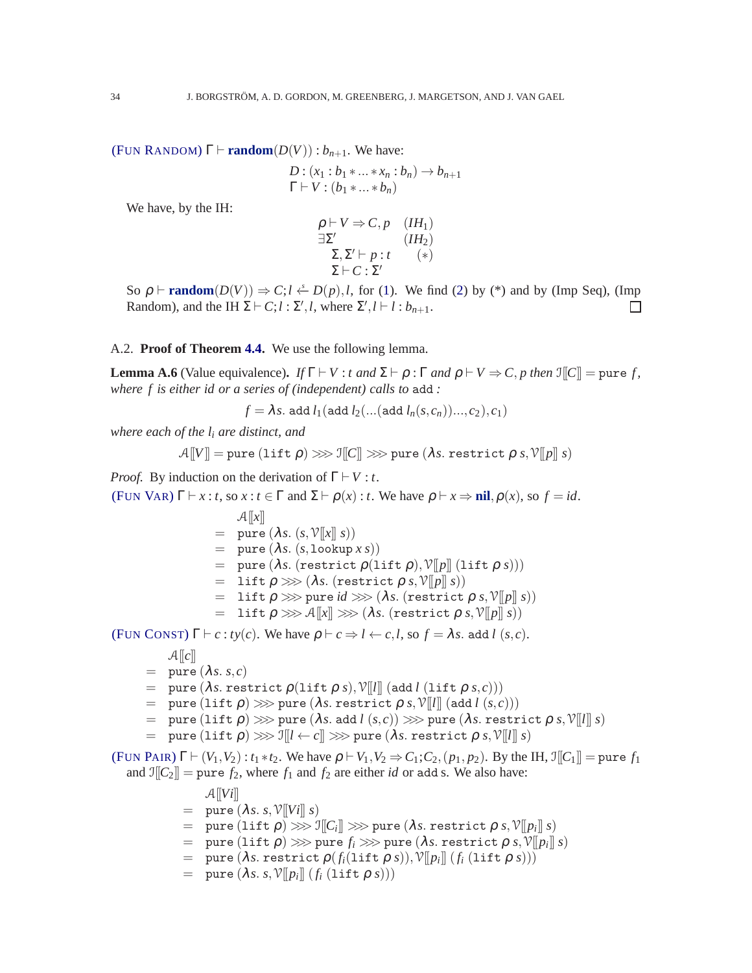(FUN R[ANDOM](#page-5-9))  $\Gamma \vdash \textbf{random}(D(V)) : b_{n+1}$ . We have:

$$
D: (x_1 : b_1 * ... * x_n : b_n) \to b_{n+1}
$$
  
\n
$$
\Gamma \vdash V : (b_1 * ... * b_n)
$$

We have, by the IH:

$$
\rho \vdash V \Rightarrow C, p \quad (IH_1)
$$
  

$$
\exists \Sigma'
$$
  

$$
\Sigma, \Sigma' \vdash p : t \quad (*)
$$
  

$$
\Sigma \vdash C : \Sigma'
$$

So  $\rho$  ⊢ **random**( $D(V)$ )  $\Rightarrow$  *C*;*l* ←  $D(p)$ ,*l*, for [\(1\)](#page-30-2). We find [\(2\)](#page-30-3) by (\*) and by (Imp Seq), (Imp Random), and the IH  $\Sigma$  ⊢ *C*:*l* :  $\Sigma'$ .*l*, where  $\Sigma'$ .*l* ⊢ *l* :  $b_{n+1}$ . Random), and the IH  $\Sigma \vdash C; l : \Sigma', l$ , where  $\Sigma', l \vdash l : b_{n+1}$ .

#### <span id="page-33-0"></span>A.2. **Proof of Theorem [4.4.](#page-22-1)** We use the following lemma.

<span id="page-33-1"></span>**Lemma A.6** (Value equivalence). *If*  $\Gamma \vdash V : t$  *and*  $\Sigma \vdash \rho : \Gamma$  *and*  $\rho \vdash V \Rightarrow C, p$  *then*  $\mathbb{I}[[C]] = \text{pure } f$ , *where f is either id or a series of (independent) calls to* add *:*

 $f = \lambda s$ . add  $l_1$ (add  $l_2$ (...(add  $l_n(s, c_n)$ )...,*c*<sub>2</sub>),*c*<sub>1</sub>)

*where each of the l<sup>i</sup> are distinct, and*

$$
\mathcal{A}[\![V]\!] = \text{pure (lift $\rho$)} \ggg \mathbb{I}[\![C]\!] \ggg \text{pure ($\lambda s$. restrict $\rho$ $s$}, \mathbb{V}[\![p]\!] \! | s)
$$

*Proof.* By induction on the derivation of  $\Gamma \vdash V : t$ .

(F[UN](#page-5-5) VAR)  $\Gamma \vdash x : t$ , so  $x : t \in \Gamma$  and  $\Sigma \vdash \rho(x) : t$ . We have  $\rho \vdash x \Rightarrow \textbf{nil}, \rho(x)$ , so  $f = id$ .

 $\mathcal{A}[[x]]$  $=$  pure  $(\lambda s. (s, \mathcal{V}[[x]] s))$  $=$  pure  $(\lambda s. (s,$ lookup  $x s))$  $=$  pure ( $\lambda s$ . (restrict  $\rho(\text{lift } \rho), \mathcal{V}[[p]] (\text{lift } \rho s))$ )  $=$  lift  $\rho \ggg (\lambda s.$  (restrict  $\rho s, \mathcal{V}[[p]] s)$ )  $=$  lift  $\rho \gg \rho$  pure *id*  $\gg \langle \lambda s.$  (restrict  $\rho s, \nu \| p \| s)$ )  $=$  lift  $\rho \ggg \mathcal{A}[[x]] \ggg (\lambda s.$  (restrict  $\rho s, \mathcal{V}[[p]] s)$ )

(FUN C[ONST](#page-5-6))  $\Gamma \vdash c : ty(c)$ . We have  $\rho \vdash c \Rightarrow l \leftarrow c, l$ , so  $f = \lambda s$ . add *l* (*s*,*c*).

 $\mathcal{A}[[c]]$ 

- $=$  pure ( $\lambda$ *s*. *s*,*c*)
- $=$  pure  $(\lambda s.$  restrict  $\rho(\text{lift } \rho s), \mathcal{V}[[l]]$  (add *l* (lift  $\rho s, c$ )))
- $=$  pure (lift  $\rho$ )  $\gg$  pure ( $\lambda$ *s*. restrict  $\rho$  *s*,  $\mathcal{V}[[l]]$  (add  $l$  (*s*,*c*)))
- $=$  pure (lift  $\rho$ )  $\gg$  pure ( $\lambda s$ . add  $l(s,c)$ )  $\gg$  pure ( $\lambda s$ . restrict  $\rho s, \mathcal{V}[[l]] s$ )
- $=$  pure (lift  $\rho$ )  $\ggg$  I $\llbracket l \leftarrow c \rrbracket \ggg$  pure ( $\lambda s$ . restrict  $\rho$   $s$ ,  $\mathcal{V}[\llbracket l \rrbracket s)$

(FUN P[AIR](#page-5-0))  $\Gamma \vdash (V_1, V_2) : t_1 * t_2$ . We have  $\rho \vdash V_1, V_2 \Rightarrow C_1; C_2, (p_1, p_2)$ . By the IH,  $\mathbb{I}[[C_1]] = \text{pure } f_1$ and  $\mathbb{I}[C_2]$  = pure  $f_2$ , where  $f_1$  and  $f_2$  are either *id* or add s. We also have:

- $\mathcal{A}[[Vi]]$
- $=$  pure  $(\lambda s. s, \mathcal{V}[[Vi]] s)$
- $=$  pure  $($ lift  $\rho$  $)\ggg$   $\mathbb{I}\llbracket \mathcal{C}_i\rrbracket \ggg$  pure  $(\lambda s.$  restrict  $\rho$   $s,$   $\mathbb{V}\llbracket p_i\rrbracket$   $s)$
- $=$  pure (lift  $\rho$ )  $\gg$  pure  $f_i \gg$  pure ( $\lambda$ *s*. restrict  $\rho$  *s*,  $\mathcal{V}[\![p_i]\!]$  *s*)
- $=$  pure  $(\lambda s.$  restrict  $\rho(f_i(\text{lift }\rho s)), \mathcal{V}[\![p_i]\!](f_i(\text{lift }\rho s)))$
- $=$  pure  $(\lambda s. s. \mathcal{V}[p_i]] (f_i (lift \rho s)))$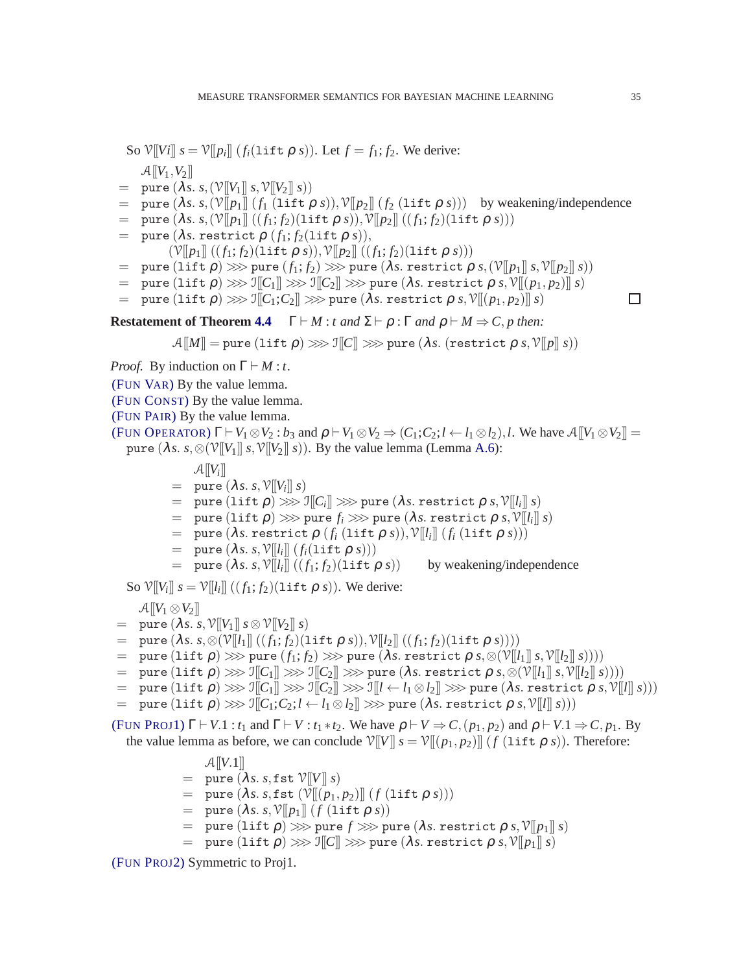So  $\mathcal{V}[[Vi]]$   $s = \mathcal{V}[[p_i]]$   $(f_i(\text{lift } \rho s))$ . Let  $f = f_1; f_2$ . We derive:  $\mathcal{A}[[V_1,V_2]]$ 

- $=$  pure  $(\lambda s. s, (\mathcal{V}[[V_1]] s, \mathcal{V}[[V_2]] s))$
- $=$  pure  $(\lambda s. s, (\mathcal{V}[[p_1]](f_1(\text{lift } \rho s)), \mathcal{V}[[p_2]](f_2(\text{lift } \rho s)))$  by weakening/independence
- $=$  pure  $(\lambda s. s, (\nu \| p_1 \| ((f_1; f_2) (\text{lift } \rho s)), \nu \| p_2 \| ((f_1; f_2) (\text{lift } \rho s)))$
- $=$  pure  $(\lambda s.$  restrict  $\rho$   $(f_1; f_2($ lift  $\rho s)$ ),

 $(\mathcal{V}[[p_1]]((f_1; f_2)(\text{lift } \rho \, s)), \mathcal{V}[[p_2]]((f_1; f_2)(\text{lift } \rho \, s)))$ 

- $=$  pure  $(1 \text{if } \rho) \ggg$  pure  $(f_1; f_2) \ggg$  pure  $(\lambda s.$  restrict  $\rho s, (\mathcal{V}[[p_1]] s, \mathcal{V}[[p_2]] s))$
- $=$  pure (lift  $\rho$ )  $\gg$  I $\llbracket C_1 \rrbracket \gg$  I $\llbracket C_2 \rrbracket \gg$  pure ( $\lambda$ *s*. restrict  $\rho$  *s*,  $\mathcal{V} \llbracket (p_1, p_2) \rrbracket$  *s*)
- $=$  pure (lift  $\rho$ )  $\gg$   $\mathbb{I}[C_1;C_2]\gg$  pure ( $\lambda s$ . restrict  $\rho s, \mathcal{V}[(p_1,p_2)]\ s)$

**Restatement of Theorem [4.4](#page-22-1)**  $\Gamma \vdash M : t \text{ and } \Sigma \vdash \rho : \Gamma \text{ and } \rho \vdash M \Rightarrow C, p \text{ then:}$ 

 $\mathcal{A}[[M]] =$  pure (lift  $\rho$ )  $\gg$   $\mathcal{A}[[C]] \gg$  pure ( $\lambda s$ . (restrict  $\rho$  *s*,  $\mathcal{V}[[p]]$  *s*))

*Proof.* By induction on  $\Gamma \vdash M : t$ .

(F[UN](#page-5-5) VAR) By the value lemma.

(FUN C[ONST](#page-5-6)) By the value lemma.

(FUN P[AIR](#page-5-0)) By the value lemma.

(FUN O[PERATOR](#page-5-7))  $\Gamma \vdash V_1 \otimes V_2 : b_3$  and  $\rho \vdash V_1 \otimes V_2 \Rightarrow (C_1; C_2; l \leftarrow l_1 \otimes l_2), l$ . We have  $\mathcal{A}[[V_1 \otimes V_2]] =$ pure  $(\lambda s. s. \otimes (\mathcal{V}[[V_1]] s, \mathcal{V}[[V_2]] s))$ . By the value lemma (Lemma [A.6\)](#page-33-1):

- $\mathcal{A}[[V_i]]$
- $=$  pure  $(\lambda s. s, \mathcal{V}[[V_i]] s)$
- $=$  pure  $($ lift  $\rho$  $)$   $>\!\!>\!\!>$  I $\llbracket C_i \rrbracket \gg\!\!>$  pure  $(\lambda s.$  restrict  $\rho$   $s,$   $\mathcal{V} \llbracket l_i \rrbracket$   $s)$
- $=$  pure  $($ lift  $\rho$  $) \ggg$  pure  $f_i \ggg$  pure  $(\lambda s.$  restrict  $\rho s, \mathcal{V}[[l_i]] s)$
- $=$  pure  $(\lambda s.$  restrict  $\rho(f_i(\text{lift }\rho s)), \mathcal{V}[\![l_i]\!](f_i(\text{lift }\rho s)))$
- $=$  pure  $(\lambda s. s. \mathcal{V}[[l_i]] (f_i(\text{lift } \rho s)))$

= pure 
$$
(\lambda s. s. \mathcal{V}[[l_i]] ((f_1; f_2)(\text{lift } \rho s))
$$
 by weakening/independence

So  $\mathcal{V}[[V_i]]$   $s = \mathcal{V}[[l_i]]$   $((f_1; f_2)(\text{lift } \rho \ s))$ . We derive:

$$
\mathcal{A}[[V_1\otimes V_2]]
$$

- $=$  pure  $(\lambda s. s, \mathcal{V}[[V_1]] s \otimes \mathcal{V}[[V_2]] s)$
- $=$  pure  $(\lambda s. s. \otimes (\mathcal{V}[[l_1]]((f_1; f_2)(\text{lift } \rho s)), \mathcal{V}[[l_2]]((f_1; f_2)(\text{lift } \rho s))))$
- $=$  pure  $($ lift  $\rho$  $>$   $\gg$  pure  $(f_1; f_2)$   $\gg$  pure  $($ lambdas. restrict  $\rho$   $s$ ,  $\otimes$  $(\mathbb{V}[[l_1]] s, \mathbb{V}[[l_2]] s)))$
- $=$  pure  $($ lift  $\rho$ )  $\gg$  I $\llbracket C_1 \rrbracket \gg$  I $\llbracket C_2 \rrbracket \gg$  pure  $(\lambda s.$  restrict  $\rho s, \otimes (\mathbb{V}[[l_1]] s, \mathbb{V}[[l_2]] s))))$
- $=$  pure  $($ lift  $\rho$  $) \ggg \mathbb{I}[C_1] \ggg \mathbb{I}[C_2] \ggg \mathbb{I}[l \leftarrow l_1 \otimes l_2] \ggg$  pure  $(\lambda s.$  restrict  $\rho s, \mathbb{V}[l] \mid s$  $))$
- $=$  pure  $($ lift  $\rho$  $) \ggg \sqrt{\|C_1; C_2; l \leftarrow l_1 \otimes l_2\|} \ggg$  pure  $(\lambda s.$  restrict  $\rho s, \mathcal{V}[[l]] s))$

(FUN P[ROJ](#page-5-2)1)  $\Gamma \vdash V.1$ :  $t_1$  and  $\Gamma \vdash V$ :  $t_1 * t_2$ . We have  $\rho \vdash V \Rightarrow C$ ,  $(p_1, p_2)$  and  $\rho \vdash V.1 \Rightarrow C, p_1$ . By the value lemma as before, we can conclude  $\mathcal{V}[[V]] s = \mathcal{V}[[p_1, p_2]] (f (\text{lift } \rho s))$ . Therefore:

- $\mathcal{A}[[V.1]]$
- $=$  pure  $(\lambda s. s. f s t \mathcal{V}[[V]] s)$
- $=$  pure  $(\lambda s. s. fst \ (\mathcal{V}[[p_1, p_2)]] (f (lift \ \rho s)))$
- $=$  pure  $(\lambda s. s. \mathcal{V}[[p_1]] (f (\text{lift } \rho s))$
- $=$  pure (lift  $\rho$ )  $\gg$  pure  $f \gg$  pure ( $\lambda$ s. restrict  $\rho$  s,  $\mathcal{V}[[p_1]]$  s)
- $=$  pure (lift  $\rho$ )  $\gg$  I $\llbracket C \rrbracket \gg$  pure ( $\lambda s$ . restrict  $\rho$   $s$ ,  $\mathcal{V}\llbracket p_1 \rrbracket$   $s$ )

(FUN P[ROJ](#page-5-3)2) Symmetric to Proj1.

 $\Box$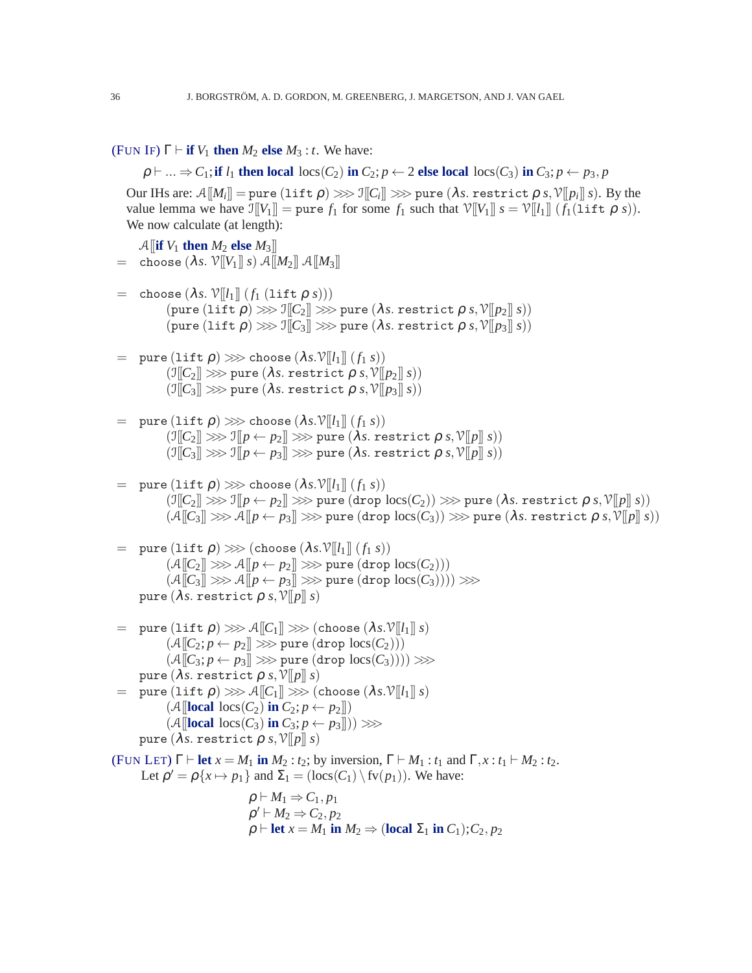# (F[UN](#page-5-1) IF)  $\Gamma \vdash \textbf{if } V_1 \textbf{ then } M_2 \textbf{ else } M_3 : t.$  We have:

 $\rho \vdash ... \Rightarrow C_1$ ; if  $l_1$  then local locs( $C_2$ ) in  $C_2$ ;  $p \leftarrow 2$  else local locs( $C_3$ ) in  $C_3$ ;  $p \leftarrow p_3$ ,  $p$  $\text{Our IHs are: } \mathcal{A}[\![M_i]\!] = \text{pure (lift $\rho$)} \ggg \mathcal{I}[\![C_i]\!] \ggg \text{pure ($\lambda s$}. \text{ restrict $\rho$ $s$}, \mathcal{V}[\![p_i]\!], s). \text{ By the } \mathcal{I}[\![\lambda s] \models \mathcal{I}[\![\lambda s] \models \mathcal{I}[\![\lambda s] \models \mathcal{I}[\![\lambda s] \models \mathcal{I}[\![\lambda s] \models \mathcal{I}[\![\lambda s] \models \mathcal{I}[\![\lambda s] \models \mathcal{I}[\![\lambda s] \models \mathcal{I}[\![\lambda s] \models \$ value lemma we have  $\mathbb{I}[V_1] = \text{pure } f_1$  for some  $f_1$  such that  $\mathbb{V}[V_1] \mid s = \mathbb{V}[l_1] \mid (f_1(\text{lift } \rho \, s)).$ We now calculate (at length):

```
\mathcal{A} [if V_1 then M_2 else M_3]]
 = choose (\lambda s. \mathcal{V}[[V_1]] s) \mathcal{A}[[M_2]] \mathcal{A}[[M_3]]= choose (\lambda s. \mathcal{V}[[l_1]] (f_1 (lift \rho s)))(\text{pure (lift }\rho) \ggg \mathbb{I}[[C_2]] \ggg \text{pure } (\lambda s. \text{ restrict }\rho s, \mathbb{V}[[p_2]] s))(\text{pure}(\text{lift } \rho) \ggg \text{Im}(\text{C}_3) \ggg \text{pure}(\lambda s \text{. restrict } \rho s, \text{V} \llbracket p_3 \rrbracket s))= pure (lift \rho) \gg choose (\lambda s.\mathcal{V}[[l_1]] (f_1 s))
                (\mathbb{I}[[C_2]] \ggg pure (\lambda s. \text{restrict } \rho s, \mathcal{V}[[p_2]] s)(\mathbb{I}[[C_3]] \ggg pure (\lambda s. \text{restrict } \rho s, \mathcal{V}[[p_3]] s))= pure (lift \rho) \gg choose (\lambda s.\mathcal{V}[[l_1]] (f_1 s))
                (\mathbb{I}[\![C_2]\!]) \gg \mathbb{I}[\![p \leftarrow p_2]\!]) \gg \text{pure } (\lambda s. \text{ restrict } \rho s, \mathcal{V}[\![p]\!], s))(\mathbb{I}[C_3]) \ggg \mathbb{I}[p \leftarrow p_3] \ggg pure (\lambda s. \text{restrict } \rho s, \mathcal{V}[p] \mid s)= pure (lift \rho) \gg choose (\lambda s.\mathcal{V}[[l_1]] (f_1 s))
                 (\mathbb{I}[\![C_2]\!]\gg\mathbb{I}[\![p\leftarrow p_2]\!]\gg\gg pure (\text{drop loss}(C_2))\gg\gt\gg pure (\lambda s. restrict \rho s, \mathcal{V}[\![p]\!]\;s))(A[[C_3]] \ggg A[[p \leftarrow p_3]] \ggg pure(\text{drop loss}(C_3)) \ggg pure(\lambda s. \text{restrict } \rho s, \mathcal{V}[[p]] s))= pure (lift \rho) \gg (choose (\lambda s.\mathcal{V}[[l_1]](f_1, s))
                 (A[[C_2]] \ggg A[[p \leftarrow p_2]] \ggg pure (drop locs(C_2)))(A[[C_3]] \ggg A[[p \leftarrow p_3]] \ggg pure (drop locs(C_3)))) \gggpure (\lambda s. restrict \rho s, \mathcal{V}[[p]] s)= pure (lift \rho) \ggg \mathcal{A}[[C_1]] \ggg (choose (\lambda s.\mathcal{V}[[l_1]] s))
                (A[[C_2; p \leftarrow p_2]] \ggg \text{pure (drop loss}(C_2)))(A[[C_3; p \leftarrow p_3]] \ggg pure (drop \, locs(C_3)))) \gggpure (\lambda s. restrict \rho s, \mathcal{V}[[p]] s)= pure (lift \rho) \ggg \mathcal{A}[[C_1]] \ggg (choose (\lambda s.\mathcal{V}[[l_1]] s))
                 (A[\text{local } \text{locs}(C_2) \text{ in } C_2; p \leftarrow p_2])(A[\text{local } \text{loc}(C_3) \text{ in } C_3; p \leftarrow p_3])) \gg\pure (\lambda s. restrict \rho s, \mathcal{V}[[p]] s)UN LET) \Gamma \vdash \text{let } x = M_1 \text{ in } M_2 : t_2; by inversion, \Gamma \vdash M_1 : t_1 \text{ and } \Gamma, x : t_1 \vdash M_2 : t_2.
         Let \rho' = \rho \{x \mapsto p_1\} and \Sigma_1 = (\text{locs}(C_1) \setminus \text{fv}(p_1)). We have:
                                          \rho \vdash M_1 \Rightarrow C_1, p_1\rho' \vdash M_2 \Rightarrow C_2, p_2\rho \vdash let x = M_1 in M_2 \Rightarrow (local \Sigma_1 in C_1); C_2, p_2
```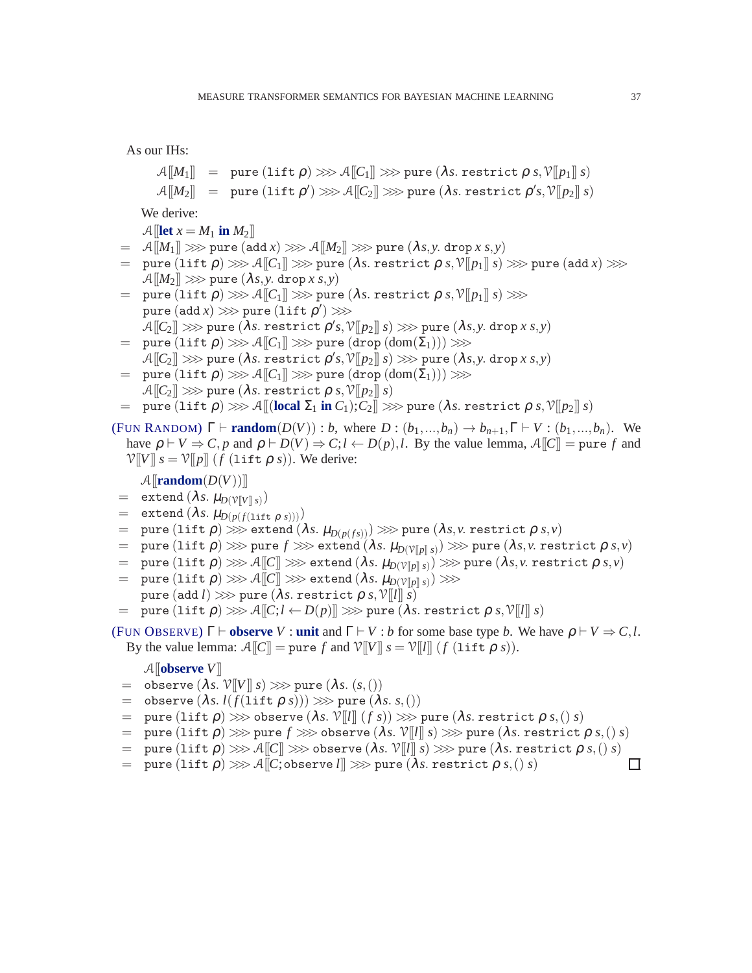As our IHs:

$$
\mathcal{A}[\![M_1]\!] = \text{pure (lift } \rho) \ggg \mathcal{A}[[C_1]\!] \ggg \text{pure } (\lambda s. \text{ restrict } \rho \ s, \mathcal{V}[[p_1]\!] \ s)
$$

$$
\mathcal{A}[[M_2]\!] = \text{pure (lift } \rho') \ggg \mathcal{A}[[C_2]\!] \ggg \text{pure } (\lambda s. \text{ restrict } \rho's, \mathcal{V}[[p_2]\!] \ s)
$$

We derive:

 $\mathcal{A}$ **[[let**  $x = M_1$  **in**  $M_2$ ]]

- $=$   $\mathcal{A}[[M_1]] \ggg$  pure (add *x*)  $\ggg \mathcal{A}[[M_2]] \gggg$  pure  $(\lambda s, y, drop x s, y)$
- $=$  pure  $($ lift  $\rho$  $) \ggg \mathcal{A}[[C_1]] \ggg$  pure  $(\lambda s.$  restrict  $\rho s, \mathcal{V}[[p_1]] s) \ggg$  pure  $(\text{add } x) \ggg$  $\mathcal{A}[[M_2]] \ggg$  pure  $(\lambda s, y, \text{drop } x, s, y)$
- $=$  pure  $($ lift  $\rho$  $) \ggg \mathcal{A}[[C_1]] \ggg$  pure  $(\lambda s.$  restrict  $\rho s, \mathcal{V}[[p_1]] s) \ggg$  $\tt pure (add $x$) \ggg \tt pure (lift $\rho'$) \ggg \tt$  $\mathcal{A} \llbracket \mathcal{C}_2 \rrbracket \ggg \text{pure } (\lambda s. \text{ restrict } \rho' s, \mathcal{V} \llbracket p_2 \rrbracket \ s) \ggg \text{pure } (\lambda s, y. \text{ drop } x \ s, y)$
- $=$  pure  $(\text{lift } \rho) \ggg \mathcal{A}[[C_1]] \ggg \text{pure } (\text{drop } (\text{dom}(\Sigma_1))) \ggg$  $\mathcal{A} \llbracket \mathcal{C}_2 \rrbracket \ggg \text{pure } (\lambda s. \text{ restrict } \rho' s, \mathcal{V} \llbracket p_2 \rrbracket \; s) \ggg \text{pure } (\lambda s, y. \text{ drop } x \; s, y)$
- $=$  pure  $(\text{lift } \rho) \ggg \mathcal{A}[[C_1]] \ggg$  pure  $(\text{drop } (\text{dom}(\Sigma_1))) \ggg$  $\mathcal{A}[[C_2]] \ggg$  pure ( $\lambda s$ . restrict  $\rho s, \mathcal{V}[[p_2]] s$ )
- $=$  pure (lift  $\rho$ )  $\gg$   $\sim$   $\mathcal{A}$  [[(local  $\Sigma_1$  in  $C_1$ );  $C_2$ ]]  $\gg$  pure ( $\lambda s$ . restrict  $\rho s$ ,  $\mathcal{V}[p_2]$   $s$ )

(FUN R[ANDOM](#page-5-9))  $\Gamma \vdash \text{random}(D(V)) : b$ , where  $D : (b_1, ..., b_n) \to b_{n+1}, \Gamma \vdash V : (b_1, ..., b_n)$ . We have  $\rho \vdash V \Rightarrow C, p$  and  $\rho \vdash D(V) \Rightarrow C, l \leftarrow D(p), l$ . By the value lemma,  $\mathcal{A}[[C]] = \text{pure } f$  and  $V[[V]]$   $s = V[[p]]$  (*f* (lift  $\rho$  *s*)). We derive:

## $\mathcal{A}$ [**random** $(D(V))$ ]

- $=$  extend  $(\lambda s.\ \mu_{D(\mathcal{V}[\![V]\!]) s)})$
- $=$  extend  $(\lambda s. \mu_{D(p(f(1 \text{if } \rho s))))})$
- $=$  pure  $(\text{lift } \rho) \ggg \text{extend } (\lambda s. \mu_{D(\rho(f s))}) \ggg \text{pure } (\lambda s, v \text{ restrict } \rho \text{ } s, v)$
- $=$  pure  $(\texttt{lift}\ \rho) \ggg$  pure  $f \ggg$  extend  $(\lambda s.\ \mu_{D(\mathbb{V}[\![p]\!])}) \ggg$  pure  $(\lambda s,v.$  restrict  $\rho$   $s,v)$
- $\mathcal{L} = \text{ pure } (\text{lift } \rho) \ggg \mathcal{A}[\![C]\!] \ggg \text{ extend } (\lambda s.\ \mu_{D(\mathcal{V}[\![p]\!],s)}) \ggg \text{ pure } (\lambda s,v\ \text{restrict } \rho\ s,v)$
- $=$  pure  $($ lift  $\rho$  $)$   $\ggg$   $\mathcal{A}$   $\overline{\llbracket C \rrbracket}$   $\ggg$  extend  $(\lambda s. \mu_{D(\mathcal{V}[\![p]\!]} s)$   $\ggg$ pure (add *l*)  $\gg$  pure ( $\lambda s$ . restrict  $\rho$  *s*,  $V[[l]]$  *s*)
- $=$  pure (lift  $\rho$ )  $\ggg \mathcal{A}[[C; l \leftarrow D(p)]] \ggg$  pure ( $\lambda s$ . restrict  $\rho s, \mathcal{V}[[l]] s$ )
- (FUN O[BSERVE](#page-5-8))  $\Gamma \vdash$  **observe** *V* : **unit** and  $\Gamma \vdash V : b$  for some base type *b*. We have  $\rho \vdash V \Rightarrow C, l$ . By the value lemma:  $\mathcal{A}[[C]] = \text{pure } f$  and  $\mathcal{V}[[V]] \ s = \mathcal{V}[[l]] \ (f \ (\text{lift } \rho \ s)).$

#### $\mathcal{A}$ **[observe**  $V$ **]**

- $=$  observe  $(\lambda s. \mathcal{V}[[V]] s) \ggg$  pure  $(\lambda s. (s,())$
- $=$  observe  $(\lambda s. l(f(\text{lift }\rho s))) \ggg \text{pure }(\lambda s. s.))$
- $=$  pure (lift  $\rho$ )  $\gg$  observe ( $\lambda s$ .  $V[[l]](f s)$ )  $\gg$  pure ( $\lambda s$ . restrict  $\rho s$ ,() *s*)
- $=$  pure  $($ lift  $\rho$  $)$   $\gg$   $>$  pure  $f$   $\gg$   $>$  observe  $($ lambda s. V[[l]] s)  $\gg$   $\gg$  pure  $($ lambda s. restrict  $\rho$   $s,$   $($   $) s)$
- $=$  pure (lift  $\rho$ )  $\ggg \mathcal{A}[[C]] \ggg$  observe ( $\lambda s$ .  $\mathcal{V}[[l]] s) \ggg$  pure ( $\lambda s$ . restrict  $\rho s$ ,() *s*)
- $=$  pure (lift  $\rho$ )  $\ggg \mathcal{A}[[C, \text{observe } l]] \ggg$  pure ( $\lambda s$ . restrict  $\rho s$ ,() *s*)

 $\Box$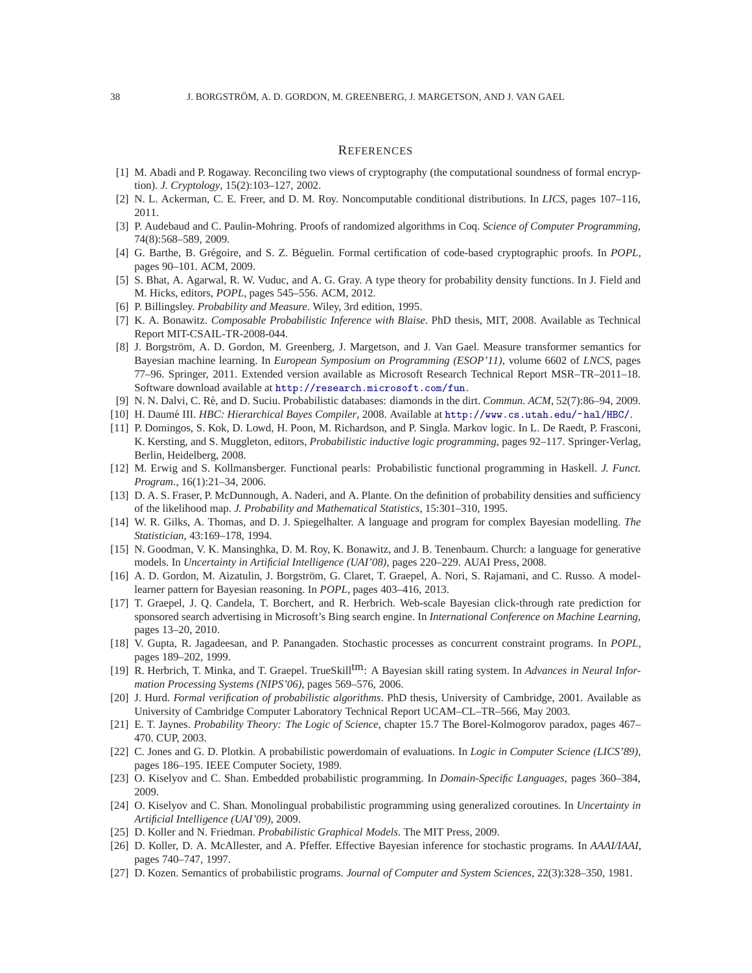#### **REFERENCES**

- <span id="page-37-25"></span><span id="page-37-18"></span>[1] M. Abadi and P. Rogaway. Reconciling two views of cryptography (the computational soundness of formal encryption). *J. Cryptology*, 15(2):103–127, 2002.
- <span id="page-37-20"></span>[2] N. L. Ackerman, C. E. Freer, and D. M. Roy. Noncomputable conditional distributions. In *LICS*, pages 107–116, 2011.
- <span id="page-37-14"></span>[3] P. Audebaud and C. Paulin-Mohring. Proofs of randomized algorithms in Coq. *Science of Computer Programming*, 74(8):568–589, 2009.
- [4] G. Barthe, B. Gr´egoire, and S. Z. B´eguelin. Formal certification of code-based cryptographic proofs. In *POPL*, pages 90–101. ACM, 2009.
- <span id="page-37-12"></span>[5] S. Bhat, A. Agarwal, R. W. Vuduc, and A. G. Gray. A type theory for probability density functions. In J. Field and M. Hicks, editors, *POPL*, pages 545–556. ACM, 2012.
- <span id="page-37-2"></span>[6] P. Billingsley. *Probability and Measure*. Wiley, 3rd edition, 1995.
- <span id="page-37-10"></span>[7] K. A. Bonawitz. *Composable Probabilistic Inference with Blaise*. PhD thesis, MIT, 2008. Available as Technical Report MIT-CSAIL-TR-2008-044.
- [8] J. Borgström, A. D. Gordon, M. Greenberg, J. Margetson, and J. Van Gael. Measure transformer semantics for Bayesian machine learning. In *European Symposium on Programming (ESOP'11)*, volume 6602 of *LNCS*, pages 77–96. Springer, 2011. Extended version available as Microsoft Research Technical Report MSR–TR–2011–18. Software download available at <http://research.microsoft.com/fun>.
- <span id="page-37-24"></span><span id="page-37-5"></span>[9] N. N. Dalvi, C. R´e, and D. Suciu. Probabilistic databases: diamonds in the dirt. *Commun. ACM*, 52(7):86–94, 2009.
- <span id="page-37-1"></span>[10] H. Daum´e III. *HBC: Hierarchical Bayes Compiler*, 2008. Available at <http://www.cs.utah.edu/~hal/HBC/>.
- [11] P. Domingos, S. Kok, D. Lowd, H. Poon, M. Richardson, and P. Singla. Markov logic. In L. De Raedt, P. Frasconi, K. Kersting, and S. Muggleton, editors, *Probabilistic inductive logic programming*, pages 92–117. Springer-Verlag, Berlin, Heidelberg, 2008.
- <span id="page-37-7"></span>[12] M. Erwig and S. Kollmansberger. Functional pearls: Probabilistic functional programming in Haskell. *J. Funct. Program.*, 16(1):21–34, 2006.
- <span id="page-37-13"></span>[13] D. A. S. Fraser, P. McDunnough, A. Naderi, and A. Plante. On the definition of probability densities and sufficiency of the likelihood map. *J. Probability and Mathematical Statistics*, 15:301–310, 1995.
- <span id="page-37-0"></span>[14] W. R. Gilks, A. Thomas, and D. J. Spiegelhalter. A language and program for complex Bayesian modelling. *The Statistician*, 43:169–178, 1994.
- <span id="page-37-3"></span>[15] N. Goodman, V. K. Mansinghka, D. M. Roy, K. Bonawitz, and J. B. Tenenbaum. Church: a language for generative models. In *Uncertainty in Artificial Intelligence (UAI'08)*, pages 220–229. AUAI Press, 2008.
- <span id="page-37-23"></span>[16] A. D. Gordon, M. Aizatulin, J. Borgström, G. Claret, T. Graepel, A. Nori, S. Rajamani, and C. Russo. A modellearner pattern for Bayesian reasoning. In *POPL*, pages 403–416, 2013.
- <span id="page-37-15"></span>[17] T. Graepel, J. Q. Candela, T. Borchert, and R. Herbrich. Web-scale Bayesian click-through rate prediction for sponsored search advertising in Microsoft's Bing search engine. In *International Conference on Machine Learning*, pages 13–20, 2010.
- <span id="page-37-6"></span>[18] V. Gupta, R. Jagadeesan, and P. Panangaden. Stochastic processes as concurrent constraint programs. In *POPL*, pages 189–202, 1999.
- <span id="page-37-9"></span>[19] R. Herbrich, T. Minka, and T. Graepel. TrueSkilltm: A Bayesian skill rating system. In *Advances in Neural Information Processing Systems (NIPS'06)*, pages 569–576, 2006.
- <span id="page-37-19"></span>[20] J. Hurd. *Formal verification of probabilistic algorithms*. PhD thesis, University of Cambridge, 2001. Available as University of Cambridge Computer Laboratory Technical Report UCAM–CL–TR–566, May 2003.
- <span id="page-37-11"></span>[21] E. T. Jaynes. *Probability Theory: The Logic of Science*, chapter 15.7 The Borel-Kolmogorov paradox, pages 467– 470. CUP, 2003.
- <span id="page-37-17"></span>[22] C. Jones and G. D. Plotkin. A probabilistic powerdomain of evaluations. In *Logic in Computer Science (LICS'89)*, pages 186–195. IEEE Computer Society, 1989.
- <span id="page-37-22"></span><span id="page-37-4"></span>[23] O. Kiselyov and C. Shan. Embedded probabilistic programming. In *Domain-Specific Languages*, pages 360–384, 2009.
- [24] O. Kiselyov and C. Shan. Monolingual probabilistic programming using generalized coroutines. In *Uncertainty in Artificial Intelligence (UAI'09)*, 2009.
- <span id="page-37-21"></span><span id="page-37-8"></span>[25] D. Koller and N. Friedman. *Probabilistic Graphical Models*. The MIT Press, 2009.
- [26] D. Koller, D. A. McAllester, and A. Pfeffer. Effective Bayesian inference for stochastic programs. In *AAAI/IAAI*, pages 740–747, 1997.
- <span id="page-37-16"></span>[27] D. Kozen. Semantics of probabilistic programs. *Journal of Computer and System Sciences*, 22(3):328–350, 1981.